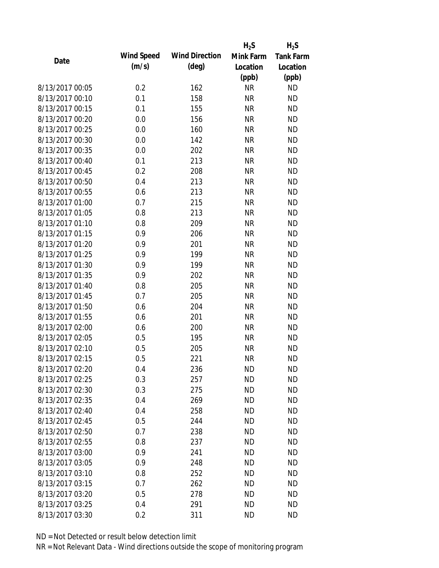|                 |            |                       | $H_2S$    | $H_2S$           |
|-----------------|------------|-----------------------|-----------|------------------|
| Date            | Wind Speed | <b>Wind Direction</b> | Mink Farm | <b>Tank Farm</b> |
|                 | (m/s)      | $(\text{deg})$        | Location  | Location         |
|                 |            |                       | (ppb)     | (ppb)            |
| 8/13/2017 00:05 | 0.2        | 162                   | <b>NR</b> | <b>ND</b>        |
| 8/13/2017 00:10 | 0.1        | 158                   | <b>NR</b> | <b>ND</b>        |
| 8/13/2017 00:15 | 0.1        | 155                   | <b>NR</b> | <b>ND</b>        |
| 8/13/2017 00:20 | 0.0        | 156                   | <b>NR</b> | <b>ND</b>        |
| 8/13/2017 00:25 | 0.0        | 160                   | <b>NR</b> | <b>ND</b>        |
| 8/13/2017 00:30 | 0.0        | 142                   | <b>NR</b> | <b>ND</b>        |
| 8/13/2017 00:35 | 0.0        | 202                   | <b>NR</b> | <b>ND</b>        |
| 8/13/2017 00:40 | 0.1        | 213                   | <b>NR</b> | <b>ND</b>        |
| 8/13/2017 00:45 | 0.2        | 208                   | <b>NR</b> | <b>ND</b>        |
| 8/13/2017 00:50 | 0.4        | 213                   | <b>NR</b> | <b>ND</b>        |
| 8/13/2017 00:55 | 0.6        | 213                   | <b>NR</b> | <b>ND</b>        |
| 8/13/2017 01:00 | 0.7        | 215                   | <b>NR</b> | <b>ND</b>        |
| 8/13/2017 01:05 | 0.8        | 213                   | <b>NR</b> | <b>ND</b>        |
| 8/13/2017 01:10 | 0.8        | 209                   | <b>NR</b> | <b>ND</b>        |
| 8/13/2017 01:15 | 0.9        | 206                   | <b>NR</b> | <b>ND</b>        |
| 8/13/2017 01:20 | 0.9        | 201                   | <b>NR</b> | <b>ND</b>        |
| 8/13/2017 01:25 | 0.9        | 199                   | <b>NR</b> | <b>ND</b>        |
| 8/13/2017 01:30 | 0.9        | 199                   | <b>NR</b> | <b>ND</b>        |
| 8/13/2017 01:35 | 0.9        | 202                   | <b>NR</b> | <b>ND</b>        |
| 8/13/2017 01:40 | 0.8        | 205                   | <b>NR</b> | <b>ND</b>        |
| 8/13/2017 01:45 | 0.7        | 205                   | <b>NR</b> | <b>ND</b>        |
| 8/13/2017 01:50 | 0.6        | 204                   | <b>NR</b> | <b>ND</b>        |
| 8/13/2017 01:55 | 0.6        | 201                   | <b>NR</b> | <b>ND</b>        |
| 8/13/2017 02:00 | 0.6        | 200                   | <b>NR</b> | <b>ND</b>        |
| 8/13/2017 02:05 | 0.5        | 195                   | <b>NR</b> | <b>ND</b>        |
| 8/13/2017 02:10 | 0.5        | 205                   | <b>NR</b> | <b>ND</b>        |
| 8/13/2017 02:15 | 0.5        | 221                   | <b>NR</b> | <b>ND</b>        |
| 8/13/2017 02:20 | 0.4        | 236                   | <b>ND</b> | <b>ND</b>        |
| 8/13/2017 02:25 | 0.3        | 257                   | <b>ND</b> | <b>ND</b>        |
| 8/13/2017 02:30 | 0.3        | 275                   | <b>ND</b> | <b>ND</b>        |
| 8/13/2017 02:35 | 0.4        | 269                   | <b>ND</b> | <b>ND</b>        |
| 8/13/2017 02:40 | 0.4        | 258                   | <b>ND</b> | <b>ND</b>        |
| 8/13/2017 02:45 | 0.5        | 244                   | <b>ND</b> | <b>ND</b>        |
| 8/13/2017 02:50 | 0.7        | 238                   | <b>ND</b> | <b>ND</b>        |
| 8/13/2017 02:55 | 0.8        | 237                   | <b>ND</b> | <b>ND</b>        |
| 8/13/2017 03:00 | 0.9        | 241                   | <b>ND</b> | <b>ND</b>        |
| 8/13/2017 03:05 | 0.9        | 248                   | <b>ND</b> | <b>ND</b>        |
| 8/13/2017 03:10 | 0.8        | 252                   | <b>ND</b> | <b>ND</b>        |
| 8/13/2017 03:15 | 0.7        | 262                   | <b>ND</b> | <b>ND</b>        |
| 8/13/2017 03:20 | 0.5        | 278                   | <b>ND</b> | <b>ND</b>        |
| 8/13/2017 03:25 | 0.4        | 291                   | <b>ND</b> | <b>ND</b>        |
| 8/13/2017 03:30 | 0.2        | 311                   | <b>ND</b> | <b>ND</b>        |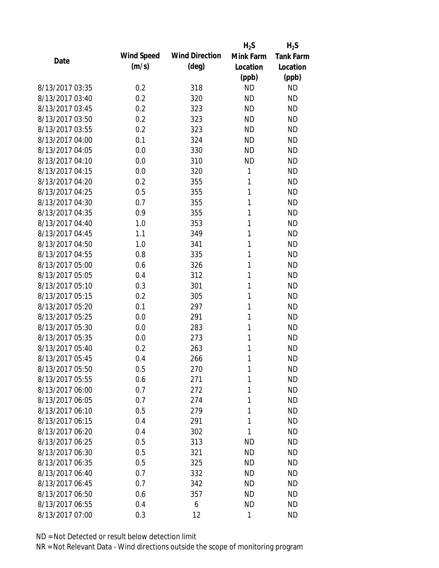|                 |            |                       | $H_2S$    | $H_2S$           |
|-----------------|------------|-----------------------|-----------|------------------|
| Date            | Wind Speed | <b>Wind Direction</b> | Mink Farm | <b>Tank Farm</b> |
|                 | (m/s)      | $(\text{deg})$        | Location  | Location         |
|                 |            |                       | (ppb)     | (ppb)            |
| 8/13/2017 03:35 | 0.2        | 318                   | <b>ND</b> | <b>ND</b>        |
| 8/13/2017 03:40 | 0.2        | 320                   | <b>ND</b> | <b>ND</b>        |
| 8/13/2017 03:45 | 0.2        | 323                   | <b>ND</b> | <b>ND</b>        |
| 8/13/2017 03:50 | 0.2        | 323                   | <b>ND</b> | <b>ND</b>        |
| 8/13/2017 03:55 | 0.2        | 323                   | <b>ND</b> | <b>ND</b>        |
| 8/13/2017 04:00 | 0.1        | 324                   | <b>ND</b> | <b>ND</b>        |
| 8/13/2017 04:05 | 0.0        | 330                   | <b>ND</b> | <b>ND</b>        |
| 8/13/2017 04:10 | 0.0        | 310                   | <b>ND</b> | <b>ND</b>        |
| 8/13/2017 04:15 | 0.0        | 320                   | 1         | <b>ND</b>        |
| 8/13/2017 04:20 | 0.2        | 355                   | 1         | <b>ND</b>        |
| 8/13/2017 04:25 | 0.5        | 355                   | 1         | <b>ND</b>        |
| 8/13/2017 04:30 | 0.7        | 355                   | 1         | <b>ND</b>        |
| 8/13/2017 04:35 | 0.9        | 355                   | 1         | <b>ND</b>        |
| 8/13/2017 04:40 | 1.0        | 353                   | 1         | <b>ND</b>        |
| 8/13/2017 04:45 | 1.1        | 349                   | 1         | <b>ND</b>        |
| 8/13/2017 04:50 | 1.0        | 341                   | 1         | <b>ND</b>        |
| 8/13/2017 04:55 | 0.8        | 335                   | 1         | <b>ND</b>        |
| 8/13/2017 05:00 | 0.6        | 326                   | 1         | <b>ND</b>        |
| 8/13/2017 05:05 | 0.4        | 312                   | 1         | <b>ND</b>        |
| 8/13/2017 05:10 | 0.3        | 301                   | 1         | <b>ND</b>        |
| 8/13/2017 05:15 | 0.2        | 305                   | 1         | <b>ND</b>        |
| 8/13/2017 05:20 | 0.1        | 297                   | 1         | <b>ND</b>        |
| 8/13/2017 05:25 | 0.0        | 291                   | 1         | <b>ND</b>        |
| 8/13/2017 05:30 | 0.0        | 283                   | 1         | <b>ND</b>        |
| 8/13/2017 05:35 | 0.0        | 273                   | 1         | <b>ND</b>        |
| 8/13/2017 05:40 | 0.2        | 263                   | 1         | <b>ND</b>        |
| 8/13/2017 05:45 | 0.4        | 266                   | 1         | <b>ND</b>        |
| 8/13/2017 05:50 | 0.5        | 270                   | 1         | <b>ND</b>        |
| 8/13/2017 05:55 | 0.6        | 271                   | 1         | <b>ND</b>        |
| 8/13/2017 06:00 | 0.7        | 272                   | 1         | <b>ND</b>        |
| 8/13/2017 06:05 | 0.7        | 274                   | 1         | <b>ND</b>        |
| 8/13/2017 06:10 | 0.5        | 279                   | 1         | <b>ND</b>        |
| 8/13/2017 06:15 | 0.4        | 291                   | 1         | <b>ND</b>        |
| 8/13/2017 06:20 | 0.4        | 302                   | 1         | <b>ND</b>        |
| 8/13/2017 06:25 | 0.5        | 313                   | <b>ND</b> | <b>ND</b>        |
| 8/13/2017 06:30 | 0.5        | 321                   | <b>ND</b> | <b>ND</b>        |
| 8/13/2017 06:35 | 0.5        | 325                   | <b>ND</b> | <b>ND</b>        |
| 8/13/2017 06:40 | 0.7        | 332                   | <b>ND</b> | <b>ND</b>        |
| 8/13/2017 06:45 | 0.7        | 342                   | <b>ND</b> | <b>ND</b>        |
| 8/13/2017 06:50 | 0.6        | 357                   | <b>ND</b> | <b>ND</b>        |
| 8/13/2017 06:55 | 0.4        | 6                     | <b>ND</b> | <b>ND</b>        |
| 8/13/2017 07:00 | 0.3        | 12                    | 1         | <b>ND</b>        |
|                 |            |                       |           |                  |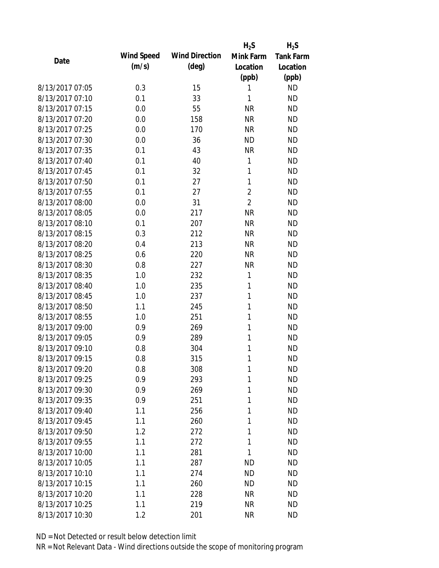|                 |            |                       | $H_2S$         | $H_2S$    |
|-----------------|------------|-----------------------|----------------|-----------|
| Date            | Wind Speed | <b>Wind Direction</b> | Mink Farm      | Tank Farm |
|                 | (m/s)      | $(\text{deg})$        | Location       | Location  |
|                 |            |                       | (ppb)          | (ppb)     |
| 8/13/2017 07:05 | 0.3        | 15                    | 1              | <b>ND</b> |
| 8/13/2017 07:10 | 0.1        | 33                    | 1              | <b>ND</b> |
| 8/13/2017 07:15 | 0.0        | 55                    | <b>NR</b>      | <b>ND</b> |
| 8/13/2017 07:20 | 0.0        | 158                   | <b>NR</b>      | <b>ND</b> |
| 8/13/2017 07:25 | 0.0        | 170                   | <b>NR</b>      | <b>ND</b> |
| 8/13/2017 07:30 | 0.0        | 36                    | <b>ND</b>      | <b>ND</b> |
| 8/13/2017 07:35 | 0.1        | 43                    | <b>NR</b>      | <b>ND</b> |
| 8/13/2017 07:40 | 0.1        | 40                    | 1              | <b>ND</b> |
| 8/13/2017 07:45 | 0.1        | 32                    | 1              | <b>ND</b> |
| 8/13/2017 07:50 | 0.1        | 27                    | 1              | <b>ND</b> |
| 8/13/2017 07:55 | 0.1        | 27                    | $\overline{2}$ | <b>ND</b> |
| 8/13/2017 08:00 | 0.0        | 31                    | $\overline{2}$ | <b>ND</b> |
| 8/13/2017 08:05 | 0.0        | 217                   | <b>NR</b>      | <b>ND</b> |
| 8/13/2017 08:10 | 0.1        | 207                   | <b>NR</b>      | <b>ND</b> |
| 8/13/2017 08:15 | 0.3        | 212                   | <b>NR</b>      | <b>ND</b> |
| 8/13/2017 08:20 | 0.4        | 213                   | <b>NR</b>      | <b>ND</b> |
| 8/13/2017 08:25 | 0.6        | 220                   | <b>NR</b>      | <b>ND</b> |
| 8/13/2017 08:30 | 0.8        | 227                   | <b>NR</b>      | <b>ND</b> |
| 8/13/2017 08:35 | 1.0        | 232                   | 1              | <b>ND</b> |
| 8/13/2017 08:40 | 1.0        | 235                   | 1              | <b>ND</b> |
| 8/13/2017 08:45 | 1.0        | 237                   | 1              | <b>ND</b> |
| 8/13/2017 08:50 | 1.1        | 245                   | 1              | <b>ND</b> |
| 8/13/2017 08:55 | 1.0        | 251                   | 1              | <b>ND</b> |
| 8/13/2017 09:00 | 0.9        | 269                   | 1              | <b>ND</b> |
| 8/13/2017 09:05 | 0.9        | 289                   | 1              | <b>ND</b> |
| 8/13/2017 09:10 | 0.8        | 304                   | 1              | <b>ND</b> |
| 8/13/2017 09:15 | 0.8        | 315                   | 1              | <b>ND</b> |
| 8/13/2017 09:20 | 0.8        | 308                   | 1              | <b>ND</b> |
| 8/13/2017 09:25 | 0.9        | 293                   | 1              | <b>ND</b> |
| 8/13/2017 09:30 | 0.9        | 269                   | 1              | <b>ND</b> |
| 8/13/2017 09:35 | 0.9        | 251                   | 1              | <b>ND</b> |
| 8/13/2017 09:40 | 1.1        | 256                   | 1              | <b>ND</b> |
| 8/13/2017 09:45 | 1.1        | 260                   | 1              | <b>ND</b> |
| 8/13/2017 09:50 | 1.2        | 272                   | 1              | <b>ND</b> |
| 8/13/2017 09:55 | 1.1        | 272                   | 1              | <b>ND</b> |
| 8/13/2017 10:00 | 1.1        | 281                   | 1              | <b>ND</b> |
| 8/13/2017 10:05 | 1.1        | 287                   | <b>ND</b>      | <b>ND</b> |
| 8/13/2017 10:10 | 1.1        | 274                   | <b>ND</b>      | <b>ND</b> |
| 8/13/2017 10:15 | 1.1        | 260                   | <b>ND</b>      | <b>ND</b> |
| 8/13/2017 10:20 | 1.1        | 228                   | NR             | <b>ND</b> |
| 8/13/2017 10:25 | 1.1        | 219                   | <b>NR</b>      | <b>ND</b> |
| 8/13/2017 10:30 | 1.2        | 201                   | <b>NR</b>      | <b>ND</b> |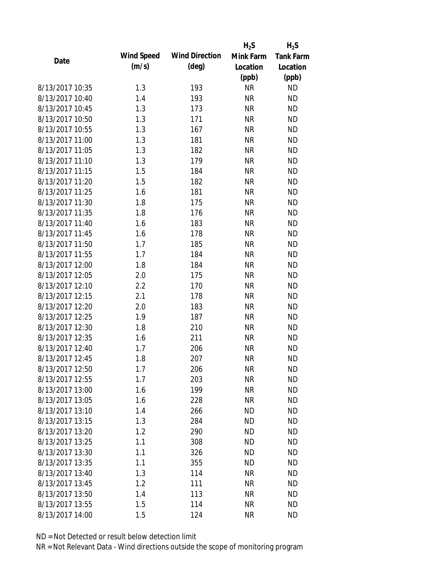|                 |            |                       | $H_2S$    | $H_2S$           |
|-----------------|------------|-----------------------|-----------|------------------|
| Date            | Wind Speed | <b>Wind Direction</b> | Mink Farm | <b>Tank Farm</b> |
|                 | (m/s)      | $(\text{deg})$        | Location  | Location         |
|                 |            |                       | (ppb)     | (ppb)            |
| 8/13/2017 10:35 | 1.3        | 193                   | <b>NR</b> | <b>ND</b>        |
| 8/13/2017 10:40 | 1.4        | 193                   | <b>NR</b> | <b>ND</b>        |
| 8/13/2017 10:45 | 1.3        | 173                   | <b>NR</b> | <b>ND</b>        |
| 8/13/2017 10:50 | 1.3        | 171                   | <b>NR</b> | <b>ND</b>        |
| 8/13/2017 10:55 | 1.3        | 167                   | <b>NR</b> | <b>ND</b>        |
| 8/13/2017 11:00 | 1.3        | 181                   | <b>NR</b> | <b>ND</b>        |
| 8/13/2017 11:05 | 1.3        | 182                   | <b>NR</b> | <b>ND</b>        |
| 8/13/2017 11:10 | 1.3        | 179                   | <b>NR</b> | <b>ND</b>        |
| 8/13/2017 11:15 | 1.5        | 184                   | <b>NR</b> | <b>ND</b>        |
| 8/13/2017 11:20 | 1.5        | 182                   | <b>NR</b> | <b>ND</b>        |
| 8/13/2017 11:25 | 1.6        | 181                   | <b>NR</b> | <b>ND</b>        |
| 8/13/2017 11:30 | 1.8        | 175                   | <b>NR</b> | <b>ND</b>        |
| 8/13/2017 11:35 | 1.8        | 176                   | <b>NR</b> | <b>ND</b>        |
| 8/13/2017 11:40 | 1.6        | 183                   | <b>NR</b> | <b>ND</b>        |
| 8/13/2017 11:45 | 1.6        | 178                   | <b>NR</b> | <b>ND</b>        |
| 8/13/2017 11:50 | 1.7        | 185                   | <b>NR</b> | <b>ND</b>        |
| 8/13/2017 11:55 | 1.7        | 184                   | <b>NR</b> | <b>ND</b>        |
| 8/13/2017 12:00 | 1.8        | 184                   | <b>NR</b> | <b>ND</b>        |
| 8/13/2017 12:05 | 2.0        | 175                   | <b>NR</b> | <b>ND</b>        |
| 8/13/2017 12:10 | 2.2        | 170                   | <b>NR</b> | <b>ND</b>        |
| 8/13/2017 12:15 | 2.1        | 178                   | <b>NR</b> | <b>ND</b>        |
| 8/13/2017 12:20 | 2.0        | 183                   | <b>NR</b> | <b>ND</b>        |
| 8/13/2017 12:25 | 1.9        | 187                   | <b>NR</b> | <b>ND</b>        |
| 8/13/2017 12:30 | 1.8        | 210                   | <b>NR</b> | <b>ND</b>        |
| 8/13/2017 12:35 | 1.6        | 211                   | <b>NR</b> | <b>ND</b>        |
| 8/13/2017 12:40 | 1.7        | 206                   | <b>NR</b> | <b>ND</b>        |
| 8/13/2017 12:45 | 1.8        | 207                   | <b>NR</b> | <b>ND</b>        |
| 8/13/2017 12:50 | 1.7        | 206                   | <b>NR</b> | <b>ND</b>        |
| 8/13/2017 12:55 | 1.7        | 203                   | <b>NR</b> | <b>ND</b>        |
| 8/13/2017 13:00 | 1.6        | 199                   | <b>NR</b> | <b>ND</b>        |
| 8/13/2017 13:05 | 1.6        | 228                   | <b>NR</b> | <b>ND</b>        |
| 8/13/2017 13:10 | 1.4        | 266                   | <b>ND</b> | <b>ND</b>        |
| 8/13/2017 13:15 | 1.3        | 284                   | <b>ND</b> | <b>ND</b>        |
| 8/13/2017 13:20 | 1.2        | 290                   | <b>ND</b> | <b>ND</b>        |
| 8/13/2017 13:25 | 1.1        | 308                   | <b>ND</b> | <b>ND</b>        |
| 8/13/2017 13:30 | 1.1        | 326                   | <b>ND</b> | <b>ND</b>        |
| 8/13/2017 13:35 | 1.1        | 355                   | <b>ND</b> | <b>ND</b>        |
| 8/13/2017 13:40 | 1.3        | 114                   | <b>NR</b> | <b>ND</b>        |
| 8/13/2017 13:45 | 1.2        | 111                   | <b>NR</b> | <b>ND</b>        |
| 8/13/2017 13:50 | 1.4        | 113                   | NR        | <b>ND</b>        |
| 8/13/2017 13:55 | 1.5        | 114                   | <b>NR</b> | <b>ND</b>        |
| 8/13/2017 14:00 | 1.5        | 124                   | <b>NR</b> | <b>ND</b>        |
|                 |            |                       |           |                  |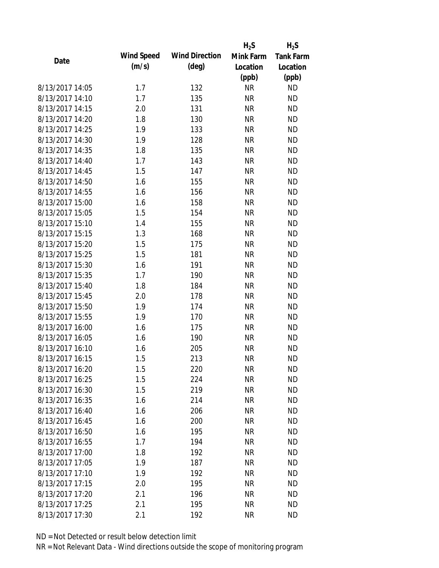|                 |            |                       | $H_2S$    | $H_2S$           |
|-----------------|------------|-----------------------|-----------|------------------|
| Date            | Wind Speed | <b>Wind Direction</b> | Mink Farm | <b>Tank Farm</b> |
|                 | (m/s)      | $(\text{deg})$        | Location  | Location         |
|                 |            |                       | (ppb)     | (ppb)            |
| 8/13/2017 14:05 | 1.7        | 132                   | <b>NR</b> | <b>ND</b>        |
| 8/13/2017 14:10 | 1.7        | 135                   | <b>NR</b> | <b>ND</b>        |
| 8/13/2017 14:15 | 2.0        | 131                   | <b>NR</b> | <b>ND</b>        |
| 8/13/2017 14:20 | 1.8        | 130                   | <b>NR</b> | <b>ND</b>        |
| 8/13/2017 14:25 | 1.9        | 133                   | <b>NR</b> | <b>ND</b>        |
| 8/13/2017 14:30 | 1.9        | 128                   | <b>NR</b> | <b>ND</b>        |
| 8/13/2017 14:35 | 1.8        | 135                   | <b>NR</b> | <b>ND</b>        |
| 8/13/2017 14:40 | 1.7        | 143                   | <b>NR</b> | <b>ND</b>        |
| 8/13/2017 14:45 | 1.5        | 147                   | <b>NR</b> | <b>ND</b>        |
| 8/13/2017 14:50 | 1.6        | 155                   | <b>NR</b> | <b>ND</b>        |
| 8/13/2017 14:55 | 1.6        | 156                   | <b>NR</b> | <b>ND</b>        |
| 8/13/2017 15:00 | 1.6        | 158                   | <b>NR</b> | <b>ND</b>        |
| 8/13/2017 15:05 | 1.5        | 154                   | <b>NR</b> | <b>ND</b>        |
| 8/13/2017 15:10 | 1.4        | 155                   | <b>NR</b> | <b>ND</b>        |
| 8/13/2017 15:15 | 1.3        | 168                   | <b>NR</b> | <b>ND</b>        |
| 8/13/2017 15:20 | 1.5        | 175                   | <b>NR</b> | <b>ND</b>        |
| 8/13/2017 15:25 | 1.5        | 181                   | <b>NR</b> | <b>ND</b>        |
| 8/13/2017 15:30 | 1.6        | 191                   | <b>NR</b> | <b>ND</b>        |
| 8/13/2017 15:35 | 1.7        | 190                   | <b>NR</b> | <b>ND</b>        |
| 8/13/2017 15:40 | 1.8        | 184                   | <b>NR</b> | <b>ND</b>        |
| 8/13/2017 15:45 | 2.0        | 178                   | <b>NR</b> | <b>ND</b>        |
| 8/13/2017 15:50 | 1.9        | 174                   | <b>NR</b> | <b>ND</b>        |
| 8/13/2017 15:55 | 1.9        | 170                   | <b>NR</b> | <b>ND</b>        |
| 8/13/2017 16:00 | 1.6        | 175                   | <b>NR</b> | <b>ND</b>        |
| 8/13/2017 16:05 | 1.6        | 190                   | <b>NR</b> | <b>ND</b>        |
| 8/13/2017 16:10 | 1.6        | 205                   | <b>NR</b> | <b>ND</b>        |
| 8/13/2017 16:15 | 1.5        | 213                   | <b>NR</b> | <b>ND</b>        |
| 8/13/2017 16:20 | 1.5        | 220                   | <b>NR</b> | <b>ND</b>        |
| 8/13/2017 16:25 | 1.5        | 224                   | <b>NR</b> | <b>ND</b>        |
| 8/13/2017 16:30 | 1.5        | 219                   | <b>NR</b> | <b>ND</b>        |
| 8/13/2017 16:35 | 1.6        | 214                   | <b>NR</b> | <b>ND</b>        |
| 8/13/2017 16:40 | 1.6        | 206                   | <b>NR</b> | <b>ND</b>        |
| 8/13/2017 16:45 | 1.6        | 200                   | <b>NR</b> | <b>ND</b>        |
| 8/13/2017 16:50 | 1.6        | 195                   | <b>NR</b> | <b>ND</b>        |
| 8/13/2017 16:55 | 1.7        | 194                   | <b>NR</b> | <b>ND</b>        |
| 8/13/2017 17:00 | 1.8        | 192                   | <b>NR</b> | <b>ND</b>        |
| 8/13/2017 17:05 | 1.9        | 187                   | <b>NR</b> | <b>ND</b>        |
| 8/13/2017 17:10 | 1.9        | 192                   | <b>NR</b> | <b>ND</b>        |
| 8/13/2017 17:15 | 2.0        | 195                   | <b>NR</b> | <b>ND</b>        |
| 8/13/2017 17:20 | 2.1        | 196                   | NR        | <b>ND</b>        |
| 8/13/2017 17:25 | 2.1        | 195                   | <b>NR</b> | <b>ND</b>        |
| 8/13/2017 17:30 | 2.1        | 192                   | <b>NR</b> | <b>ND</b>        |
|                 |            |                       |           |                  |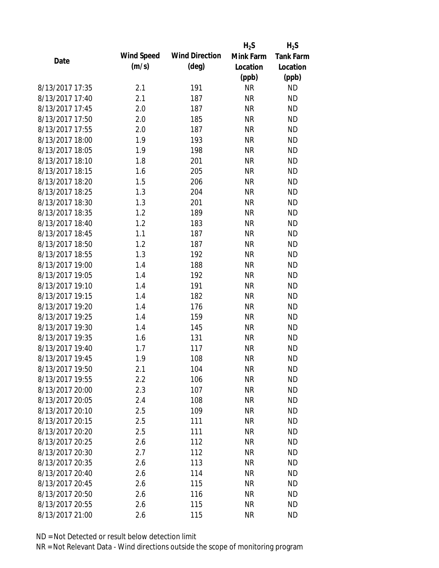|                 |            |                       | $H_2S$    | $H_2S$           |
|-----------------|------------|-----------------------|-----------|------------------|
| Date            | Wind Speed | <b>Wind Direction</b> | Mink Farm | <b>Tank Farm</b> |
|                 | (m/s)      | $(\text{deg})$        | Location  | Location         |
|                 |            |                       | (ppb)     | (ppb)            |
| 8/13/2017 17:35 | 2.1        | 191                   | <b>NR</b> | <b>ND</b>        |
| 8/13/2017 17:40 | 2.1        | 187                   | <b>NR</b> | <b>ND</b>        |
| 8/13/2017 17:45 | 2.0        | 187                   | <b>NR</b> | <b>ND</b>        |
| 8/13/2017 17:50 | 2.0        | 185                   | <b>NR</b> | <b>ND</b>        |
| 8/13/2017 17:55 | 2.0        | 187                   | <b>NR</b> | <b>ND</b>        |
| 8/13/2017 18:00 | 1.9        | 193                   | <b>NR</b> | <b>ND</b>        |
| 8/13/2017 18:05 | 1.9        | 198                   | <b>NR</b> | <b>ND</b>        |
| 8/13/2017 18:10 | 1.8        | 201                   | <b>NR</b> | <b>ND</b>        |
| 8/13/2017 18:15 | 1.6        | 205                   | <b>NR</b> | <b>ND</b>        |
| 8/13/2017 18:20 | 1.5        | 206                   | <b>NR</b> | <b>ND</b>        |
| 8/13/2017 18:25 | 1.3        | 204                   | <b>NR</b> | <b>ND</b>        |
| 8/13/2017 18:30 | 1.3        | 201                   | <b>NR</b> | <b>ND</b>        |
| 8/13/2017 18:35 | 1.2        | 189                   | <b>NR</b> | <b>ND</b>        |
| 8/13/2017 18:40 | 1.2        | 183                   | <b>NR</b> | <b>ND</b>        |
| 8/13/2017 18:45 | 1.1        | 187                   | <b>NR</b> | <b>ND</b>        |
| 8/13/2017 18:50 | 1.2        | 187                   | <b>NR</b> | <b>ND</b>        |
| 8/13/2017 18:55 | 1.3        | 192                   | <b>NR</b> | <b>ND</b>        |
| 8/13/2017 19:00 | 1.4        | 188                   | <b>NR</b> | <b>ND</b>        |
| 8/13/2017 19:05 | 1.4        | 192                   | <b>NR</b> | <b>ND</b>        |
| 8/13/2017 19:10 | 1.4        | 191                   | <b>NR</b> | <b>ND</b>        |
| 8/13/2017 19:15 | 1.4        | 182                   | <b>NR</b> | <b>ND</b>        |
| 8/13/2017 19:20 | 1.4        | 176                   | <b>NR</b> | <b>ND</b>        |
| 8/13/2017 19:25 | 1.4        | 159                   | <b>NR</b> | <b>ND</b>        |
| 8/13/2017 19:30 | 1.4        | 145                   | <b>NR</b> | <b>ND</b>        |
| 8/13/2017 19:35 | 1.6        | 131                   | <b>NR</b> | <b>ND</b>        |
| 8/13/2017 19:40 | 1.7        | 117                   | <b>NR</b> | <b>ND</b>        |
| 8/13/2017 19:45 | 1.9        | 108                   | <b>NR</b> | <b>ND</b>        |
| 8/13/2017 19:50 | 2.1        | 104                   | ΝR        | <b>ND</b>        |
| 8/13/2017 19:55 | 2.2        | 106                   | <b>NR</b> | <b>ND</b>        |
| 8/13/2017 20:00 | 2.3        | 107                   | <b>NR</b> | <b>ND</b>        |
| 8/13/2017 20:05 | 2.4        | 108                   | <b>NR</b> | <b>ND</b>        |
| 8/13/2017 20:10 | 2.5        | 109                   | <b>NR</b> | <b>ND</b>        |
| 8/13/2017 20:15 | 2.5        | 111                   | <b>NR</b> | <b>ND</b>        |
| 8/13/2017 20:20 | 2.5        | 111                   | <b>NR</b> | <b>ND</b>        |
| 8/13/2017 20:25 | 2.6        | 112                   | <b>NR</b> | <b>ND</b>        |
| 8/13/2017 20:30 | 2.7        | 112                   | <b>NR</b> | <b>ND</b>        |
| 8/13/2017 20:35 | 2.6        | 113                   | <b>NR</b> | <b>ND</b>        |
| 8/13/2017 20:40 | 2.6        | 114                   | <b>NR</b> | <b>ND</b>        |
| 8/13/2017 20:45 | 2.6        | 115                   | <b>NR</b> | <b>ND</b>        |
| 8/13/2017 20:50 | 2.6        | 116                   | ΝR        | <b>ND</b>        |
| 8/13/2017 20:55 | 2.6        | 115                   | <b>NR</b> | <b>ND</b>        |
| 8/13/2017 21:00 | 2.6        | 115                   | <b>NR</b> | <b>ND</b>        |
|                 |            |                       |           |                  |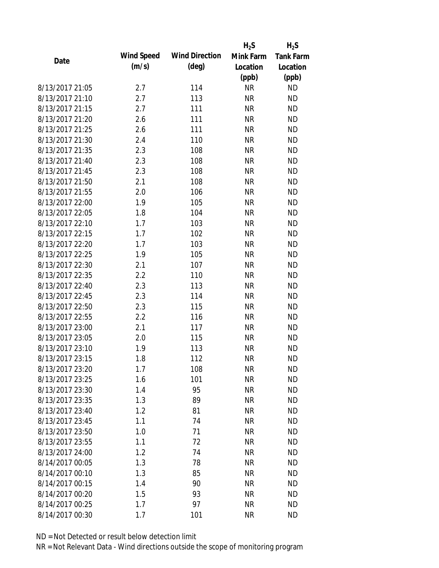|                 |            |                       | $H_2S$    | $H_2S$           |
|-----------------|------------|-----------------------|-----------|------------------|
| Date            | Wind Speed | <b>Wind Direction</b> | Mink Farm | <b>Tank Farm</b> |
|                 | (m/s)      | $(\text{deg})$        | Location  | Location         |
|                 |            |                       | (ppb)     | (ppb)            |
| 8/13/2017 21:05 | 2.7        | 114                   | <b>NR</b> | <b>ND</b>        |
| 8/13/2017 21:10 | 2.7        | 113                   | <b>NR</b> | <b>ND</b>        |
| 8/13/2017 21:15 | 2.7        | 111                   | <b>NR</b> | <b>ND</b>        |
| 8/13/2017 21:20 | 2.6        | 111                   | <b>NR</b> | <b>ND</b>        |
| 8/13/2017 21:25 | 2.6        | 111                   | <b>NR</b> | <b>ND</b>        |
| 8/13/2017 21:30 | 2.4        | 110                   | <b>NR</b> | <b>ND</b>        |
| 8/13/2017 21:35 | 2.3        | 108                   | <b>NR</b> | <b>ND</b>        |
| 8/13/2017 21:40 | 2.3        | 108                   | <b>NR</b> | <b>ND</b>        |
| 8/13/2017 21:45 | 2.3        | 108                   | <b>NR</b> | <b>ND</b>        |
| 8/13/2017 21:50 | 2.1        | 108                   | <b>NR</b> | <b>ND</b>        |
| 8/13/2017 21:55 | 2.0        | 106                   | <b>NR</b> | <b>ND</b>        |
| 8/13/2017 22:00 | 1.9        | 105                   | <b>NR</b> | <b>ND</b>        |
| 8/13/2017 22:05 | 1.8        | 104                   | <b>NR</b> | <b>ND</b>        |
| 8/13/2017 22:10 | 1.7        | 103                   | <b>NR</b> | <b>ND</b>        |
| 8/13/2017 22:15 | 1.7        | 102                   | <b>NR</b> | <b>ND</b>        |
| 8/13/2017 22:20 | 1.7        | 103                   | <b>NR</b> | <b>ND</b>        |
| 8/13/2017 22:25 | 1.9        | 105                   | <b>NR</b> | <b>ND</b>        |
| 8/13/2017 22:30 | 2.1        | 107                   | <b>NR</b> | <b>ND</b>        |
| 8/13/2017 22:35 | 2.2        | 110                   | <b>NR</b> | <b>ND</b>        |
| 8/13/2017 22:40 | 2.3        | 113                   | <b>NR</b> | <b>ND</b>        |
| 8/13/2017 22:45 | 2.3        | 114                   | <b>NR</b> | <b>ND</b>        |
| 8/13/2017 22:50 | 2.3        | 115                   | <b>NR</b> | <b>ND</b>        |
| 8/13/2017 22:55 | 2.2        | 116                   | <b>NR</b> | <b>ND</b>        |
| 8/13/2017 23:00 | 2.1        | 117                   | <b>NR</b> | <b>ND</b>        |
| 8/13/2017 23:05 | 2.0        | 115                   | <b>NR</b> | <b>ND</b>        |
| 8/13/2017 23:10 | 1.9        | 113                   | <b>NR</b> | <b>ND</b>        |
| 8/13/2017 23:15 | 1.8        | 112                   | <b>NR</b> | <b>ND</b>        |
| 8/13/2017 23:20 | 1.7        | 108                   | <b>NR</b> | <b>ND</b>        |
| 8/13/2017 23:25 | 1.6        | 101                   | <b>NR</b> | <b>ND</b>        |
| 8/13/2017 23:30 | 1.4        | 95                    | <b>NR</b> | <b>ND</b>        |
| 8/13/2017 23:35 | 1.3        | 89                    | <b>NR</b> | <b>ND</b>        |
| 8/13/2017 23:40 | 1.2        | 81                    | <b>NR</b> | <b>ND</b>        |
| 8/13/2017 23:45 | 1.1        | 74                    | <b>NR</b> | <b>ND</b>        |
| 8/13/2017 23:50 | 1.0        | 71                    | <b>NR</b> | <b>ND</b>        |
| 8/13/2017 23:55 | 1.1        | 72                    | <b>NR</b> | <b>ND</b>        |
| 8/13/2017 24:00 | 1.2        | 74                    | <b>NR</b> | <b>ND</b>        |
| 8/14/2017 00:05 | 1.3        | 78                    | <b>NR</b> | <b>ND</b>        |
| 8/14/2017 00:10 | 1.3        | 85                    | <b>NR</b> | <b>ND</b>        |
| 8/14/2017 00:15 | 1.4        | 90                    | <b>NR</b> | <b>ND</b>        |
| 8/14/2017 00:20 | 1.5        | 93                    | NR        | <b>ND</b>        |
| 8/14/2017 00:25 | 1.7        | 97                    | <b>NR</b> | <b>ND</b>        |
| 8/14/2017 00:30 | 1.7        | 101                   | <b>NR</b> | <b>ND</b>        |
|                 |            |                       |           |                  |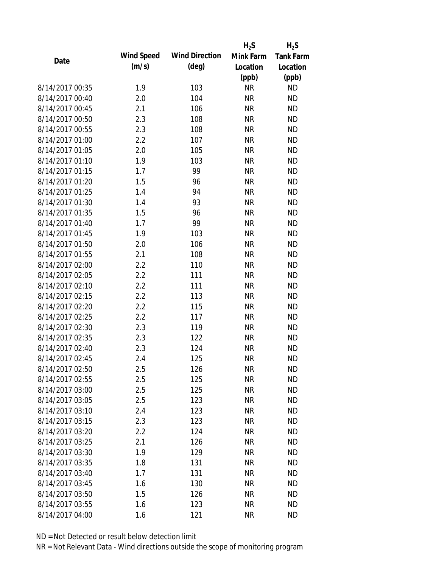|                 |            |                       | $H_2S$    | $H_2S$           |
|-----------------|------------|-----------------------|-----------|------------------|
| Date            | Wind Speed | <b>Wind Direction</b> | Mink Farm | <b>Tank Farm</b> |
|                 | (m/s)      | $(\text{deg})$        | Location  | Location         |
|                 |            |                       | (ppb)     | (ppb)            |
| 8/14/2017 00:35 | 1.9        | 103                   | <b>NR</b> | <b>ND</b>        |
| 8/14/2017 00:40 | 2.0        | 104                   | <b>NR</b> | <b>ND</b>        |
| 8/14/2017 00:45 | 2.1        | 106                   | <b>NR</b> | <b>ND</b>        |
| 8/14/2017 00:50 | 2.3        | 108                   | <b>NR</b> | <b>ND</b>        |
| 8/14/2017 00:55 | 2.3        | 108                   | <b>NR</b> | <b>ND</b>        |
| 8/14/2017 01:00 | 2.2        | 107                   | <b>NR</b> | <b>ND</b>        |
| 8/14/2017 01:05 | 2.0        | 105                   | <b>NR</b> | <b>ND</b>        |
| 8/14/2017 01:10 | 1.9        | 103                   | <b>NR</b> | <b>ND</b>        |
| 8/14/2017 01:15 | 1.7        | 99                    | <b>NR</b> | <b>ND</b>        |
| 8/14/2017 01:20 | 1.5        | 96                    | <b>NR</b> | <b>ND</b>        |
| 8/14/2017 01:25 | 1.4        | 94                    | <b>NR</b> | <b>ND</b>        |
| 8/14/2017 01:30 | 1.4        | 93                    | <b>NR</b> | <b>ND</b>        |
| 8/14/2017 01:35 | 1.5        | 96                    | <b>NR</b> | <b>ND</b>        |
| 8/14/2017 01:40 | 1.7        | 99                    | <b>NR</b> | <b>ND</b>        |
| 8/14/2017 01:45 | 1.9        | 103                   | <b>NR</b> | <b>ND</b>        |
| 8/14/2017 01:50 | 2.0        | 106                   | <b>NR</b> | <b>ND</b>        |
| 8/14/2017 01:55 | 2.1        | 108                   | <b>NR</b> | <b>ND</b>        |
| 8/14/2017 02:00 | 2.2        | 110                   | <b>NR</b> | <b>ND</b>        |
| 8/14/2017 02:05 | 2.2        | 111                   | <b>NR</b> | <b>ND</b>        |
| 8/14/2017 02:10 | 2.2        | 111                   | <b>NR</b> | <b>ND</b>        |
| 8/14/2017 02:15 | 2.2        | 113                   | <b>NR</b> | <b>ND</b>        |
| 8/14/2017 02:20 | 2.2        | 115                   | <b>NR</b> | <b>ND</b>        |
| 8/14/2017 02:25 | 2.2        | 117                   | <b>NR</b> | <b>ND</b>        |
| 8/14/2017 02:30 | 2.3        | 119                   | <b>NR</b> | <b>ND</b>        |
| 8/14/2017 02:35 | 2.3        | 122                   | <b>NR</b> | <b>ND</b>        |
| 8/14/2017 02:40 | 2.3        | 124                   | <b>NR</b> | <b>ND</b>        |
| 8/14/2017 02:45 | 2.4        | 125                   | <b>NR</b> | <b>ND</b>        |
| 8/14/2017 02:50 | 2.5        | 126                   | <b>NR</b> | <b>ND</b>        |
| 8/14/2017 02:55 | 2.5        | 125                   | <b>NR</b> | <b>ND</b>        |
| 8/14/2017 03:00 | 2.5        | 125                   | <b>NR</b> | <b>ND</b>        |
| 8/14/2017 03:05 | 2.5        | 123                   | <b>NR</b> | <b>ND</b>        |
| 8/14/2017 03:10 | 2.4        | 123                   | <b>NR</b> | <b>ND</b>        |
| 8/14/2017 03:15 | 2.3        | 123                   | <b>NR</b> | <b>ND</b>        |
| 8/14/2017 03:20 | 2.2        | 124                   | <b>NR</b> | <b>ND</b>        |
| 8/14/2017 03:25 | 2.1        | 126                   | <b>NR</b> | <b>ND</b>        |
| 8/14/2017 03:30 | 1.9        | 129                   | <b>NR</b> | <b>ND</b>        |
| 8/14/2017 03:35 | 1.8        | 131                   | <b>NR</b> | <b>ND</b>        |
| 8/14/2017 03:40 | 1.7        | 131                   | <b>NR</b> | <b>ND</b>        |
| 8/14/2017 03:45 | 1.6        | 130                   | <b>NR</b> | <b>ND</b>        |
| 8/14/2017 03:50 | 1.5        | 126                   | <b>NR</b> | <b>ND</b>        |
| 8/14/2017 03:55 | 1.6        | 123                   | <b>NR</b> | <b>ND</b>        |
| 8/14/2017 04:00 | 1.6        | 121                   | <b>NR</b> | <b>ND</b>        |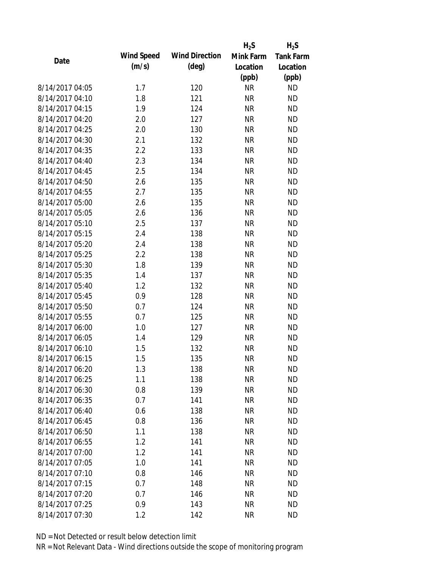|                 |                   |                       | $H_2S$    | $H_2S$           |
|-----------------|-------------------|-----------------------|-----------|------------------|
| Date            | <b>Wind Speed</b> | <b>Wind Direction</b> | Mink Farm | <b>Tank Farm</b> |
|                 | (m/s)             | $(\text{deg})$        | Location  | Location         |
|                 |                   |                       | (ppb)     | (ppb)            |
| 8/14/2017 04:05 | 1.7               | 120                   | <b>NR</b> | <b>ND</b>        |
| 8/14/2017 04:10 | 1.8               | 121                   | <b>NR</b> | <b>ND</b>        |
| 8/14/2017 04:15 | 1.9               | 124                   | <b>NR</b> | <b>ND</b>        |
| 8/14/2017 04:20 | 2.0               | 127                   | <b>NR</b> | <b>ND</b>        |
| 8/14/2017 04:25 | 2.0               | 130                   | <b>NR</b> | <b>ND</b>        |
| 8/14/2017 04:30 | 2.1               | 132                   | <b>NR</b> | <b>ND</b>        |
| 8/14/2017 04:35 | 2.2               | 133                   | <b>NR</b> | <b>ND</b>        |
| 8/14/2017 04:40 | 2.3               | 134                   | <b>NR</b> | <b>ND</b>        |
| 8/14/2017 04:45 | 2.5               | 134                   | <b>NR</b> | <b>ND</b>        |
| 8/14/2017 04:50 | 2.6               | 135                   | <b>NR</b> | <b>ND</b>        |
| 8/14/2017 04:55 | 2.7               | 135                   | <b>NR</b> | <b>ND</b>        |
| 8/14/2017 05:00 | 2.6               | 135                   | <b>NR</b> | <b>ND</b>        |
| 8/14/2017 05:05 | 2.6               | 136                   | <b>NR</b> | <b>ND</b>        |
| 8/14/2017 05:10 | 2.5               | 137                   | <b>NR</b> | <b>ND</b>        |
| 8/14/2017 05:15 | 2.4               | 138                   | <b>NR</b> | <b>ND</b>        |
| 8/14/2017 05:20 | 2.4               | 138                   | <b>NR</b> | <b>ND</b>        |
| 8/14/2017 05:25 | 2.2               | 138                   | <b>NR</b> | <b>ND</b>        |
| 8/14/2017 05:30 | 1.8               | 139                   | <b>NR</b> | <b>ND</b>        |
| 8/14/2017 05:35 | 1.4               | 137                   | <b>NR</b> | <b>ND</b>        |
| 8/14/2017 05:40 | 1.2               | 132                   | <b>NR</b> | <b>ND</b>        |
| 8/14/2017 05:45 | 0.9               | 128                   | <b>NR</b> | <b>ND</b>        |
| 8/14/2017 05:50 | 0.7               | 124                   | <b>NR</b> | <b>ND</b>        |
| 8/14/2017 05:55 | 0.7               | 125                   | <b>NR</b> | <b>ND</b>        |
| 8/14/2017 06:00 | 1.0               | 127                   | <b>NR</b> | <b>ND</b>        |
| 8/14/2017 06:05 | 1.4               | 129                   | <b>NR</b> | <b>ND</b>        |
| 8/14/2017 06:10 | 1.5               | 132                   | <b>NR</b> | <b>ND</b>        |
| 8/14/2017 06:15 | 1.5               | 135                   | <b>NR</b> | <b>ND</b>        |
| 8/14/2017 06:20 | 1.3               | 138                   | NR        | <b>ND</b>        |
| 8/14/2017 06:25 | 1.1               | 138                   | <b>NR</b> | <b>ND</b>        |
| 8/14/2017 06:30 | 0.8               | 139                   | <b>NR</b> | <b>ND</b>        |
| 8/14/2017 06:35 | 0.7               | 141                   | <b>NR</b> | <b>ND</b>        |
| 8/14/2017 06:40 | 0.6               | 138                   | <b>NR</b> | <b>ND</b>        |
| 8/14/2017 06:45 | 0.8               | 136                   | <b>NR</b> | <b>ND</b>        |
| 8/14/2017 06:50 | 1.1               | 138                   | <b>NR</b> | <b>ND</b>        |
| 8/14/2017 06:55 | 1.2               | 141                   | <b>NR</b> | <b>ND</b>        |
| 8/14/2017 07:00 | 1.2               | 141                   | <b>NR</b> | <b>ND</b>        |
| 8/14/2017 07:05 | 1.0               | 141                   | <b>NR</b> | <b>ND</b>        |
| 8/14/2017 07:10 | 0.8               | 146                   | <b>NR</b> | <b>ND</b>        |
| 8/14/2017 07:15 | 0.7               | 148                   | <b>NR</b> | <b>ND</b>        |
| 8/14/2017 07:20 | 0.7               | 146                   | ΝR        | <b>ND</b>        |
| 8/14/2017 07:25 | 0.9               | 143                   | <b>NR</b> | <b>ND</b>        |
| 8/14/2017 07:30 | 1.2               | 142                   | <b>NR</b> | <b>ND</b>        |
|                 |                   |                       |           |                  |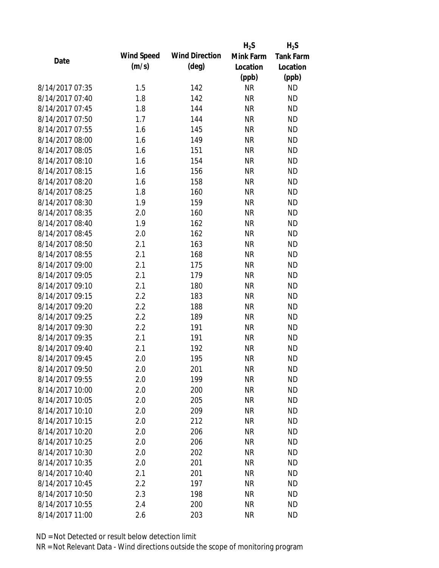|                 |            |                       | $H_2S$    | $H_2S$           |
|-----------------|------------|-----------------------|-----------|------------------|
| Date            | Wind Speed | <b>Wind Direction</b> | Mink Farm | <b>Tank Farm</b> |
|                 | (m/s)      | $(\text{deg})$        | Location  | Location         |
|                 |            |                       | (ppb)     | (ppb)            |
| 8/14/2017 07:35 | 1.5        | 142                   | <b>NR</b> | <b>ND</b>        |
| 8/14/2017 07:40 | 1.8        | 142                   | <b>NR</b> | <b>ND</b>        |
| 8/14/2017 07:45 | 1.8        | 144                   | <b>NR</b> | <b>ND</b>        |
| 8/14/2017 07:50 | 1.7        | 144                   | <b>NR</b> | <b>ND</b>        |
| 8/14/2017 07:55 | 1.6        | 145                   | <b>NR</b> | <b>ND</b>        |
| 8/14/2017 08:00 | 1.6        | 149                   | <b>NR</b> | <b>ND</b>        |
| 8/14/2017 08:05 | 1.6        | 151                   | <b>NR</b> | <b>ND</b>        |
| 8/14/2017 08:10 | 1.6        | 154                   | <b>NR</b> | <b>ND</b>        |
| 8/14/2017 08:15 | 1.6        | 156                   | <b>NR</b> | <b>ND</b>        |
| 8/14/2017 08:20 | 1.6        | 158                   | <b>NR</b> | <b>ND</b>        |
| 8/14/2017 08:25 | 1.8        | 160                   | <b>NR</b> | <b>ND</b>        |
| 8/14/2017 08:30 | 1.9        | 159                   | <b>NR</b> | <b>ND</b>        |
| 8/14/2017 08:35 | 2.0        | 160                   | <b>NR</b> | <b>ND</b>        |
| 8/14/2017 08:40 | 1.9        | 162                   | <b>NR</b> | <b>ND</b>        |
| 8/14/2017 08:45 | 2.0        | 162                   | <b>NR</b> | <b>ND</b>        |
| 8/14/2017 08:50 | 2.1        | 163                   | <b>NR</b> | <b>ND</b>        |
| 8/14/2017 08:55 | 2.1        | 168                   | <b>NR</b> | <b>ND</b>        |
| 8/14/2017 09:00 | 2.1        | 175                   | <b>NR</b> | <b>ND</b>        |
| 8/14/2017 09:05 | 2.1        | 179                   | <b>NR</b> | <b>ND</b>        |
| 8/14/2017 09:10 | 2.1        | 180                   | <b>NR</b> | <b>ND</b>        |
| 8/14/2017 09:15 | 2.2        | 183                   | <b>NR</b> | <b>ND</b>        |
| 8/14/2017 09:20 | 2.2        | 188                   | <b>NR</b> | <b>ND</b>        |
| 8/14/2017 09:25 | 2.2        | 189                   | <b>NR</b> | <b>ND</b>        |
| 8/14/2017 09:30 | 2.2        | 191                   | <b>NR</b> | <b>ND</b>        |
| 8/14/2017 09:35 | 2.1        | 191                   | <b>NR</b> | <b>ND</b>        |
| 8/14/2017 09:40 | 2.1        | 192                   | <b>NR</b> | <b>ND</b>        |
| 8/14/2017 09:45 | 2.0        | 195                   | <b>NR</b> | <b>ND</b>        |
| 8/14/2017 09:50 | 2.0        | 201                   | <b>NR</b> | <b>ND</b>        |
| 8/14/2017 09:55 | 2.0        | 199                   | <b>NR</b> | <b>ND</b>        |
| 8/14/2017 10:00 | 2.0        | 200                   | <b>NR</b> | <b>ND</b>        |
| 8/14/2017 10:05 | 2.0        | 205                   | <b>NR</b> | <b>ND</b>        |
| 8/14/2017 10:10 | 2.0        | 209                   | <b>NR</b> | <b>ND</b>        |
| 8/14/2017 10:15 | 2.0        | 212                   | <b>NR</b> | <b>ND</b>        |
| 8/14/2017 10:20 | 2.0        | 206                   | <b>NR</b> | <b>ND</b>        |
| 8/14/2017 10:25 | 2.0        | 206                   | <b>NR</b> | <b>ND</b>        |
| 8/14/2017 10:30 | 2.0        | 202                   | <b>NR</b> | <b>ND</b>        |
| 8/14/2017 10:35 | 2.0        | 201                   | <b>NR</b> | <b>ND</b>        |
| 8/14/2017 10:40 | 2.1        | 201                   | <b>NR</b> | <b>ND</b>        |
| 8/14/2017 10:45 | 2.2        | 197                   | <b>NR</b> | <b>ND</b>        |
| 8/14/2017 10:50 | 2.3        | 198                   | ΝR        | <b>ND</b>        |
| 8/14/2017 10:55 | 2.4        | 200                   | <b>NR</b> | <b>ND</b>        |
| 8/14/2017 11:00 | 2.6        | 203                   | <b>NR</b> | <b>ND</b>        |
|                 |            |                       |           |                  |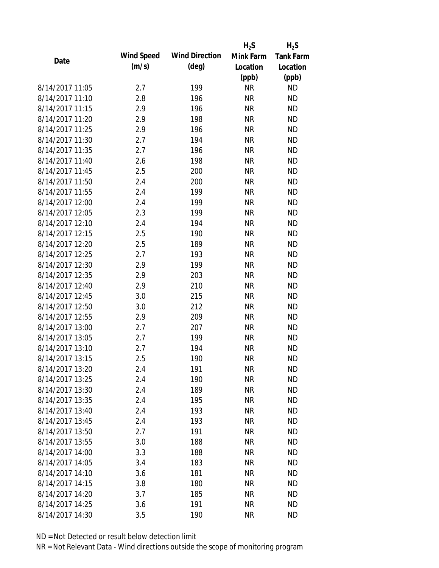|                 |            |                       | $H_2S$    | $H_2S$           |
|-----------------|------------|-----------------------|-----------|------------------|
| Date            | Wind Speed | <b>Wind Direction</b> | Mink Farm | <b>Tank Farm</b> |
|                 | (m/s)      | $(\text{deg})$        | Location  | Location         |
|                 |            |                       | (ppb)     | (ppb)            |
| 8/14/2017 11:05 | 2.7        | 199                   | <b>NR</b> | <b>ND</b>        |
| 8/14/2017 11:10 | 2.8        | 196                   | <b>NR</b> | <b>ND</b>        |
| 8/14/2017 11:15 | 2.9        | 196                   | <b>NR</b> | <b>ND</b>        |
| 8/14/2017 11:20 | 2.9        | 198                   | <b>NR</b> | <b>ND</b>        |
| 8/14/2017 11:25 | 2.9        | 196                   | <b>NR</b> | <b>ND</b>        |
| 8/14/2017 11:30 | 2.7        | 194                   | <b>NR</b> | <b>ND</b>        |
| 8/14/2017 11:35 | 2.7        | 196                   | <b>NR</b> | <b>ND</b>        |
| 8/14/2017 11:40 | 2.6        | 198                   | <b>NR</b> | <b>ND</b>        |
| 8/14/2017 11:45 | 2.5        | 200                   | <b>NR</b> | <b>ND</b>        |
| 8/14/2017 11:50 | 2.4        | 200                   | <b>NR</b> | <b>ND</b>        |
| 8/14/2017 11:55 | 2.4        | 199                   | <b>NR</b> | <b>ND</b>        |
| 8/14/2017 12:00 | 2.4        | 199                   | <b>NR</b> | <b>ND</b>        |
| 8/14/2017 12:05 | 2.3        | 199                   | <b>NR</b> | <b>ND</b>        |
| 8/14/2017 12:10 | 2.4        | 194                   | <b>NR</b> | <b>ND</b>        |
| 8/14/2017 12:15 | 2.5        | 190                   | <b>NR</b> | <b>ND</b>        |
| 8/14/2017 12:20 | 2.5        | 189                   | <b>NR</b> | <b>ND</b>        |
| 8/14/2017 12:25 | 2.7        | 193                   | <b>NR</b> | <b>ND</b>        |
| 8/14/2017 12:30 | 2.9        | 199                   | <b>NR</b> | <b>ND</b>        |
| 8/14/2017 12:35 | 2.9        | 203                   | <b>NR</b> | <b>ND</b>        |
| 8/14/2017 12:40 | 2.9        | 210                   | <b>NR</b> | <b>ND</b>        |
| 8/14/2017 12:45 | 3.0        | 215                   | <b>NR</b> | <b>ND</b>        |
| 8/14/2017 12:50 | 3.0        | 212                   | <b>NR</b> | <b>ND</b>        |
| 8/14/2017 12:55 | 2.9        | 209                   | <b>NR</b> | <b>ND</b>        |
| 8/14/2017 13:00 | 2.7        | 207                   | <b>NR</b> | <b>ND</b>        |
| 8/14/2017 13:05 | 2.7        | 199                   | <b>NR</b> | <b>ND</b>        |
| 8/14/2017 13:10 | 2.7        | 194                   | <b>NR</b> | <b>ND</b>        |
| 8/14/2017 13:15 | 2.5        | 190                   | <b>NR</b> | <b>ND</b>        |
| 8/14/2017 13:20 | 2.4        | 191                   | <b>NR</b> | <b>ND</b>        |
| 8/14/2017 13:25 | 2.4        | 190                   | <b>NR</b> | <b>ND</b>        |
| 8/14/2017 13:30 | 2.4        | 189                   | <b>NR</b> | <b>ND</b>        |
| 8/14/2017 13:35 | 2.4        | 195                   | <b>NR</b> | <b>ND</b>        |
| 8/14/2017 13:40 | 2.4        | 193                   | <b>NR</b> | <b>ND</b>        |
| 8/14/2017 13:45 | 2.4        | 193                   | <b>NR</b> | <b>ND</b>        |
| 8/14/2017 13:50 | 2.7        | 191                   | <b>NR</b> | <b>ND</b>        |
| 8/14/2017 13:55 | 3.0        | 188                   | <b>NR</b> | <b>ND</b>        |
| 8/14/2017 14:00 | 3.3        | 188                   | <b>NR</b> | <b>ND</b>        |
| 8/14/2017 14:05 | 3.4        | 183                   | <b>NR</b> | <b>ND</b>        |
| 8/14/2017 14:10 | 3.6        | 181                   | <b>NR</b> | <b>ND</b>        |
| 8/14/2017 14:15 | 3.8        | 180                   | <b>NR</b> | <b>ND</b>        |
| 8/14/2017 14:20 | 3.7        | 185                   | <b>NR</b> | <b>ND</b>        |
| 8/14/2017 14:25 | 3.6        | 191                   | <b>NR</b> | <b>ND</b>        |
| 8/14/2017 14:30 | 3.5        | 190                   | <b>NR</b> | <b>ND</b>        |
|                 |            |                       |           |                  |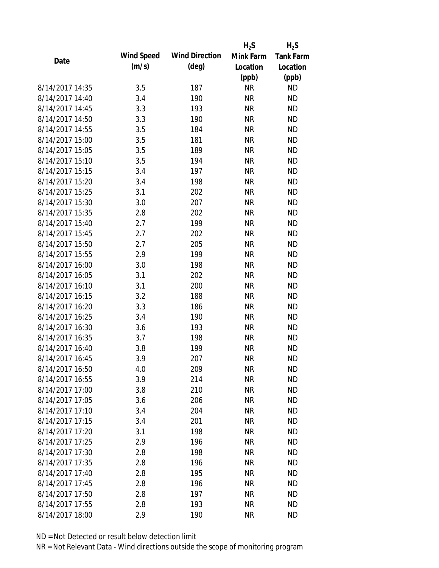|                 |            |                       | $H_2S$    | $H_2S$           |
|-----------------|------------|-----------------------|-----------|------------------|
| Date            | Wind Speed | <b>Wind Direction</b> | Mink Farm | <b>Tank Farm</b> |
|                 | (m/s)      | $(\text{deg})$        | Location  | Location         |
|                 |            |                       | (ppb)     | (ppb)            |
| 8/14/2017 14:35 | 3.5        | 187                   | <b>NR</b> | <b>ND</b>        |
| 8/14/2017 14:40 | 3.4        | 190                   | <b>NR</b> | <b>ND</b>        |
| 8/14/2017 14:45 | 3.3        | 193                   | <b>NR</b> | <b>ND</b>        |
| 8/14/2017 14:50 | 3.3        | 190                   | <b>NR</b> | <b>ND</b>        |
| 8/14/2017 14:55 | 3.5        | 184                   | <b>NR</b> | <b>ND</b>        |
| 8/14/2017 15:00 | 3.5        | 181                   | <b>NR</b> | <b>ND</b>        |
| 8/14/2017 15:05 | 3.5        | 189                   | <b>NR</b> | <b>ND</b>        |
| 8/14/2017 15:10 | 3.5        | 194                   | <b>NR</b> | <b>ND</b>        |
| 8/14/2017 15:15 | 3.4        | 197                   | <b>NR</b> | <b>ND</b>        |
| 8/14/2017 15:20 | 3.4        | 198                   | <b>NR</b> | <b>ND</b>        |
| 8/14/2017 15:25 | 3.1        | 202                   | <b>NR</b> | <b>ND</b>        |
| 8/14/2017 15:30 | 3.0        | 207                   | <b>NR</b> | <b>ND</b>        |
| 8/14/2017 15:35 | 2.8        | 202                   | <b>NR</b> | <b>ND</b>        |
| 8/14/2017 15:40 | 2.7        | 199                   | <b>NR</b> | <b>ND</b>        |
| 8/14/2017 15:45 | 2.7        | 202                   | <b>NR</b> | <b>ND</b>        |
| 8/14/2017 15:50 | 2.7        | 205                   | <b>NR</b> | <b>ND</b>        |
| 8/14/2017 15:55 | 2.9        | 199                   | <b>NR</b> | <b>ND</b>        |
| 8/14/2017 16:00 | 3.0        | 198                   | <b>NR</b> | <b>ND</b>        |
| 8/14/2017 16:05 | 3.1        | 202                   | <b>NR</b> | <b>ND</b>        |
| 8/14/2017 16:10 | 3.1        | 200                   | <b>NR</b> | <b>ND</b>        |
| 8/14/2017 16:15 | 3.2        | 188                   | <b>NR</b> | <b>ND</b>        |
| 8/14/2017 16:20 | 3.3        | 186                   | <b>NR</b> | <b>ND</b>        |
| 8/14/2017 16:25 | 3.4        | 190                   | <b>NR</b> | <b>ND</b>        |
| 8/14/2017 16:30 | 3.6        | 193                   | <b>NR</b> | <b>ND</b>        |
| 8/14/2017 16:35 | 3.7        | 198                   | <b>NR</b> | <b>ND</b>        |
| 8/14/2017 16:40 | 3.8        | 199                   | <b>NR</b> | <b>ND</b>        |
| 8/14/2017 16:45 | 3.9        | 207                   | <b>NR</b> | <b>ND</b>        |
| 8/14/2017 16:50 | 4.0        | 209                   | <b>NR</b> | <b>ND</b>        |
| 8/14/2017 16:55 | 3.9        | 214                   | <b>NR</b> | <b>ND</b>        |
| 8/14/2017 17:00 | 3.8        | 210                   | <b>NR</b> | <b>ND</b>        |
| 8/14/2017 17:05 | 3.6        | 206                   | <b>NR</b> | <b>ND</b>        |
| 8/14/2017 17:10 | 3.4        | 204                   | <b>NR</b> | <b>ND</b>        |
| 8/14/2017 17:15 | 3.4        | 201                   | <b>NR</b> | <b>ND</b>        |
| 8/14/2017 17:20 | 3.1        | 198                   | <b>NR</b> | <b>ND</b>        |
| 8/14/2017 17:25 | 2.9        | 196                   | <b>NR</b> | <b>ND</b>        |
| 8/14/2017 17:30 | 2.8        | 198                   | <b>NR</b> | <b>ND</b>        |
| 8/14/2017 17:35 | 2.8        | 196                   | <b>NR</b> | <b>ND</b>        |
| 8/14/2017 17:40 | 2.8        | 195                   | <b>NR</b> | <b>ND</b>        |
| 8/14/2017 17:45 | 2.8        | 196                   | <b>NR</b> | <b>ND</b>        |
| 8/14/2017 17:50 | 2.8        | 197                   | NR        | <b>ND</b>        |
| 8/14/2017 17:55 | 2.8        | 193                   | <b>NR</b> | <b>ND</b>        |
| 8/14/2017 18:00 | 2.9        | 190                   | <b>NR</b> | <b>ND</b>        |
|                 |            |                       |           |                  |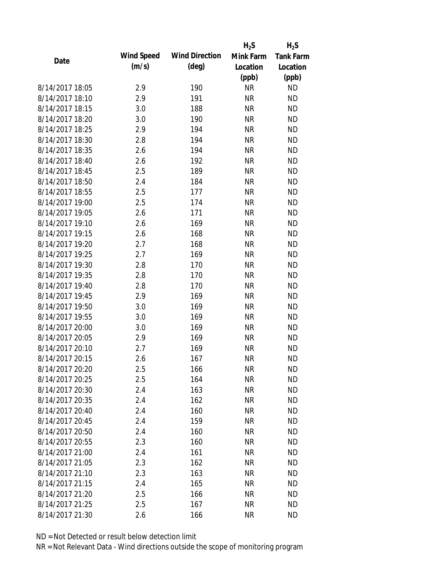|                 |            |                       | $H_2S$    | $H_2S$           |
|-----------------|------------|-----------------------|-----------|------------------|
| Date            | Wind Speed | <b>Wind Direction</b> | Mink Farm | <b>Tank Farm</b> |
|                 | (m/s)      | $(\text{deg})$        | Location  | Location         |
|                 |            |                       | (ppb)     | (ppb)            |
| 8/14/2017 18:05 | 2.9        | 190                   | <b>NR</b> | <b>ND</b>        |
| 8/14/2017 18:10 | 2.9        | 191                   | <b>NR</b> | <b>ND</b>        |
| 8/14/2017 18:15 | 3.0        | 188                   | <b>NR</b> | <b>ND</b>        |
| 8/14/2017 18:20 | 3.0        | 190                   | <b>NR</b> | <b>ND</b>        |
| 8/14/2017 18:25 | 2.9        | 194                   | <b>NR</b> | <b>ND</b>        |
| 8/14/2017 18:30 | 2.8        | 194                   | <b>NR</b> | <b>ND</b>        |
| 8/14/2017 18:35 | 2.6        | 194                   | <b>NR</b> | <b>ND</b>        |
| 8/14/2017 18:40 | 2.6        | 192                   | <b>NR</b> | <b>ND</b>        |
| 8/14/2017 18:45 | 2.5        | 189                   | <b>NR</b> | <b>ND</b>        |
| 8/14/2017 18:50 | 2.4        | 184                   | <b>NR</b> | <b>ND</b>        |
| 8/14/2017 18:55 | 2.5        | 177                   | <b>NR</b> | <b>ND</b>        |
| 8/14/2017 19:00 | 2.5        | 174                   | <b>NR</b> | <b>ND</b>        |
| 8/14/2017 19:05 | 2.6        | 171                   | <b>NR</b> | <b>ND</b>        |
| 8/14/2017 19:10 | 2.6        | 169                   | <b>NR</b> | <b>ND</b>        |
| 8/14/2017 19:15 | 2.6        | 168                   | <b>NR</b> | <b>ND</b>        |
| 8/14/2017 19:20 | 2.7        | 168                   | <b>NR</b> | <b>ND</b>        |
| 8/14/2017 19:25 | 2.7        | 169                   | <b>NR</b> | <b>ND</b>        |
| 8/14/2017 19:30 | 2.8        | 170                   | <b>NR</b> | <b>ND</b>        |
| 8/14/2017 19:35 | 2.8        | 170                   | <b>NR</b> | <b>ND</b>        |
| 8/14/2017 19:40 | 2.8        | 170                   | <b>NR</b> | <b>ND</b>        |
| 8/14/2017 19:45 | 2.9        | 169                   | <b>NR</b> | <b>ND</b>        |
| 8/14/2017 19:50 | 3.0        | 169                   | <b>NR</b> | <b>ND</b>        |
| 8/14/2017 19:55 | 3.0        | 169                   | <b>NR</b> | <b>ND</b>        |
| 8/14/2017 20:00 | 3.0        | 169                   | <b>NR</b> | <b>ND</b>        |
| 8/14/2017 20:05 | 2.9        | 169                   | <b>NR</b> | <b>ND</b>        |
| 8/14/2017 20:10 | 2.7        | 169                   | <b>NR</b> | <b>ND</b>        |
| 8/14/2017 20:15 | 2.6        | 167                   | <b>NR</b> | <b>ND</b>        |
| 8/14/2017 20:20 | 2.5        | 166                   | <b>NR</b> | <b>ND</b>        |
| 8/14/2017 20:25 | 2.5        | 164                   | <b>NR</b> | <b>ND</b>        |
| 8/14/2017 20:30 | 2.4        | 163                   | <b>NR</b> | <b>ND</b>        |
| 8/14/2017 20:35 | 2.4        | 162                   | <b>NR</b> | <b>ND</b>        |
| 8/14/2017 20:40 | 2.4        | 160                   | <b>NR</b> | <b>ND</b>        |
| 8/14/2017 20:45 | 2.4        | 159                   | <b>NR</b> | <b>ND</b>        |
| 8/14/2017 20:50 | 2.4        | 160                   | <b>NR</b> | <b>ND</b>        |
| 8/14/2017 20:55 | 2.3        | 160                   | <b>NR</b> | <b>ND</b>        |
| 8/14/2017 21:00 | 2.4        | 161                   | <b>NR</b> | <b>ND</b>        |
| 8/14/2017 21:05 | 2.3        | 162                   | <b>NR</b> | <b>ND</b>        |
| 8/14/2017 21:10 | 2.3        | 163                   | <b>NR</b> | <b>ND</b>        |
| 8/14/2017 21:15 | 2.4        | 165                   | <b>NR</b> | <b>ND</b>        |
| 8/14/2017 21:20 | 2.5        | 166                   | ΝR        | <b>ND</b>        |
| 8/14/2017 21:25 | 2.5        | 167                   | <b>NR</b> | <b>ND</b>        |
| 8/14/2017 21:30 | 2.6        | 166                   | <b>NR</b> | <b>ND</b>        |
|                 |            |                       |           |                  |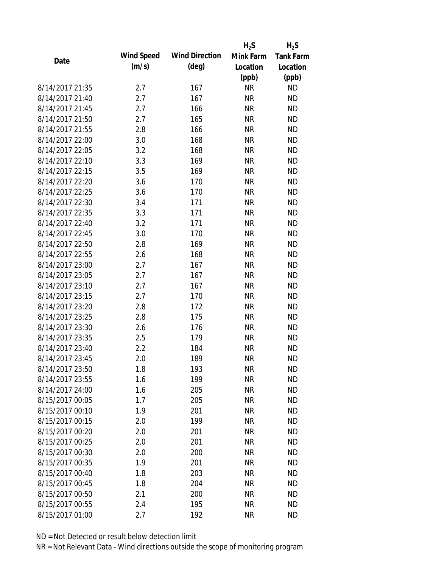|                 |            |                       | $H_2S$    | $H_2S$           |
|-----------------|------------|-----------------------|-----------|------------------|
| Date            | Wind Speed | <b>Wind Direction</b> | Mink Farm | <b>Tank Farm</b> |
|                 | (m/s)      | $(\text{deg})$        | Location  | Location         |
|                 |            |                       | (ppb)     | (ppb)            |
| 8/14/2017 21:35 | 2.7        | 167                   | <b>NR</b> | <b>ND</b>        |
| 8/14/2017 21:40 | 2.7        | 167                   | <b>NR</b> | <b>ND</b>        |
| 8/14/2017 21:45 | 2.7        | 166                   | <b>NR</b> | <b>ND</b>        |
| 8/14/2017 21:50 | 2.7        | 165                   | <b>NR</b> | <b>ND</b>        |
| 8/14/2017 21:55 | 2.8        | 166                   | <b>NR</b> | <b>ND</b>        |
| 8/14/2017 22:00 | 3.0        | 168                   | <b>NR</b> | <b>ND</b>        |
| 8/14/2017 22:05 | 3.2        | 168                   | <b>NR</b> | <b>ND</b>        |
| 8/14/2017 22:10 | 3.3        | 169                   | <b>NR</b> | <b>ND</b>        |
| 8/14/2017 22:15 | 3.5        | 169                   | <b>NR</b> | <b>ND</b>        |
| 8/14/2017 22:20 | 3.6        | 170                   | <b>NR</b> | <b>ND</b>        |
| 8/14/2017 22:25 | 3.6        | 170                   | <b>NR</b> | <b>ND</b>        |
| 8/14/2017 22:30 | 3.4        | 171                   | <b>NR</b> | <b>ND</b>        |
| 8/14/2017 22:35 | 3.3        | 171                   | <b>NR</b> | <b>ND</b>        |
| 8/14/2017 22:40 | 3.2        | 171                   | <b>NR</b> | <b>ND</b>        |
| 8/14/2017 22:45 | 3.0        | 170                   | <b>NR</b> | <b>ND</b>        |
| 8/14/2017 22:50 | 2.8        | 169                   | <b>NR</b> | <b>ND</b>        |
| 8/14/2017 22:55 | 2.6        | 168                   | <b>NR</b> | <b>ND</b>        |
| 8/14/2017 23:00 | 2.7        | 167                   | <b>NR</b> | <b>ND</b>        |
| 8/14/2017 23:05 | 2.7        | 167                   | <b>NR</b> | <b>ND</b>        |
| 8/14/2017 23:10 | 2.7        | 167                   | <b>NR</b> | <b>ND</b>        |
| 8/14/2017 23:15 | 2.7        | 170                   | <b>NR</b> | <b>ND</b>        |
| 8/14/2017 23:20 | 2.8        | 172                   | <b>NR</b> | <b>ND</b>        |
| 8/14/2017 23:25 | 2.8        | 175                   | <b>NR</b> | <b>ND</b>        |
| 8/14/2017 23:30 | 2.6        | 176                   | <b>NR</b> | <b>ND</b>        |
| 8/14/2017 23:35 | 2.5        | 179                   | <b>NR</b> | <b>ND</b>        |
| 8/14/2017 23:40 | 2.2        | 184                   | <b>NR</b> | <b>ND</b>        |
| 8/14/2017 23:45 | 2.0        | 189                   | <b>NR</b> | <b>ND</b>        |
| 8/14/2017 23:50 | 1.8        | 193                   | <b>NR</b> | <b>ND</b>        |
| 8/14/2017 23:55 | 1.6        | 199                   | <b>NR</b> | <b>ND</b>        |
| 8/14/2017 24:00 | 1.6        | 205                   | <b>NR</b> | <b>ND</b>        |
| 8/15/2017 00:05 | 1.7        | 205                   | <b>NR</b> | <b>ND</b>        |
| 8/15/2017 00:10 | 1.9        | 201                   | <b>NR</b> | <b>ND</b>        |
| 8/15/2017 00:15 | 2.0        | 199                   | <b>NR</b> | <b>ND</b>        |
| 8/15/2017 00:20 | 2.0        | 201                   | <b>NR</b> | <b>ND</b>        |
| 8/15/2017 00:25 | 2.0        | 201                   | <b>NR</b> | <b>ND</b>        |
| 8/15/2017 00:30 | 2.0        | 200                   | <b>NR</b> | <b>ND</b>        |
| 8/15/2017 00:35 | 1.9        | 201                   | <b>NR</b> | <b>ND</b>        |
| 8/15/2017 00:40 | 1.8        | 203                   | <b>NR</b> | <b>ND</b>        |
| 8/15/2017 00:45 | 1.8        | 204                   | <b>NR</b> | <b>ND</b>        |
| 8/15/2017 00:50 | 2.1        | 200                   | ΝR        | <b>ND</b>        |
| 8/15/2017 00:55 | 2.4        | 195                   | <b>NR</b> | <b>ND</b>        |
| 8/15/2017 01:00 | 2.7        | 192                   | <b>NR</b> | <b>ND</b>        |
|                 |            |                       |           |                  |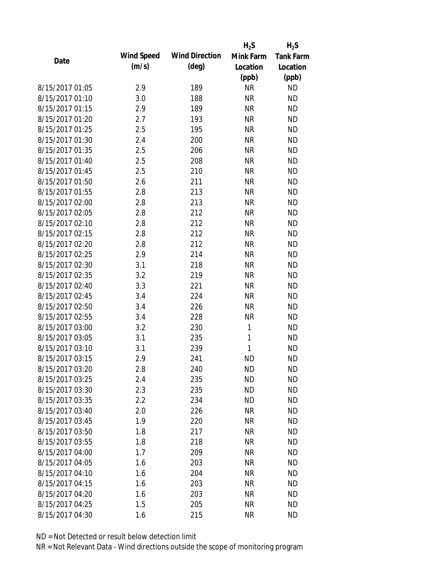|                 |            |                       | $H_2S$    | $H_2S$           |
|-----------------|------------|-----------------------|-----------|------------------|
| Date            | Wind Speed | <b>Wind Direction</b> | Mink Farm | <b>Tank Farm</b> |
|                 | (m/s)      | $(\text{deg})$        | Location  | Location         |
|                 |            |                       | (ppb)     | (ppb)            |
| 8/15/2017 01:05 | 2.9        | 189                   | <b>NR</b> | <b>ND</b>        |
| 8/15/2017 01:10 | 3.0        | 188                   | <b>NR</b> | <b>ND</b>        |
| 8/15/2017 01:15 | 2.9        | 189                   | <b>NR</b> | <b>ND</b>        |
| 8/15/2017 01:20 | 2.7        | 193                   | <b>NR</b> | <b>ND</b>        |
| 8/15/2017 01:25 | 2.5        | 195                   | <b>NR</b> | <b>ND</b>        |
| 8/15/2017 01:30 | 2.4        | 200                   | <b>NR</b> | <b>ND</b>        |
| 8/15/2017 01:35 | 2.5        | 206                   | <b>NR</b> | <b>ND</b>        |
| 8/15/2017 01:40 | 2.5        | 208                   | <b>NR</b> | <b>ND</b>        |
| 8/15/2017 01:45 | 2.5        | 210                   | <b>NR</b> | <b>ND</b>        |
| 8/15/2017 01:50 | 2.6        | 211                   | <b>NR</b> | <b>ND</b>        |
| 8/15/2017 01:55 | 2.8        | 213                   | <b>NR</b> | <b>ND</b>        |
| 8/15/2017 02:00 | 2.8        | 213                   | <b>NR</b> | <b>ND</b>        |
| 8/15/2017 02:05 | 2.8        | 212                   | <b>NR</b> | <b>ND</b>        |
| 8/15/2017 02:10 | 2.8        | 212                   | <b>NR</b> | <b>ND</b>        |
| 8/15/2017 02:15 | 2.8        | 212                   | <b>NR</b> | <b>ND</b>        |
| 8/15/2017 02:20 | 2.8        | 212                   | <b>NR</b> | <b>ND</b>        |
| 8/15/2017 02:25 | 2.9        | 214                   | <b>NR</b> | <b>ND</b>        |
| 8/15/2017 02:30 | 3.1        | 218                   | <b>NR</b> | <b>ND</b>        |
| 8/15/2017 02:35 | 3.2        | 219                   | <b>NR</b> | <b>ND</b>        |
| 8/15/2017 02:40 | 3.3        | 221                   | <b>NR</b> | <b>ND</b>        |
| 8/15/2017 02:45 | 3.4        | 224                   | <b>NR</b> | <b>ND</b>        |
| 8/15/2017 02:50 | 3.4        | 226                   | <b>NR</b> | <b>ND</b>        |
| 8/15/2017 02:55 | 3.4        | 228                   | <b>NR</b> | <b>ND</b>        |
| 8/15/2017 03:00 | 3.2        | 230                   | 1         | <b>ND</b>        |
| 8/15/2017 03:05 | 3.1        | 235                   | 1         | <b>ND</b>        |
| 8/15/2017 03:10 | 3.1        | 239                   | 1         | <b>ND</b>        |
| 8/15/2017 03:15 | 2.9        | 241                   | <b>ND</b> | <b>ND</b>        |
| 8/15/2017 03:20 | 2.8        | 240                   | <b>ND</b> | <b>ND</b>        |
| 8/15/2017 03:25 | 2.4        | 235                   | <b>ND</b> | <b>ND</b>        |
| 8/15/2017 03:30 | 2.3        | 235                   | <b>ND</b> | <b>ND</b>        |
| 8/15/2017 03:35 | 2.2        | 234                   | <b>ND</b> | <b>ND</b>        |
| 8/15/2017 03:40 | 2.0        | 226                   | <b>NR</b> | <b>ND</b>        |
| 8/15/2017 03:45 | 1.9        | 220                   | <b>NR</b> | <b>ND</b>        |
| 8/15/2017 03:50 | 1.8        | 217                   | <b>NR</b> | <b>ND</b>        |
| 8/15/2017 03:55 | 1.8        | 218                   | <b>NR</b> | <b>ND</b>        |
| 8/15/2017 04:00 | 1.7        | 209                   | <b>NR</b> | <b>ND</b>        |
| 8/15/2017 04:05 | 1.6        | 203                   | <b>NR</b> | <b>ND</b>        |
| 8/15/2017 04:10 | 1.6        | 204                   | <b>NR</b> | <b>ND</b>        |
| 8/15/2017 04:15 | 1.6        | 203                   | <b>NR</b> | <b>ND</b>        |
| 8/15/2017 04:20 | 1.6        | 203                   | ΝR        | <b>ND</b>        |
| 8/15/2017 04:25 | 1.5        | 205                   | <b>NR</b> | <b>ND</b>        |
| 8/15/2017 04:30 | 1.6        | 215                   | <b>NR</b> | <b>ND</b>        |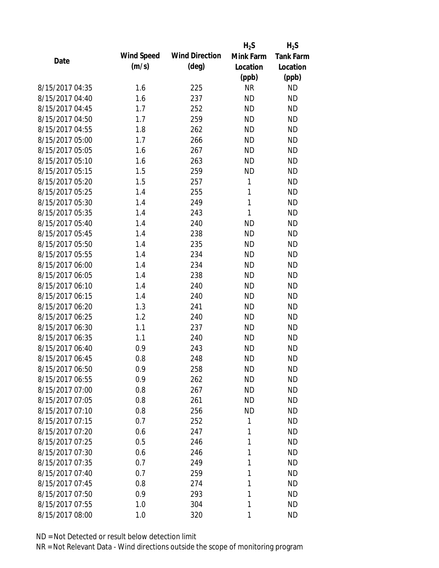|                 |            |                       | $H_2S$       | $H_2S$           |
|-----------------|------------|-----------------------|--------------|------------------|
| Date            | Wind Speed | <b>Wind Direction</b> | Mink Farm    | <b>Tank Farm</b> |
|                 | (m/s)      | $(\text{deg})$        | Location     | Location         |
|                 |            |                       | (ppb)        | (ppb)            |
| 8/15/2017 04:35 | 1.6        | 225                   | <b>NR</b>    | <b>ND</b>        |
| 8/15/2017 04:40 | 1.6        | 237                   | <b>ND</b>    | <b>ND</b>        |
| 8/15/2017 04:45 | 1.7        | 252                   | <b>ND</b>    | <b>ND</b>        |
| 8/15/2017 04:50 | 1.7        | 259                   | <b>ND</b>    | <b>ND</b>        |
| 8/15/2017 04:55 | 1.8        | 262                   | <b>ND</b>    | <b>ND</b>        |
| 8/15/2017 05:00 | 1.7        | 266                   | <b>ND</b>    | <b>ND</b>        |
| 8/15/2017 05:05 | 1.6        | 267                   | <b>ND</b>    | <b>ND</b>        |
| 8/15/2017 05:10 | 1.6        | 263                   | <b>ND</b>    | <b>ND</b>        |
| 8/15/2017 05:15 | 1.5        | 259                   | <b>ND</b>    | <b>ND</b>        |
| 8/15/2017 05:20 | 1.5        | 257                   | 1            | <b>ND</b>        |
| 8/15/2017 05:25 | 1.4        | 255                   | 1            | <b>ND</b>        |
| 8/15/2017 05:30 | 1.4        | 249                   | $\mathbf{1}$ | <b>ND</b>        |
| 8/15/2017 05:35 | 1.4        | 243                   | $\mathbf{1}$ | <b>ND</b>        |
| 8/15/2017 05:40 | 1.4        | 240                   | <b>ND</b>    | <b>ND</b>        |
| 8/15/2017 05:45 | 1.4        | 238                   | <b>ND</b>    | <b>ND</b>        |
| 8/15/2017 05:50 | 1.4        | 235                   | <b>ND</b>    | <b>ND</b>        |
| 8/15/2017 05:55 | 1.4        | 234                   | <b>ND</b>    | <b>ND</b>        |
| 8/15/2017 06:00 | 1.4        | 234                   | <b>ND</b>    | <b>ND</b>        |
| 8/15/2017 06:05 | 1.4        | 238                   | <b>ND</b>    | <b>ND</b>        |
| 8/15/2017 06:10 | 1.4        | 240                   | <b>ND</b>    | <b>ND</b>        |
| 8/15/2017 06:15 | 1.4        | 240                   | <b>ND</b>    | <b>ND</b>        |
| 8/15/2017 06:20 | 1.3        | 241                   | <b>ND</b>    | <b>ND</b>        |
| 8/15/2017 06:25 | 1.2        | 240                   | <b>ND</b>    | <b>ND</b>        |
| 8/15/2017 06:30 | 1.1        | 237                   | <b>ND</b>    | <b>ND</b>        |
| 8/15/2017 06:35 | 1.1        | 240                   | <b>ND</b>    | <b>ND</b>        |
| 8/15/2017 06:40 | 0.9        | 243                   | <b>ND</b>    | <b>ND</b>        |
| 8/15/2017 06:45 | 0.8        | 248                   | <b>ND</b>    | <b>ND</b>        |
| 8/15/2017 06:50 | 0.9        | 258                   | <b>ND</b>    | <b>ND</b>        |
| 8/15/2017 06:55 | 0.9        | 262                   | <b>ND</b>    | <b>ND</b>        |
| 8/15/2017 07:00 | 0.8        | 267                   | <b>ND</b>    | <b>ND</b>        |
| 8/15/2017 07:05 | 0.8        | 261                   | <b>ND</b>    | <b>ND</b>        |
| 8/15/2017 07:10 | 0.8        | 256                   | <b>ND</b>    | <b>ND</b>        |
| 8/15/2017 07:15 | 0.7        | 252                   | 1            | <b>ND</b>        |
| 8/15/2017 07:20 | 0.6        | 247                   | 1            | <b>ND</b>        |
| 8/15/2017 07:25 | 0.5        | 246                   | 1            | <b>ND</b>        |
| 8/15/2017 07:30 | 0.6        | 246                   | 1            | <b>ND</b>        |
| 8/15/2017 07:35 | 0.7        | 249                   | 1            | <b>ND</b>        |
| 8/15/2017 07:40 | 0.7        | 259                   | 1            | <b>ND</b>        |
| 8/15/2017 07:45 | 0.8        | 274                   | 1            | <b>ND</b>        |
| 8/15/2017 07:50 | 0.9        | 293                   | 1            | <b>ND</b>        |
| 8/15/2017 07:55 | 1.0        | 304                   | 1            | <b>ND</b>        |
| 8/15/2017 08:00 | 1.0        | 320                   | 1            | <b>ND</b>        |
|                 |            |                       |              |                  |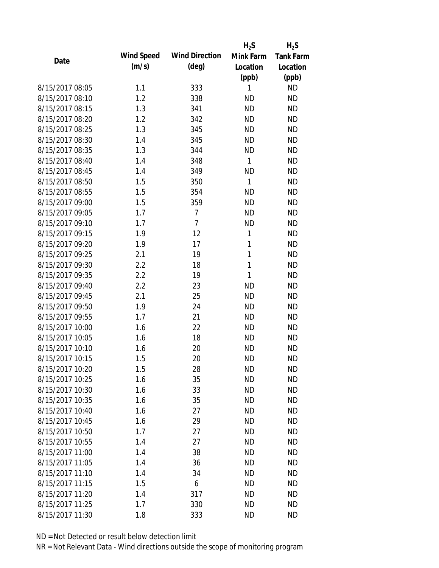|                 |            |                       | $H_2S$       | $H_2S$           |
|-----------------|------------|-----------------------|--------------|------------------|
| Date            | Wind Speed | <b>Wind Direction</b> | Mink Farm    | <b>Tank Farm</b> |
|                 | (m/s)      | $(\text{deg})$        | Location     | Location         |
|                 |            |                       | (ppb)        | (ppb)            |
| 8/15/2017 08:05 | 1.1        | 333                   | 1            | <b>ND</b>        |
| 8/15/2017 08:10 | 1.2        | 338                   | <b>ND</b>    | <b>ND</b>        |
| 8/15/2017 08:15 | 1.3        | 341                   | <b>ND</b>    | <b>ND</b>        |
| 8/15/2017 08:20 | 1.2        | 342                   | <b>ND</b>    | <b>ND</b>        |
| 8/15/2017 08:25 | 1.3        | 345                   | <b>ND</b>    | <b>ND</b>        |
| 8/15/2017 08:30 | 1.4        | 345                   | <b>ND</b>    | <b>ND</b>        |
| 8/15/2017 08:35 | 1.3        | 344                   | <b>ND</b>    | <b>ND</b>        |
| 8/15/2017 08:40 | 1.4        | 348                   | $\mathbf{1}$ | <b>ND</b>        |
| 8/15/2017 08:45 | 1.4        | 349                   | <b>ND</b>    | <b>ND</b>        |
| 8/15/2017 08:50 | 1.5        | 350                   | $\mathbf{1}$ | <b>ND</b>        |
| 8/15/2017 08:55 | 1.5        | 354                   | <b>ND</b>    | <b>ND</b>        |
| 8/15/2017 09:00 | 1.5        | 359                   | <b>ND</b>    | <b>ND</b>        |
| 8/15/2017 09:05 | 1.7        | $\overline{7}$        | <b>ND</b>    | <b>ND</b>        |
| 8/15/2017 09:10 | 1.7        | $\overline{7}$        | <b>ND</b>    | <b>ND</b>        |
| 8/15/2017 09:15 | 1.9        | 12                    | 1            | <b>ND</b>        |
| 8/15/2017 09:20 | 1.9        | 17                    | 1            | <b>ND</b>        |
| 8/15/2017 09:25 | 2.1        | 19                    | $\mathbf{1}$ | <b>ND</b>        |
| 8/15/2017 09:30 | 2.2        | 18                    | $\mathbf{1}$ | <b>ND</b>        |
| 8/15/2017 09:35 | 2.2        | 19                    | 1            | <b>ND</b>        |
| 8/15/2017 09:40 | 2.2        | 23                    | <b>ND</b>    | <b>ND</b>        |
| 8/15/2017 09:45 | 2.1        | 25                    | <b>ND</b>    | <b>ND</b>        |
| 8/15/2017 09:50 | 1.9        | 24                    | <b>ND</b>    | <b>ND</b>        |
| 8/15/2017 09:55 | 1.7        | 21                    | <b>ND</b>    | <b>ND</b>        |
| 8/15/2017 10:00 | 1.6        | 22                    | <b>ND</b>    | <b>ND</b>        |
| 8/15/2017 10:05 | 1.6        | 18                    | <b>ND</b>    | <b>ND</b>        |
| 8/15/2017 10:10 | 1.6        | 20                    | <b>ND</b>    | <b>ND</b>        |
| 8/15/2017 10:15 | 1.5        | 20                    | <b>ND</b>    | <b>ND</b>        |
| 8/15/2017 10:20 | 1.5        | 28                    | <b>ND</b>    | <b>ND</b>        |
| 8/15/2017 10:25 | 1.6        | 35                    | <b>ND</b>    | <b>ND</b>        |
| 8/15/2017 10:30 | 1.6        | 33                    | <b>ND</b>    | <b>ND</b>        |
| 8/15/2017 10:35 | 1.6        | 35                    | <b>ND</b>    | <b>ND</b>        |
| 8/15/2017 10:40 | 1.6        | 27                    | <b>ND</b>    | <b>ND</b>        |
| 8/15/2017 10:45 | 1.6        | 29                    | <b>ND</b>    | <b>ND</b>        |
| 8/15/2017 10:50 | 1.7        | 27                    | <b>ND</b>    | <b>ND</b>        |
| 8/15/2017 10:55 | 1.4        | 27                    | <b>ND</b>    | <b>ND</b>        |
| 8/15/2017 11:00 | 1.4        | 38                    | <b>ND</b>    | <b>ND</b>        |
| 8/15/2017 11:05 | 1.4        | 36                    | <b>ND</b>    | <b>ND</b>        |
| 8/15/2017 11:10 | 1.4        | 34                    | <b>ND</b>    | <b>ND</b>        |
| 8/15/2017 11:15 | 1.5        | 6                     | <b>ND</b>    | <b>ND</b>        |
| 8/15/2017 11:20 | 1.4        | 317                   | <b>ND</b>    | <b>ND</b>        |
| 8/15/2017 11:25 | 1.7        | 330                   | <b>ND</b>    | <b>ND</b>        |
| 8/15/2017 11:30 | 1.8        | 333                   | <b>ND</b>    | <b>ND</b>        |
|                 |            |                       |              |                  |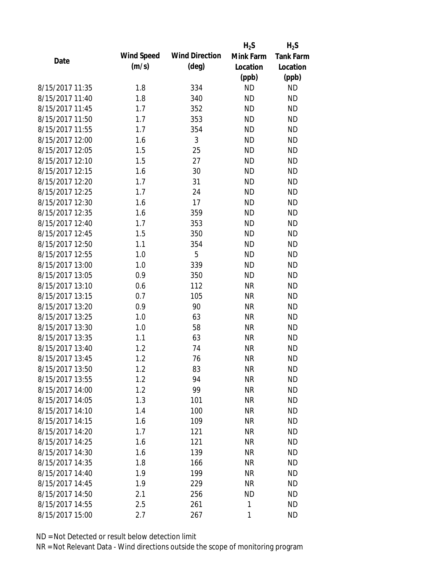|                 |            |                       | $H_2S$    | $H_2S$           |
|-----------------|------------|-----------------------|-----------|------------------|
| Date            | Wind Speed | <b>Wind Direction</b> | Mink Farm | <b>Tank Farm</b> |
|                 | (m/s)      | $(\text{deg})$        | Location  | Location         |
|                 |            |                       | (ppb)     | (ppb)            |
| 8/15/2017 11:35 | 1.8        | 334                   | <b>ND</b> | <b>ND</b>        |
| 8/15/2017 11:40 | 1.8        | 340                   | <b>ND</b> | <b>ND</b>        |
| 8/15/2017 11:45 | 1.7        | 352                   | <b>ND</b> | <b>ND</b>        |
| 8/15/2017 11:50 | 1.7        | 353                   | <b>ND</b> | <b>ND</b>        |
| 8/15/2017 11:55 | 1.7        | 354                   | <b>ND</b> | <b>ND</b>        |
| 8/15/2017 12:00 | 1.6        | 3                     | <b>ND</b> | <b>ND</b>        |
| 8/15/2017 12:05 | 1.5        | 25                    | <b>ND</b> | <b>ND</b>        |
| 8/15/2017 12:10 | 1.5        | 27                    | <b>ND</b> | <b>ND</b>        |
| 8/15/2017 12:15 | 1.6        | 30                    | <b>ND</b> | <b>ND</b>        |
| 8/15/2017 12:20 | 1.7        | 31                    | <b>ND</b> | <b>ND</b>        |
| 8/15/2017 12:25 | 1.7        | 24                    | <b>ND</b> | <b>ND</b>        |
| 8/15/2017 12:30 | 1.6        | 17                    | <b>ND</b> | <b>ND</b>        |
| 8/15/2017 12:35 | 1.6        | 359                   | <b>ND</b> | <b>ND</b>        |
| 8/15/2017 12:40 | 1.7        | 353                   | <b>ND</b> | <b>ND</b>        |
| 8/15/2017 12:45 | 1.5        | 350                   | <b>ND</b> | <b>ND</b>        |
| 8/15/2017 12:50 | 1.1        | 354                   | <b>ND</b> | <b>ND</b>        |
| 8/15/2017 12:55 | 1.0        | 5                     | <b>ND</b> | <b>ND</b>        |
| 8/15/2017 13:00 | 1.0        | 339                   | <b>ND</b> | <b>ND</b>        |
| 8/15/2017 13:05 | 0.9        | 350                   | <b>ND</b> | <b>ND</b>        |
| 8/15/2017 13:10 | 0.6        | 112                   | <b>NR</b> | <b>ND</b>        |
| 8/15/2017 13:15 | 0.7        | 105                   | <b>NR</b> | <b>ND</b>        |
| 8/15/2017 13:20 | 0.9        | 90                    | <b>NR</b> | <b>ND</b>        |
| 8/15/2017 13:25 | 1.0        | 63                    | <b>NR</b> | <b>ND</b>        |
| 8/15/2017 13:30 | 1.0        | 58                    | <b>NR</b> | <b>ND</b>        |
| 8/15/2017 13:35 | 1.1        | 63                    | <b>NR</b> | <b>ND</b>        |
| 8/15/2017 13:40 | 1.2        | 74                    | <b>NR</b> | <b>ND</b>        |
| 8/15/2017 13:45 | 1.2        | 76                    | <b>NR</b> | <b>ND</b>        |
| 8/15/2017 13:50 | 1.2        | 83                    | <b>NR</b> | <b>ND</b>        |
| 8/15/2017 13:55 | 1.2        | 94                    | <b>NR</b> | <b>ND</b>        |
| 8/15/2017 14:00 | 1.2        | 99                    | <b>NR</b> | <b>ND</b>        |
| 8/15/2017 14:05 | 1.3        | 101                   | <b>NR</b> | <b>ND</b>        |
| 8/15/2017 14:10 | 1.4        | 100                   | <b>NR</b> | <b>ND</b>        |
| 8/15/2017 14:15 | 1.6        | 109                   | <b>NR</b> | <b>ND</b>        |
| 8/15/2017 14:20 | 1.7        | 121                   | <b>NR</b> | <b>ND</b>        |
| 8/15/2017 14:25 | 1.6        | 121                   | <b>NR</b> | <b>ND</b>        |
| 8/15/2017 14:30 | 1.6        | 139                   | <b>NR</b> | <b>ND</b>        |
| 8/15/2017 14:35 | 1.8        | 166                   | <b>NR</b> | <b>ND</b>        |
| 8/15/2017 14:40 | 1.9        | 199                   | <b>NR</b> | <b>ND</b>        |
| 8/15/2017 14:45 | 1.9        | 229                   | <b>NR</b> | <b>ND</b>        |
| 8/15/2017 14:50 | 2.1        | 256                   | <b>ND</b> | <b>ND</b>        |
| 8/15/2017 14:55 | 2.5        | 261                   | 1         | <b>ND</b>        |
| 8/15/2017 15:00 |            |                       |           | <b>ND</b>        |
|                 | 2.7        | 267                   | 1         |                  |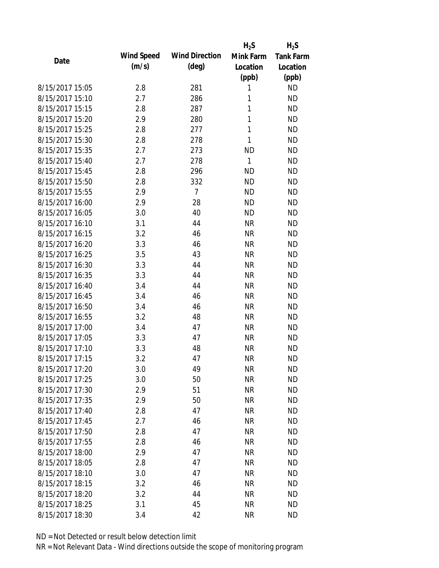|                 |            |                       | $H_2S$       | $H_2S$           |
|-----------------|------------|-----------------------|--------------|------------------|
| Date            | Wind Speed | <b>Wind Direction</b> | Mink Farm    | <b>Tank Farm</b> |
|                 | (m/s)      | $(\text{deg})$        | Location     | Location         |
|                 |            |                       | (ppb)        | (ppb)            |
| 8/15/2017 15:05 | 2.8        | 281                   | 1            | <b>ND</b>        |
| 8/15/2017 15:10 | 2.7        | 286                   | 1            | <b>ND</b>        |
| 8/15/2017 15:15 | 2.8        | 287                   | 1            | <b>ND</b>        |
| 8/15/2017 15:20 | 2.9        | 280                   | 1            | <b>ND</b>        |
| 8/15/2017 15:25 | 2.8        | 277                   | $\mathbf{1}$ | <b>ND</b>        |
| 8/15/2017 15:30 | 2.8        | 278                   | 1            | <b>ND</b>        |
| 8/15/2017 15:35 | 2.7        | 273                   | <b>ND</b>    | <b>ND</b>        |
| 8/15/2017 15:40 | 2.7        | 278                   | $\mathbf{1}$ | <b>ND</b>        |
| 8/15/2017 15:45 | 2.8        | 296                   | <b>ND</b>    | <b>ND</b>        |
| 8/15/2017 15:50 | 2.8        | 332                   | <b>ND</b>    | <b>ND</b>        |
| 8/15/2017 15:55 | 2.9        | $\overline{7}$        | <b>ND</b>    | <b>ND</b>        |
| 8/15/2017 16:00 | 2.9        | 28                    | <b>ND</b>    | <b>ND</b>        |
| 8/15/2017 16:05 | 3.0        | 40                    | <b>ND</b>    | <b>ND</b>        |
| 8/15/2017 16:10 | 3.1        | 44                    | <b>NR</b>    | <b>ND</b>        |
| 8/15/2017 16:15 | 3.2        | 46                    | <b>NR</b>    | <b>ND</b>        |
| 8/15/2017 16:20 | 3.3        | 46                    | <b>NR</b>    | <b>ND</b>        |
| 8/15/2017 16:25 | 3.5        | 43                    | <b>NR</b>    | <b>ND</b>        |
| 8/15/2017 16:30 | 3.3        | 44                    | <b>NR</b>    | <b>ND</b>        |
| 8/15/2017 16:35 | 3.3        | 44                    | <b>NR</b>    | <b>ND</b>        |
| 8/15/2017 16:40 | 3.4        | 44                    | <b>NR</b>    | <b>ND</b>        |
| 8/15/2017 16:45 | 3.4        | 46                    | <b>NR</b>    | <b>ND</b>        |
| 8/15/2017 16:50 | 3.4        | 46                    | <b>NR</b>    | <b>ND</b>        |
| 8/15/2017 16:55 | 3.2        | 48                    | <b>NR</b>    | <b>ND</b>        |
| 8/15/2017 17:00 | 3.4        | 47                    | <b>NR</b>    | <b>ND</b>        |
| 8/15/2017 17:05 | 3.3        | 47                    | <b>NR</b>    | <b>ND</b>        |
| 8/15/2017 17:10 | 3.3        | 48                    | <b>NR</b>    | <b>ND</b>        |
| 8/15/2017 17:15 | 3.2        | 47                    | <b>NR</b>    | <b>ND</b>        |
| 8/15/2017 17:20 | 3.0        | 49                    | <b>NR</b>    | <b>ND</b>        |
| 8/15/2017 17:25 | 3.0        | 50                    | <b>NR</b>    | <b>ND</b>        |
| 8/15/2017 17:30 | 2.9        | 51                    | <b>NR</b>    | <b>ND</b>        |
| 8/15/2017 17:35 | 2.9        | 50                    | <b>NR</b>    | <b>ND</b>        |
| 8/15/2017 17:40 | 2.8        | 47                    | <b>NR</b>    | <b>ND</b>        |
| 8/15/2017 17:45 | 2.7        | 46                    | <b>NR</b>    | <b>ND</b>        |
| 8/15/2017 17:50 | 2.8        | 47                    | <b>NR</b>    | <b>ND</b>        |
| 8/15/2017 17:55 | 2.8        | 46                    | <b>NR</b>    | ND               |
| 8/15/2017 18:00 | 2.9        | 47                    | <b>NR</b>    | <b>ND</b>        |
| 8/15/2017 18:05 | 2.8        | 47                    | <b>NR</b>    | <b>ND</b>        |
| 8/15/2017 18:10 | 3.0        | 47                    | <b>NR</b>    | <b>ND</b>        |
| 8/15/2017 18:15 | 3.2        | 46                    | <b>NR</b>    | <b>ND</b>        |
| 8/15/2017 18:20 | 3.2        | 44                    | <b>NR</b>    | <b>ND</b>        |
|                 |            |                       |              |                  |
| 8/15/2017 18:25 | 3.1        | 45                    | <b>NR</b>    | <b>ND</b>        |
| 8/15/2017 18:30 | 3.4        | 42                    | <b>NR</b>    | <b>ND</b>        |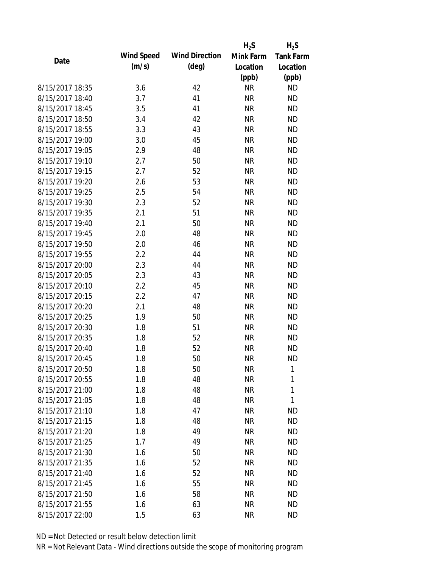|                 |            |                       | $H_2S$    | $H_2S$           |
|-----------------|------------|-----------------------|-----------|------------------|
| Date            | Wind Speed | <b>Wind Direction</b> | Mink Farm | <b>Tank Farm</b> |
|                 | (m/s)      | $(\text{deg})$        | Location  | Location         |
|                 |            |                       | (ppb)     | (ppb)            |
| 8/15/2017 18:35 | 3.6        | 42                    | <b>NR</b> | <b>ND</b>        |
| 8/15/2017 18:40 | 3.7        | 41                    | <b>NR</b> | <b>ND</b>        |
| 8/15/2017 18:45 | 3.5        | 41                    | <b>NR</b> | <b>ND</b>        |
| 8/15/2017 18:50 | 3.4        | 42                    | <b>NR</b> | <b>ND</b>        |
| 8/15/2017 18:55 | 3.3        | 43                    | <b>NR</b> | <b>ND</b>        |
| 8/15/2017 19:00 | 3.0        | 45                    | <b>NR</b> | <b>ND</b>        |
| 8/15/2017 19:05 | 2.9        | 48                    | <b>NR</b> | <b>ND</b>        |
| 8/15/2017 19:10 | 2.7        | 50                    | <b>NR</b> | <b>ND</b>        |
| 8/15/2017 19:15 | 2.7        | 52                    | <b>NR</b> | <b>ND</b>        |
| 8/15/2017 19:20 | 2.6        | 53                    | <b>NR</b> | <b>ND</b>        |
| 8/15/2017 19:25 | 2.5        | 54                    | <b>NR</b> | <b>ND</b>        |
| 8/15/2017 19:30 | 2.3        | 52                    | <b>NR</b> | <b>ND</b>        |
| 8/15/2017 19:35 | 2.1        | 51                    | <b>NR</b> | <b>ND</b>        |
| 8/15/2017 19:40 | 2.1        | 50                    | <b>NR</b> | <b>ND</b>        |
| 8/15/2017 19:45 | 2.0        | 48                    | <b>NR</b> | <b>ND</b>        |
| 8/15/2017 19:50 | 2.0        | 46                    | <b>NR</b> | <b>ND</b>        |
| 8/15/2017 19:55 | 2.2        | 44                    | <b>NR</b> | <b>ND</b>        |
| 8/15/2017 20:00 | 2.3        | 44                    | <b>NR</b> | <b>ND</b>        |
| 8/15/2017 20:05 | 2.3        | 43                    | <b>NR</b> | <b>ND</b>        |
| 8/15/2017 20:10 | 2.2        | 45                    | <b>NR</b> | <b>ND</b>        |
| 8/15/2017 20:15 | 2.2        | 47                    | <b>NR</b> | <b>ND</b>        |
| 8/15/2017 20:20 | 2.1        | 48                    | <b>NR</b> | <b>ND</b>        |
| 8/15/2017 20:25 | 1.9        | 50                    | <b>NR</b> | <b>ND</b>        |
| 8/15/2017 20:30 | 1.8        | 51                    | <b>NR</b> | <b>ND</b>        |
| 8/15/2017 20:35 | 1.8        | 52                    | <b>NR</b> | <b>ND</b>        |
| 8/15/2017 20:40 | 1.8        | 52                    | <b>NR</b> | <b>ND</b>        |
| 8/15/2017 20:45 | 1.8        | 50                    | <b>NR</b> | <b>ND</b>        |
| 8/15/2017 20:50 | 1.8        | 50                    | <b>NR</b> | 1                |
| 8/15/2017 20:55 | 1.8        | 48                    | <b>NR</b> | 1                |
| 8/15/2017 21:00 | 1.8        | 48                    | <b>NR</b> | 1                |
| 8/15/2017 21:05 | 1.8        | 48                    | <b>NR</b> | 1                |
| 8/15/2017 21:10 | 1.8        | 47                    | <b>NR</b> | <b>ND</b>        |
| 8/15/2017 21:15 | 1.8        | 48                    | <b>NR</b> | <b>ND</b>        |
| 8/15/2017 21:20 | 1.8        | 49                    | <b>NR</b> | <b>ND</b>        |
| 8/15/2017 21:25 | 1.7        | 49                    | <b>NR</b> | <b>ND</b>        |
| 8/15/2017 21:30 | 1.6        | 50                    | <b>NR</b> | <b>ND</b>        |
| 8/15/2017 21:35 | 1.6        | 52                    | <b>NR</b> | <b>ND</b>        |
| 8/15/2017 21:40 | 1.6        | 52                    | <b>NR</b> | <b>ND</b>        |
| 8/15/2017 21:45 | 1.6        | 55                    | <b>NR</b> | <b>ND</b>        |
| 8/15/2017 21:50 | 1.6        | 58                    | ΝR        | ND               |
| 8/15/2017 21:55 | 1.6        | 63                    | <b>NR</b> | <b>ND</b>        |
| 8/15/2017 22:00 |            |                       |           |                  |
|                 | 1.5        | 63                    | <b>NR</b> | <b>ND</b>        |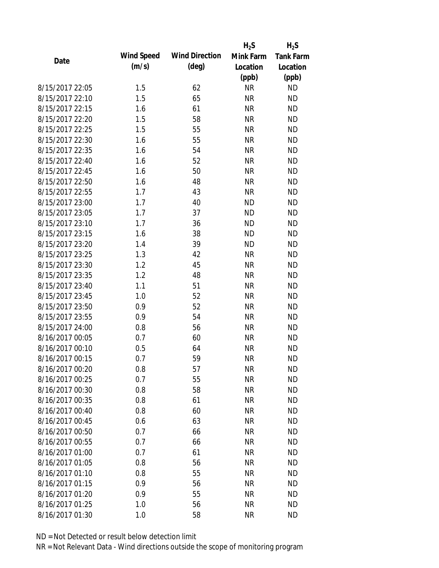|                 |            |                       | $H_2S$    | $H_2S$                 |
|-----------------|------------|-----------------------|-----------|------------------------|
| Date            | Wind Speed | <b>Wind Direction</b> | Mink Farm | <b>Tank Farm</b>       |
|                 | (m/s)      | $(\text{deg})$        | Location  | Location               |
|                 |            |                       | (ppb)     | (ppb)                  |
| 8/15/2017 22:05 | 1.5        | 62                    | <b>NR</b> | <b>ND</b>              |
| 8/15/2017 22:10 | 1.5        | 65                    | <b>NR</b> | <b>ND</b>              |
| 8/15/2017 22:15 | 1.6        | 61                    | <b>NR</b> | <b>ND</b>              |
| 8/15/2017 22:20 | 1.5        | 58                    | <b>NR</b> | <b>ND</b>              |
| 8/15/2017 22:25 | 1.5        | 55                    | <b>NR</b> | <b>ND</b>              |
| 8/15/2017 22:30 | 1.6        | 55                    | <b>NR</b> | <b>ND</b>              |
| 8/15/2017 22:35 | 1.6        | 54                    | <b>NR</b> | <b>ND</b>              |
| 8/15/2017 22:40 | 1.6        | 52                    | <b>NR</b> | <b>ND</b>              |
| 8/15/2017 22:45 | 1.6        | 50                    | <b>NR</b> | <b>ND</b>              |
| 8/15/2017 22:50 | 1.6        | 48                    | <b>NR</b> | <b>ND</b>              |
| 8/15/2017 22:55 | 1.7        | 43                    | <b>NR</b> | <b>ND</b>              |
| 8/15/2017 23:00 | 1.7        | 40                    | <b>ND</b> | <b>ND</b>              |
| 8/15/2017 23:05 | 1.7        | 37                    | <b>ND</b> | <b>ND</b>              |
| 8/15/2017 23:10 | 1.7        | 36                    | <b>ND</b> | <b>ND</b>              |
| 8/15/2017 23:15 | 1.6        | 38                    | <b>ND</b> | <b>ND</b>              |
| 8/15/2017 23:20 | 1.4        | 39                    | <b>ND</b> | <b>ND</b>              |
| 8/15/2017 23:25 | 1.3        | 42                    | <b>NR</b> | <b>ND</b>              |
| 8/15/2017 23:30 | 1.2        | 45                    | <b>NR</b> | <b>ND</b>              |
| 8/15/2017 23:35 | 1.2        | 48                    | <b>NR</b> | <b>ND</b>              |
| 8/15/2017 23:40 | 1.1        | 51                    | <b>NR</b> | <b>ND</b>              |
| 8/15/2017 23:45 | 1.0        | 52                    | <b>NR</b> | <b>ND</b>              |
| 8/15/2017 23:50 | 0.9        | 52                    | <b>NR</b> | <b>ND</b>              |
| 8/15/2017 23:55 | 0.9        | 54                    | <b>NR</b> | <b>ND</b>              |
| 8/15/2017 24:00 | 0.8        | 56                    | <b>NR</b> | <b>ND</b>              |
| 8/16/2017 00:05 | 0.7        | 60                    | <b>NR</b> | <b>ND</b>              |
| 8/16/2017 00:10 | 0.5        | 64                    | <b>NR</b> | <b>ND</b>              |
| 8/16/2017 00:15 | 0.7        | 59                    | <b>NR</b> | <b>ND</b>              |
| 8/16/2017 00:20 | 0.8        | 57                    | <b>NR</b> | <b>ND</b>              |
| 8/16/2017 00:25 | 0.7        | 55                    | <b>NR</b> | <b>ND</b>              |
| 8/16/2017 00:30 | 0.8        | 58                    | <b>NR</b> | <b>ND</b>              |
| 8/16/2017 00:35 | 0.8        | 61                    | <b>NR</b> | <b>ND</b>              |
| 8/16/2017 00:40 |            |                       | <b>NR</b> |                        |
| 8/16/2017 00:45 | 0.8        | 60<br>63              | <b>NR</b> | <b>ND</b><br><b>ND</b> |
| 8/16/2017 00:50 | 0.6        |                       |           |                        |
|                 | 0.7        | 66                    | <b>NR</b> | <b>ND</b>              |
| 8/16/2017 00:55 | 0.7        | 66                    | <b>NR</b> | <b>ND</b>              |
| 8/16/2017 01:00 | 0.7        | 61                    | <b>NR</b> | <b>ND</b>              |
| 8/16/2017 01:05 | 0.8        | 56                    | <b>NR</b> | <b>ND</b>              |
| 8/16/2017 01:10 | 0.8        | 55                    | <b>NR</b> | <b>ND</b>              |
| 8/16/2017 01:15 | 0.9        | 56                    | <b>NR</b> | <b>ND</b>              |
| 8/16/2017 01:20 | 0.9        | 55                    | ΝR        | <b>ND</b>              |
| 8/16/2017 01:25 | 1.0        | 56                    | <b>NR</b> | <b>ND</b>              |
| 8/16/2017 01:30 | 1.0        | 58                    | <b>NR</b> | <b>ND</b>              |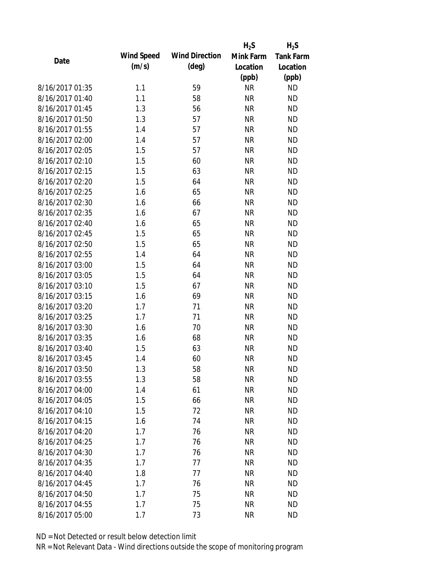|                 |            |                       | $H_2S$    | $H_2S$           |
|-----------------|------------|-----------------------|-----------|------------------|
| Date            | Wind Speed | <b>Wind Direction</b> | Mink Farm | <b>Tank Farm</b> |
|                 | (m/s)      | $(\text{deg})$        | Location  | Location         |
|                 |            |                       | (ppb)     | (ppb)            |
| 8/16/2017 01:35 | 1.1        | 59                    | <b>NR</b> | <b>ND</b>        |
| 8/16/2017 01:40 | 1.1        | 58                    | <b>NR</b> | <b>ND</b>        |
| 8/16/2017 01:45 | 1.3        | 56                    | <b>NR</b> | <b>ND</b>        |
| 8/16/2017 01:50 | 1.3        | 57                    | <b>NR</b> | <b>ND</b>        |
| 8/16/2017 01:55 | 1.4        | 57                    | <b>NR</b> | <b>ND</b>        |
| 8/16/2017 02:00 | 1.4        | 57                    | <b>NR</b> | <b>ND</b>        |
| 8/16/2017 02:05 | 1.5        | 57                    | <b>NR</b> | <b>ND</b>        |
| 8/16/2017 02:10 | 1.5        | 60                    | <b>NR</b> | <b>ND</b>        |
| 8/16/2017 02:15 | 1.5        | 63                    | <b>NR</b> | <b>ND</b>        |
| 8/16/2017 02:20 | 1.5        | 64                    | <b>NR</b> | <b>ND</b>        |
| 8/16/2017 02:25 | 1.6        | 65                    | <b>NR</b> | <b>ND</b>        |
| 8/16/2017 02:30 | 1.6        | 66                    | <b>NR</b> | <b>ND</b>        |
| 8/16/2017 02:35 | 1.6        | 67                    | <b>NR</b> | <b>ND</b>        |
| 8/16/2017 02:40 | 1.6        | 65                    | <b>NR</b> | <b>ND</b>        |
| 8/16/2017 02:45 | 1.5        | 65                    | <b>NR</b> | <b>ND</b>        |
| 8/16/2017 02:50 | 1.5        | 65                    | <b>NR</b> | <b>ND</b>        |
| 8/16/2017 02:55 | 1.4        | 64                    | <b>NR</b> | <b>ND</b>        |
| 8/16/2017 03:00 | 1.5        | 64                    | <b>NR</b> | <b>ND</b>        |
| 8/16/2017 03:05 | 1.5        | 64                    | <b>NR</b> | <b>ND</b>        |
| 8/16/2017 03:10 | 1.5        | 67                    | <b>NR</b> | <b>ND</b>        |
| 8/16/2017 03:15 | 1.6        | 69                    | <b>NR</b> | <b>ND</b>        |
| 8/16/2017 03:20 | 1.7        | 71                    | <b>NR</b> | <b>ND</b>        |
| 8/16/2017 03:25 | 1.7        | 71                    | <b>NR</b> | <b>ND</b>        |
| 8/16/2017 03:30 | 1.6        | 70                    | <b>NR</b> | <b>ND</b>        |
| 8/16/2017 03:35 | 1.6        | 68                    | <b>NR</b> | <b>ND</b>        |
| 8/16/2017 03:40 | 1.5        | 63                    | <b>NR</b> | <b>ND</b>        |
| 8/16/2017 03:45 | 1.4        | 60                    | <b>NR</b> | <b>ND</b>        |
| 8/16/2017 03:50 | 1.3        | 58                    | <b>NR</b> | <b>ND</b>        |
| 8/16/2017 03:55 | 1.3        | 58                    | <b>NR</b> | <b>ND</b>        |
| 8/16/2017 04:00 | 1.4        | 61                    | <b>NR</b> | <b>ND</b>        |
| 8/16/2017 04:05 | 1.5        | 66                    | <b>NR</b> | <b>ND</b>        |
| 8/16/2017 04:10 | 1.5        | 72                    | <b>NR</b> | <b>ND</b>        |
| 8/16/2017 04:15 | 1.6        | 74                    | <b>NR</b> | <b>ND</b>        |
| 8/16/2017 04:20 | 1.7        | 76                    | <b>NR</b> | <b>ND</b>        |
| 8/16/2017 04:25 | 1.7        | 76                    | <b>NR</b> | <b>ND</b>        |
| 8/16/2017 04:30 | 1.7        | 76                    | <b>NR</b> | <b>ND</b>        |
| 8/16/2017 04:35 | 1.7        | 77                    | <b>NR</b> | <b>ND</b>        |
| 8/16/2017 04:40 | 1.8        | 77                    | <b>NR</b> | <b>ND</b>        |
| 8/16/2017 04:45 | 1.7        | 76                    | <b>NR</b> | <b>ND</b>        |
| 8/16/2017 04:50 | 1.7        | 75                    | NR        | <b>ND</b>        |
| 8/16/2017 04:55 | 1.7        | 75                    | <b>NR</b> | <b>ND</b>        |
| 8/16/2017 05:00 | 1.7        | 73                    | <b>NR</b> | <b>ND</b>        |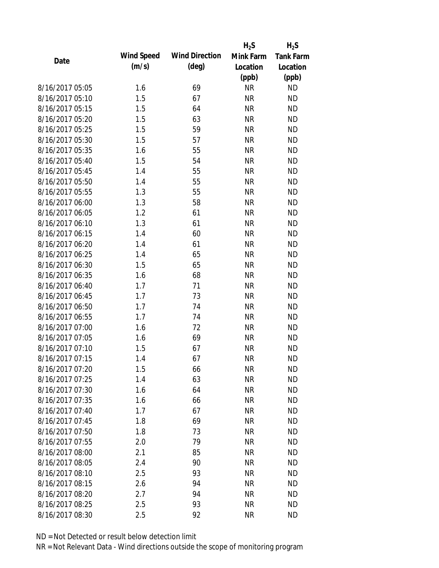|                 |            |                       | $H_2S$    | $H_2S$           |
|-----------------|------------|-----------------------|-----------|------------------|
| Date            | Wind Speed | <b>Wind Direction</b> | Mink Farm | <b>Tank Farm</b> |
|                 | (m/s)      | $(\text{deg})$        | Location  | Location         |
|                 |            |                       | (ppb)     | (ppb)            |
| 8/16/2017 05:05 | 1.6        | 69                    | <b>NR</b> | <b>ND</b>        |
| 8/16/2017 05:10 | 1.5        | 67                    | <b>NR</b> | <b>ND</b>        |
| 8/16/2017 05:15 | 1.5        | 64                    | <b>NR</b> | <b>ND</b>        |
| 8/16/2017 05:20 | 1.5        | 63                    | <b>NR</b> | <b>ND</b>        |
| 8/16/2017 05:25 | 1.5        | 59                    | <b>NR</b> | <b>ND</b>        |
| 8/16/2017 05:30 | 1.5        | 57                    | <b>NR</b> | <b>ND</b>        |
| 8/16/2017 05:35 | 1.6        | 55                    | <b>NR</b> | <b>ND</b>        |
| 8/16/2017 05:40 | 1.5        | 54                    | <b>NR</b> | <b>ND</b>        |
| 8/16/2017 05:45 | 1.4        | 55                    | <b>NR</b> | <b>ND</b>        |
| 8/16/2017 05:50 | 1.4        | 55                    | <b>NR</b> | <b>ND</b>        |
| 8/16/2017 05:55 | 1.3        | 55                    | <b>NR</b> | <b>ND</b>        |
| 8/16/2017 06:00 | 1.3        | 58                    | <b>NR</b> | <b>ND</b>        |
| 8/16/2017 06:05 | 1.2        | 61                    | <b>NR</b> | <b>ND</b>        |
| 8/16/2017 06:10 | 1.3        | 61                    | <b>NR</b> | <b>ND</b>        |
| 8/16/2017 06:15 | 1.4        | 60                    | <b>NR</b> | <b>ND</b>        |
| 8/16/2017 06:20 | 1.4        | 61                    | <b>NR</b> | <b>ND</b>        |
| 8/16/2017 06:25 | 1.4        | 65                    | <b>NR</b> | <b>ND</b>        |
| 8/16/2017 06:30 | 1.5        | 65                    | <b>NR</b> | <b>ND</b>        |
| 8/16/2017 06:35 | 1.6        | 68                    | <b>NR</b> | <b>ND</b>        |
| 8/16/2017 06:40 | 1.7        | 71                    | <b>NR</b> | <b>ND</b>        |
| 8/16/2017 06:45 | 1.7        | 73                    | <b>NR</b> | <b>ND</b>        |
| 8/16/2017 06:50 | 1.7        | 74                    | <b>NR</b> | <b>ND</b>        |
| 8/16/2017 06:55 | 1.7        | 74                    | <b>NR</b> | <b>ND</b>        |
| 8/16/2017 07:00 | 1.6        | 72                    | <b>NR</b> | <b>ND</b>        |
| 8/16/2017 07:05 | 1.6        | 69                    | <b>NR</b> | <b>ND</b>        |
| 8/16/2017 07:10 | 1.5        | 67                    | <b>NR</b> | <b>ND</b>        |
| 8/16/2017 07:15 | 1.4        | 67                    | <b>NR</b> | <b>ND</b>        |
| 8/16/2017 07:20 | 1.5        | 66                    | <b>NR</b> | <b>ND</b>        |
| 8/16/2017 07:25 | 1.4        | 63                    | <b>NR</b> | <b>ND</b>        |
| 8/16/2017 07:30 | 1.6        | 64                    | <b>NR</b> | <b>ND</b>        |
| 8/16/2017 07:35 | 1.6        | 66                    | <b>NR</b> | <b>ND</b>        |
| 8/16/2017 07:40 | 1.7        | 67                    | <b>NR</b> | <b>ND</b>        |
| 8/16/2017 07:45 | 1.8        | 69                    | <b>NR</b> | <b>ND</b>        |
| 8/16/2017 07:50 | 1.8        | 73                    | <b>NR</b> | <b>ND</b>        |
| 8/16/2017 07:55 | 2.0        | 79                    | <b>NR</b> | <b>ND</b>        |
| 8/16/2017 08:00 | 2.1        | 85                    | <b>NR</b> | <b>ND</b>        |
| 8/16/2017 08:05 | 2.4        | 90                    | <b>NR</b> | <b>ND</b>        |
| 8/16/2017 08:10 | 2.5        | 93                    | <b>NR</b> | <b>ND</b>        |
| 8/16/2017 08:15 | 2.6        | 94                    | <b>NR</b> | <b>ND</b>        |
| 8/16/2017 08:20 | 2.7        | 94                    | ΝR        | ND               |
| 8/16/2017 08:25 | 2.5        | 93                    | <b>NR</b> | <b>ND</b>        |
| 8/16/2017 08:30 | 2.5        | 92                    | <b>NR</b> | <b>ND</b>        |
|                 |            |                       |           |                  |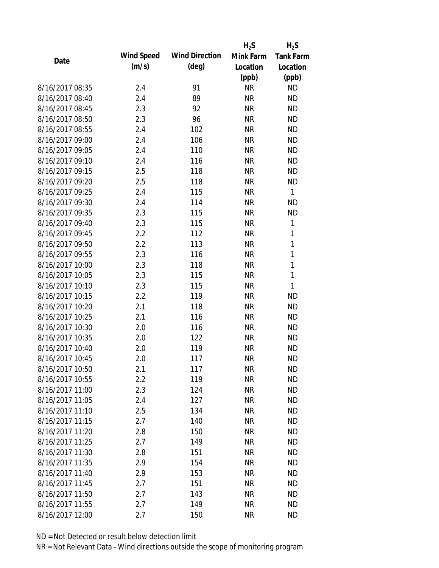|                 |            |                       | $H_2S$    | $H_2S$           |
|-----------------|------------|-----------------------|-----------|------------------|
| Date            | Wind Speed | <b>Wind Direction</b> | Mink Farm | <b>Tank Farm</b> |
|                 | (m/s)      | $(\text{deg})$        | Location  | Location         |
|                 |            |                       | (ppb)     | (ppb)            |
| 8/16/2017 08:35 | 2.4        | 91                    | <b>NR</b> | <b>ND</b>        |
| 8/16/2017 08:40 | 2.4        | 89                    | <b>NR</b> | <b>ND</b>        |
| 8/16/2017 08:45 | 2.3        | 92                    | <b>NR</b> | <b>ND</b>        |
| 8/16/2017 08:50 | 2.3        | 96                    | <b>NR</b> | <b>ND</b>        |
| 8/16/2017 08:55 | 2.4        | 102                   | <b>NR</b> | <b>ND</b>        |
| 8/16/2017 09:00 | 2.4        | 106                   | <b>NR</b> | <b>ND</b>        |
| 8/16/2017 09:05 | 2.4        | 110                   | <b>NR</b> | <b>ND</b>        |
| 8/16/2017 09:10 | 2.4        | 116                   | <b>NR</b> | <b>ND</b>        |
| 8/16/2017 09:15 | 2.5        | 118                   | <b>NR</b> | <b>ND</b>        |
| 8/16/2017 09:20 | 2.5        | 118                   | <b>NR</b> | <b>ND</b>        |
| 8/16/2017 09:25 | 2.4        | 115                   | <b>NR</b> | 1                |
| 8/16/2017 09:30 | 2.4        | 114                   | <b>NR</b> | <b>ND</b>        |
| 8/16/2017 09:35 | 2.3        | 115                   | <b>NR</b> | <b>ND</b>        |
| 8/16/2017 09:40 | 2.3        | 115                   | <b>NR</b> | $\mathbf 1$      |
| 8/16/2017 09:45 | 2.2        | 112                   | <b>NR</b> | 1                |
| 8/16/2017 09:50 | 2.2        | 113                   | <b>NR</b> | 1                |
| 8/16/2017 09:55 | 2.3        | 116                   | <b>NR</b> | 1                |
| 8/16/2017 10:00 | 2.3        | 118                   | <b>NR</b> | 1                |
| 8/16/2017 10:05 | 2.3        | 115                   | <b>NR</b> | $\mathbf{1}$     |
| 8/16/2017 10:10 | 2.3        | 115                   | <b>NR</b> | 1                |
| 8/16/2017 10:15 | 2.2        | 119                   | <b>NR</b> | <b>ND</b>        |
| 8/16/2017 10:20 | 2.1        | 118                   | <b>NR</b> | <b>ND</b>        |
| 8/16/2017 10:25 | 2.1        | 116                   | <b>NR</b> | <b>ND</b>        |
| 8/16/2017 10:30 | 2.0        | 116                   | <b>NR</b> | <b>ND</b>        |
| 8/16/2017 10:35 | 2.0        | 122                   | <b>NR</b> | <b>ND</b>        |
| 8/16/2017 10:40 | 2.0        | 119                   | <b>NR</b> | <b>ND</b>        |
| 8/16/2017 10:45 | 2.0        | 117                   | <b>NR</b> | <b>ND</b>        |
| 8/16/2017 10:50 | 2.1        | 117                   | <b>NR</b> | <b>ND</b>        |
| 8/16/2017 10:55 | 2.2        | 119                   | <b>NR</b> | <b>ND</b>        |
| 8/16/2017 11:00 | 2.3        | 124                   | <b>NR</b> | <b>ND</b>        |
| 8/16/2017 11:05 | 2.4        | 127                   | <b>NR</b> | <b>ND</b>        |
| 8/16/2017 11:10 | 2.5        | 134                   | <b>NR</b> | <b>ND</b>        |
| 8/16/2017 11:15 | 2.7        | 140                   | <b>NR</b> | <b>ND</b>        |
| 8/16/2017 11:20 | 2.8        | 150                   | <b>NR</b> | <b>ND</b>        |
| 8/16/2017 11:25 | 2.7        | 149                   | <b>NR</b> | <b>ND</b>        |
| 8/16/2017 11:30 | 2.8        | 151                   | <b>NR</b> | <b>ND</b>        |
| 8/16/2017 11:35 | 2.9        | 154                   | <b>NR</b> | <b>ND</b>        |
| 8/16/2017 11:40 | 2.9        | 153                   | <b>NR</b> | <b>ND</b>        |
| 8/16/2017 11:45 | 2.7        | 151                   | <b>NR</b> | <b>ND</b>        |
| 8/16/2017 11:50 | 2.7        | 143                   | NR        | <b>ND</b>        |
| 8/16/2017 11:55 | 2.7        | 149                   | <b>NR</b> | <b>ND</b>        |
| 8/16/2017 12:00 | 2.7        | 150                   | <b>NR</b> | <b>ND</b>        |
|                 |            |                       |           |                  |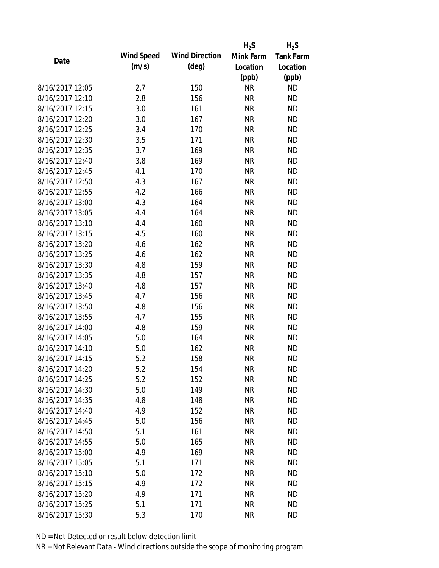|                 |            |                       | $H_2S$    | $H_2S$           |
|-----------------|------------|-----------------------|-----------|------------------|
| Date            | Wind Speed | <b>Wind Direction</b> | Mink Farm | <b>Tank Farm</b> |
|                 | (m/s)      | $(\text{deg})$        | Location  | Location         |
|                 |            |                       | (ppb)     | (ppb)            |
| 8/16/2017 12:05 | 2.7        | 150                   | <b>NR</b> | <b>ND</b>        |
| 8/16/2017 12:10 | 2.8        | 156                   | <b>NR</b> | <b>ND</b>        |
| 8/16/2017 12:15 | 3.0        | 161                   | <b>NR</b> | <b>ND</b>        |
| 8/16/2017 12:20 | 3.0        | 167                   | <b>NR</b> | <b>ND</b>        |
| 8/16/2017 12:25 | 3.4        | 170                   | <b>NR</b> | <b>ND</b>        |
| 8/16/2017 12:30 | 3.5        | 171                   | <b>NR</b> | <b>ND</b>        |
| 8/16/2017 12:35 | 3.7        | 169                   | <b>NR</b> | <b>ND</b>        |
| 8/16/2017 12:40 | 3.8        | 169                   | <b>NR</b> | <b>ND</b>        |
| 8/16/2017 12:45 | 4.1        | 170                   | <b>NR</b> | <b>ND</b>        |
| 8/16/2017 12:50 | 4.3        | 167                   | <b>NR</b> | <b>ND</b>        |
| 8/16/2017 12:55 | 4.2        | 166                   | <b>NR</b> | <b>ND</b>        |
| 8/16/2017 13:00 | 4.3        | 164                   | <b>NR</b> | <b>ND</b>        |
| 8/16/2017 13:05 | 4.4        | 164                   | <b>NR</b> | <b>ND</b>        |
| 8/16/2017 13:10 | 4.4        | 160                   | <b>NR</b> | <b>ND</b>        |
| 8/16/2017 13:15 | 4.5        | 160                   | <b>NR</b> | <b>ND</b>        |
| 8/16/2017 13:20 | 4.6        | 162                   | <b>NR</b> | <b>ND</b>        |
| 8/16/2017 13:25 | 4.6        | 162                   | <b>NR</b> | <b>ND</b>        |
| 8/16/2017 13:30 | 4.8        | 159                   | <b>NR</b> | <b>ND</b>        |
| 8/16/2017 13:35 | 4.8        | 157                   | <b>NR</b> | <b>ND</b>        |
| 8/16/2017 13:40 | 4.8        | 157                   | <b>NR</b> | <b>ND</b>        |
| 8/16/2017 13:45 | 4.7        | 156                   | <b>NR</b> | <b>ND</b>        |
| 8/16/2017 13:50 | 4.8        | 156                   | <b>NR</b> | <b>ND</b>        |
| 8/16/2017 13:55 | 4.7        | 155                   | <b>NR</b> | <b>ND</b>        |
| 8/16/2017 14:00 | 4.8        | 159                   | <b>NR</b> | <b>ND</b>        |
| 8/16/2017 14:05 | 5.0        | 164                   | <b>NR</b> | <b>ND</b>        |
| 8/16/2017 14:10 | 5.0        | 162                   | <b>NR</b> | <b>ND</b>        |
| 8/16/2017 14:15 | 5.2        | 158                   | <b>NR</b> | <b>ND</b>        |
| 8/16/2017 14:20 | 5.2        | 154                   | <b>NR</b> | <b>ND</b>        |
| 8/16/2017 14:25 | 5.2        | 152                   | <b>NR</b> | <b>ND</b>        |
| 8/16/2017 14:30 | 5.0        | 149                   | <b>NR</b> | <b>ND</b>        |
| 8/16/2017 14:35 | 4.8        | 148                   | <b>NR</b> | <b>ND</b>        |
| 8/16/2017 14:40 | 4.9        | 152                   | <b>NR</b> | <b>ND</b>        |
| 8/16/2017 14:45 | 5.0        | 156                   | <b>NR</b> | <b>ND</b>        |
| 8/16/2017 14:50 | 5.1        | 161                   | <b>NR</b> | <b>ND</b>        |
| 8/16/2017 14:55 | 5.0        | 165                   | <b>NR</b> | <b>ND</b>        |
| 8/16/2017 15:00 | 4.9        | 169                   | <b>NR</b> | <b>ND</b>        |
| 8/16/2017 15:05 | 5.1        | 171                   | <b>NR</b> | <b>ND</b>        |
| 8/16/2017 15:10 | 5.0        | 172                   | <b>NR</b> | <b>ND</b>        |
| 8/16/2017 15:15 | 4.9        | 172                   | <b>NR</b> | <b>ND</b>        |
| 8/16/2017 15:20 | 4.9        | 171                   | ΝR        | <b>ND</b>        |
| 8/16/2017 15:25 | 5.1        | 171                   | <b>NR</b> | <b>ND</b>        |
| 8/16/2017 15:30 | 5.3        | 170                   | <b>NR</b> | <b>ND</b>        |
|                 |            |                       |           |                  |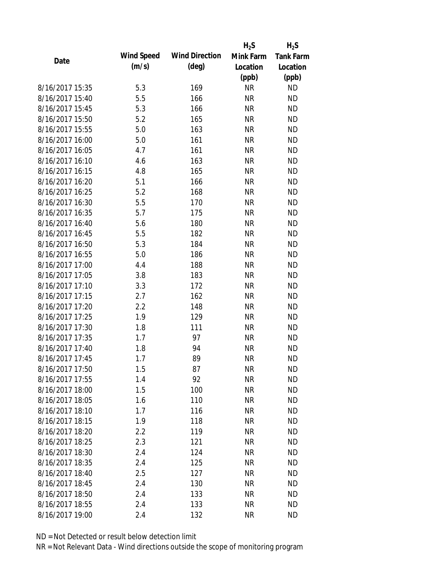|                 |            |                       | $H_2S$    | $H_2S$           |
|-----------------|------------|-----------------------|-----------|------------------|
| Date            | Wind Speed | <b>Wind Direction</b> | Mink Farm | <b>Tank Farm</b> |
|                 | (m/s)      | $(\text{deg})$        | Location  | Location         |
|                 |            |                       | (ppb)     | (ppb)            |
| 8/16/2017 15:35 | 5.3        | 169                   | <b>NR</b> | <b>ND</b>        |
| 8/16/2017 15:40 | 5.5        | 166                   | <b>NR</b> | <b>ND</b>        |
| 8/16/2017 15:45 | 5.3        | 166                   | <b>NR</b> | <b>ND</b>        |
| 8/16/2017 15:50 | 5.2        | 165                   | <b>NR</b> | <b>ND</b>        |
| 8/16/2017 15:55 | 5.0        | 163                   | <b>NR</b> | <b>ND</b>        |
| 8/16/2017 16:00 | 5.0        | 161                   | <b>NR</b> | <b>ND</b>        |
| 8/16/2017 16:05 | 4.7        | 161                   | <b>NR</b> | <b>ND</b>        |
| 8/16/2017 16:10 | 4.6        | 163                   | <b>NR</b> | <b>ND</b>        |
| 8/16/2017 16:15 | 4.8        | 165                   | <b>NR</b> | <b>ND</b>        |
| 8/16/2017 16:20 | 5.1        | 166                   | <b>NR</b> | <b>ND</b>        |
| 8/16/2017 16:25 | 5.2        | 168                   | <b>NR</b> | <b>ND</b>        |
| 8/16/2017 16:30 | 5.5        | 170                   | <b>NR</b> | <b>ND</b>        |
| 8/16/2017 16:35 | 5.7        | 175                   | <b>NR</b> | <b>ND</b>        |
| 8/16/2017 16:40 | 5.6        | 180                   | <b>NR</b> | <b>ND</b>        |
| 8/16/2017 16:45 | 5.5        | 182                   | <b>NR</b> | <b>ND</b>        |
| 8/16/2017 16:50 | 5.3        | 184                   | <b>NR</b> | <b>ND</b>        |
| 8/16/2017 16:55 | 5.0        | 186                   | <b>NR</b> | <b>ND</b>        |
| 8/16/2017 17:00 | 4.4        | 188                   | <b>NR</b> | <b>ND</b>        |
| 8/16/2017 17:05 | 3.8        | 183                   | <b>NR</b> | <b>ND</b>        |
| 8/16/2017 17:10 | 3.3        | 172                   | <b>NR</b> | <b>ND</b>        |
| 8/16/2017 17:15 | 2.7        | 162                   | <b>NR</b> | <b>ND</b>        |
| 8/16/2017 17:20 | 2.2        | 148                   | <b>NR</b> | <b>ND</b>        |
| 8/16/2017 17:25 | 1.9        | 129                   | <b>NR</b> | <b>ND</b>        |
| 8/16/2017 17:30 | 1.8        | 111                   | <b>NR</b> | <b>ND</b>        |
| 8/16/2017 17:35 | 1.7        | 97                    | <b>NR</b> | <b>ND</b>        |
| 8/16/2017 17:40 | 1.8        | 94                    | <b>NR</b> | <b>ND</b>        |
| 8/16/2017 17:45 | 1.7        | 89                    | <b>NR</b> | <b>ND</b>        |
| 8/16/2017 17:50 | 1.5        | 87                    | <b>NR</b> | <b>ND</b>        |
| 8/16/2017 17:55 | 1.4        | 92                    | <b>NR</b> | <b>ND</b>        |
| 8/16/2017 18:00 | 1.5        | 100                   | <b>NR</b> | <b>ND</b>        |
| 8/16/2017 18:05 | 1.6        | 110                   | <b>NR</b> | <b>ND</b>        |
| 8/16/2017 18:10 | 1.7        | 116                   | <b>NR</b> | <b>ND</b>        |
| 8/16/2017 18:15 | 1.9        | 118                   | <b>NR</b> | <b>ND</b>        |
| 8/16/2017 18:20 | 2.2        | 119                   | <b>NR</b> | <b>ND</b>        |
| 8/16/2017 18:25 | 2.3        | 121                   | <b>NR</b> | <b>ND</b>        |
| 8/16/2017 18:30 | 2.4        | 124                   | <b>NR</b> | <b>ND</b>        |
| 8/16/2017 18:35 | 2.4        | 125                   | <b>NR</b> | <b>ND</b>        |
| 8/16/2017 18:40 | 2.5        | 127                   | <b>NR</b> | <b>ND</b>        |
| 8/16/2017 18:45 | 2.4        | 130                   | <b>NR</b> | <b>ND</b>        |
| 8/16/2017 18:50 | 2.4        | 133                   | ΝR        | <b>ND</b>        |
| 8/16/2017 18:55 | 2.4        | 133                   | <b>NR</b> | <b>ND</b>        |
| 8/16/2017 19:00 |            |                       |           |                  |
|                 | 2.4        | 132                   | <b>NR</b> | <b>ND</b>        |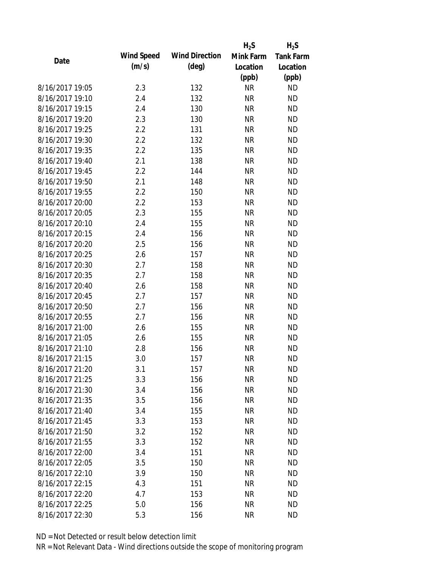|                 |            |                       | $H_2S$    | $H_2S$           |
|-----------------|------------|-----------------------|-----------|------------------|
| Date            | Wind Speed | <b>Wind Direction</b> | Mink Farm | <b>Tank Farm</b> |
|                 | (m/s)      | $(\text{deg})$        | Location  | Location         |
|                 |            |                       | (ppb)     | (ppb)            |
| 8/16/2017 19:05 | 2.3        | 132                   | <b>NR</b> | <b>ND</b>        |
| 8/16/2017 19:10 | 2.4        | 132                   | <b>NR</b> | <b>ND</b>        |
| 8/16/2017 19:15 | 2.4        | 130                   | <b>NR</b> | <b>ND</b>        |
| 8/16/2017 19:20 | 2.3        | 130                   | <b>NR</b> | <b>ND</b>        |
| 8/16/2017 19:25 | 2.2        | 131                   | <b>NR</b> | <b>ND</b>        |
| 8/16/2017 19:30 | 2.2        | 132                   | <b>NR</b> | <b>ND</b>        |
| 8/16/2017 19:35 | 2.2        | 135                   | <b>NR</b> | <b>ND</b>        |
| 8/16/2017 19:40 | 2.1        | 138                   | <b>NR</b> | <b>ND</b>        |
| 8/16/2017 19:45 | 2.2        | 144                   | <b>NR</b> | <b>ND</b>        |
| 8/16/2017 19:50 | 2.1        | 148                   | <b>NR</b> | <b>ND</b>        |
| 8/16/2017 19:55 | 2.2        | 150                   | <b>NR</b> | <b>ND</b>        |
| 8/16/2017 20:00 | 2.2        | 153                   | <b>NR</b> | <b>ND</b>        |
| 8/16/2017 20:05 | 2.3        | 155                   | <b>NR</b> | <b>ND</b>        |
| 8/16/2017 20:10 | 2.4        | 155                   | <b>NR</b> | <b>ND</b>        |
| 8/16/2017 20:15 | 2.4        | 156                   | <b>NR</b> | <b>ND</b>        |
| 8/16/2017 20:20 | 2.5        | 156                   | <b>NR</b> | <b>ND</b>        |
| 8/16/2017 20:25 | 2.6        | 157                   | <b>NR</b> | <b>ND</b>        |
| 8/16/2017 20:30 | 2.7        | 158                   | <b>NR</b> | <b>ND</b>        |
| 8/16/2017 20:35 | 2.7        | 158                   | <b>NR</b> | <b>ND</b>        |
| 8/16/2017 20:40 | 2.6        | 158                   | <b>NR</b> | <b>ND</b>        |
| 8/16/2017 20:45 | 2.7        | 157                   | <b>NR</b> | <b>ND</b>        |
| 8/16/2017 20:50 | 2.7        | 156                   | <b>NR</b> | <b>ND</b>        |
| 8/16/2017 20:55 | 2.7        | 156                   | <b>NR</b> | <b>ND</b>        |
| 8/16/2017 21:00 | 2.6        | 155                   | <b>NR</b> | <b>ND</b>        |
| 8/16/2017 21:05 | 2.6        | 155                   | <b>NR</b> | <b>ND</b>        |
| 8/16/2017 21:10 | 2.8        | 156                   | <b>NR</b> | <b>ND</b>        |
| 8/16/2017 21:15 | 3.0        | 157                   | <b>NR</b> | <b>ND</b>        |
| 8/16/2017 21:20 | 3.1        | 157                   | <b>NR</b> | <b>ND</b>        |
| 8/16/2017 21:25 | 3.3        | 156                   | <b>NR</b> | <b>ND</b>        |
| 8/16/2017 21:30 | 3.4        | 156                   | <b>NR</b> | <b>ND</b>        |
| 8/16/2017 21:35 | 3.5        | 156                   | <b>NR</b> | <b>ND</b>        |
| 8/16/2017 21:40 | 3.4        | 155                   | <b>NR</b> | <b>ND</b>        |
| 8/16/2017 21:45 | 3.3        | 153                   | <b>NR</b> | <b>ND</b>        |
| 8/16/2017 21:50 | 3.2        | 152                   | <b>NR</b> | <b>ND</b>        |
| 8/16/2017 21:55 | 3.3        | 152                   | <b>NR</b> | <b>ND</b>        |
| 8/16/2017 22:00 | 3.4        | 151                   | <b>NR</b> | <b>ND</b>        |
| 8/16/2017 22:05 | 3.5        | 150                   | <b>NR</b> | <b>ND</b>        |
| 8/16/2017 22:10 | 3.9        | 150                   | NR        | <b>ND</b>        |
| 8/16/2017 22:15 | 4.3        | 151                   | <b>NR</b> | <b>ND</b>        |
| 8/16/2017 22:20 | 4.7        | 153                   | ΝR        | <b>ND</b>        |
| 8/16/2017 22:25 | 5.0        | 156                   | <b>NR</b> | <b>ND</b>        |
| 8/16/2017 22:30 | 5.3        | 156                   | <b>NR</b> | <b>ND</b>        |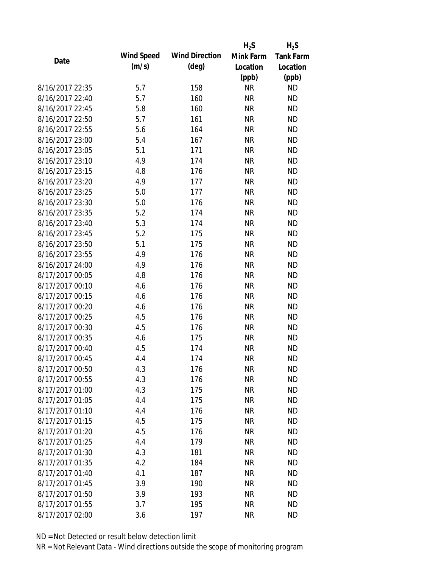|                 |                   |                       | $H_2S$    | $H_2S$           |
|-----------------|-------------------|-----------------------|-----------|------------------|
| Date            | <b>Wind Speed</b> | <b>Wind Direction</b> | Mink Farm | <b>Tank Farm</b> |
|                 | (m/s)             | $(\text{deg})$        | Location  | Location         |
|                 |                   |                       | (ppb)     | (ppb)            |
| 8/16/2017 22:35 | 5.7               | 158                   | <b>NR</b> | <b>ND</b>        |
| 8/16/2017 22:40 | 5.7               | 160                   | <b>NR</b> | <b>ND</b>        |
| 8/16/2017 22:45 | 5.8               | 160                   | <b>NR</b> | <b>ND</b>        |
| 8/16/2017 22:50 | 5.7               | 161                   | <b>NR</b> | <b>ND</b>        |
| 8/16/2017 22:55 | 5.6               | 164                   | <b>NR</b> | <b>ND</b>        |
| 8/16/2017 23:00 | 5.4               | 167                   | <b>NR</b> | <b>ND</b>        |
| 8/16/2017 23:05 | 5.1               | 171                   | <b>NR</b> | <b>ND</b>        |
| 8/16/2017 23:10 | 4.9               | 174                   | <b>NR</b> | <b>ND</b>        |
| 8/16/2017 23:15 | 4.8               | 176                   | <b>NR</b> | <b>ND</b>        |
| 8/16/2017 23:20 | 4.9               | 177                   | <b>NR</b> | <b>ND</b>        |
| 8/16/2017 23:25 | 5.0               | 177                   | <b>NR</b> | <b>ND</b>        |
| 8/16/2017 23:30 | 5.0               | 176                   | <b>NR</b> | <b>ND</b>        |
| 8/16/2017 23:35 | 5.2               | 174                   | <b>NR</b> | <b>ND</b>        |
| 8/16/2017 23:40 | 5.3               | 174                   | <b>NR</b> | <b>ND</b>        |
| 8/16/2017 23:45 | 5.2               | 175                   | <b>NR</b> | <b>ND</b>        |
| 8/16/2017 23:50 | 5.1               | 175                   | <b>NR</b> | <b>ND</b>        |
| 8/16/2017 23:55 | 4.9               | 176                   | <b>NR</b> | <b>ND</b>        |
| 8/16/2017 24:00 | 4.9               | 176                   | <b>NR</b> | <b>ND</b>        |
| 8/17/2017 00:05 | 4.8               | 176                   | <b>NR</b> | <b>ND</b>        |
| 8/17/2017 00:10 | 4.6               | 176                   | <b>NR</b> | <b>ND</b>        |
| 8/17/2017 00:15 | 4.6               | 176                   | <b>NR</b> | <b>ND</b>        |
| 8/17/2017 00:20 | 4.6               | 176                   | <b>NR</b> | <b>ND</b>        |
| 8/17/2017 00:25 | 4.5               | 176                   | <b>NR</b> | <b>ND</b>        |
| 8/17/2017 00:30 | 4.5               | 176                   | <b>NR</b> | <b>ND</b>        |
| 8/17/2017 00:35 | 4.6               | 175                   | <b>NR</b> | <b>ND</b>        |
| 8/17/2017 00:40 | 4.5               | 174                   | <b>NR</b> | <b>ND</b>        |
| 8/17/2017 00:45 | 4.4               | 174                   | <b>NR</b> | <b>ND</b>        |
| 8/17/2017 00:50 | 4.3               | 176                   | <b>NR</b> | <b>ND</b>        |
| 8/17/2017 00:55 | 4.3               | 176                   | <b>NR</b> | <b>ND</b>        |
| 8/17/2017 01:00 | 4.3               | 175                   | <b>NR</b> | <b>ND</b>        |
| 8/17/2017 01:05 | 4.4               | 175                   | <b>NR</b> | <b>ND</b>        |
| 8/17/2017 01:10 | 4.4               | 176                   | <b>NR</b> | <b>ND</b>        |
| 8/17/2017 01:15 | 4.5               | 175                   | <b>NR</b> | <b>ND</b>        |
| 8/17/2017 01:20 | 4.5               | 176                   | <b>NR</b> | <b>ND</b>        |
| 8/17/2017 01:25 | 4.4               | 179                   | <b>NR</b> | <b>ND</b>        |
| 8/17/2017 01:30 | 4.3               | 181                   | <b>NR</b> | <b>ND</b>        |
| 8/17/2017 01:35 | 4.2               | 184                   | <b>NR</b> | <b>ND</b>        |
| 8/17/2017 01:40 | 4.1               | 187                   | <b>NR</b> | <b>ND</b>        |
| 8/17/2017 01:45 | 3.9               | 190                   | <b>NR</b> | <b>ND</b>        |
| 8/17/2017 01:50 | 3.9               | 193                   | NR        | <b>ND</b>        |
| 8/17/2017 01:55 | 3.7               | 195                   | <b>NR</b> | <b>ND</b>        |
|                 |                   |                       |           |                  |
| 8/17/2017 02:00 | 3.6               | 197                   | <b>NR</b> | <b>ND</b>        |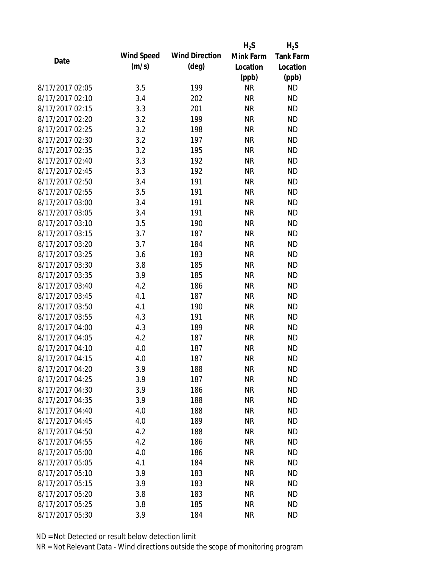|                 |            |                       | $H_2S$    | $H_2S$           |
|-----------------|------------|-----------------------|-----------|------------------|
| Date            | Wind Speed | <b>Wind Direction</b> | Mink Farm | <b>Tank Farm</b> |
|                 | (m/s)      | $(\text{deg})$        | Location  | Location         |
|                 |            |                       | (ppb)     | (ppb)            |
| 8/17/2017 02:05 | 3.5        | 199                   | <b>NR</b> | <b>ND</b>        |
| 8/17/2017 02:10 | 3.4        | 202                   | <b>NR</b> | <b>ND</b>        |
| 8/17/2017 02:15 | 3.3        | 201                   | <b>NR</b> | <b>ND</b>        |
| 8/17/2017 02:20 | 3.2        | 199                   | <b>NR</b> | <b>ND</b>        |
| 8/17/2017 02:25 | 3.2        | 198                   | <b>NR</b> | <b>ND</b>        |
| 8/17/2017 02:30 | 3.2        | 197                   | <b>NR</b> | <b>ND</b>        |
| 8/17/2017 02:35 | 3.2        | 195                   | <b>NR</b> | <b>ND</b>        |
| 8/17/2017 02:40 | 3.3        | 192                   | <b>NR</b> | <b>ND</b>        |
| 8/17/2017 02:45 | 3.3        | 192                   | <b>NR</b> | <b>ND</b>        |
| 8/17/2017 02:50 | 3.4        | 191                   | <b>NR</b> | <b>ND</b>        |
| 8/17/2017 02:55 | 3.5        | 191                   | <b>NR</b> | <b>ND</b>        |
| 8/17/2017 03:00 | 3.4        | 191                   | <b>NR</b> | <b>ND</b>        |
| 8/17/2017 03:05 | 3.4        | 191                   | <b>NR</b> | <b>ND</b>        |
| 8/17/2017 03:10 | 3.5        | 190                   | <b>NR</b> | <b>ND</b>        |
| 8/17/2017 03:15 | 3.7        | 187                   | <b>NR</b> | <b>ND</b>        |
| 8/17/2017 03:20 | 3.7        | 184                   | <b>NR</b> | <b>ND</b>        |
| 8/17/2017 03:25 | 3.6        | 183                   | <b>NR</b> | <b>ND</b>        |
| 8/17/2017 03:30 | 3.8        | 185                   | <b>NR</b> | <b>ND</b>        |
| 8/17/2017 03:35 | 3.9        | 185                   | <b>NR</b> | <b>ND</b>        |
| 8/17/2017 03:40 | 4.2        | 186                   | <b>NR</b> | <b>ND</b>        |
| 8/17/2017 03:45 | 4.1        | 187                   | <b>NR</b> | <b>ND</b>        |
| 8/17/2017 03:50 | 4.1        | 190                   | <b>NR</b> | <b>ND</b>        |
| 8/17/2017 03:55 | 4.3        | 191                   | <b>NR</b> | <b>ND</b>        |
| 8/17/2017 04:00 | 4.3        | 189                   | <b>NR</b> | <b>ND</b>        |
| 8/17/2017 04:05 | 4.2        | 187                   | <b>NR</b> | <b>ND</b>        |
| 8/17/2017 04:10 | 4.0        | 187                   | <b>NR</b> | <b>ND</b>        |
| 8/17/2017 04:15 | 4.0        | 187                   | <b>NR</b> | <b>ND</b>        |
| 8/17/2017 04:20 | 3.9        | 188                   | <b>NR</b> | <b>ND</b>        |
| 8/17/2017 04:25 | 3.9        | 187                   | <b>NR</b> | <b>ND</b>        |
| 8/17/2017 04:30 | 3.9        | 186                   | <b>NR</b> | <b>ND</b>        |
| 8/17/2017 04:35 | 3.9        | 188                   | <b>NR</b> | <b>ND</b>        |
| 8/17/2017 04:40 | 4.0        | 188                   | <b>NR</b> | <b>ND</b>        |
| 8/17/2017 04:45 | 4.0        | 189                   | <b>NR</b> | <b>ND</b>        |
| 8/17/2017 04:50 | 4.2        | 188                   | <b>NR</b> | <b>ND</b>        |
| 8/17/2017 04:55 | 4.2        | 186                   | <b>NR</b> | <b>ND</b>        |
| 8/17/2017 05:00 | 4.0        | 186                   | <b>NR</b> | <b>ND</b>        |
| 8/17/2017 05:05 | 4.1        | 184                   | <b>NR</b> | <b>ND</b>        |
| 8/17/2017 05:10 | 3.9        | 183                   | <b>NR</b> | <b>ND</b>        |
| 8/17/2017 05:15 | 3.9        | 183                   | <b>NR</b> | <b>ND</b>        |
| 8/17/2017 05:20 | 3.8        | 183                   | <b>NR</b> | <b>ND</b>        |
| 8/17/2017 05:25 | 3.8        | 185                   | <b>NR</b> | <b>ND</b>        |
| 8/17/2017 05:30 | 3.9        | 184                   | <b>NR</b> | <b>ND</b>        |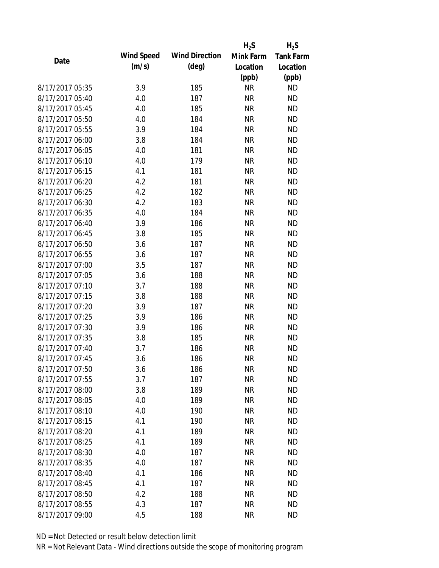|                 |                   |                       | $H_2S$    | $H_2S$           |
|-----------------|-------------------|-----------------------|-----------|------------------|
| Date            | <b>Wind Speed</b> | <b>Wind Direction</b> | Mink Farm | <b>Tank Farm</b> |
|                 | (m/s)             | $(\text{deg})$        | Location  | Location         |
|                 |                   |                       | (ppb)     | (ppb)            |
| 8/17/2017 05:35 | 3.9               | 185                   | <b>NR</b> | <b>ND</b>        |
| 8/17/2017 05:40 | 4.0               | 187                   | <b>NR</b> | <b>ND</b>        |
| 8/17/2017 05:45 | 4.0               | 185                   | <b>NR</b> | <b>ND</b>        |
| 8/17/2017 05:50 | 4.0               | 184                   | <b>NR</b> | <b>ND</b>        |
| 8/17/2017 05:55 | 3.9               | 184                   | <b>NR</b> | <b>ND</b>        |
| 8/17/2017 06:00 | 3.8               | 184                   | <b>NR</b> | <b>ND</b>        |
| 8/17/2017 06:05 | 4.0               | 181                   | <b>NR</b> | <b>ND</b>        |
| 8/17/2017 06:10 | 4.0               | 179                   | <b>NR</b> | <b>ND</b>        |
| 8/17/2017 06:15 | 4.1               | 181                   | <b>NR</b> | <b>ND</b>        |
| 8/17/2017 06:20 | 4.2               | 181                   | <b>NR</b> | <b>ND</b>        |
| 8/17/2017 06:25 | 4.2               | 182                   | <b>NR</b> | <b>ND</b>        |
| 8/17/2017 06:30 | 4.2               | 183                   | <b>NR</b> | <b>ND</b>        |
| 8/17/2017 06:35 | 4.0               | 184                   | <b>NR</b> | <b>ND</b>        |
| 8/17/2017 06:40 | 3.9               | 186                   | <b>NR</b> | <b>ND</b>        |
| 8/17/2017 06:45 | 3.8               | 185                   | <b>NR</b> | <b>ND</b>        |
| 8/17/2017 06:50 | 3.6               | 187                   | <b>NR</b> | <b>ND</b>        |
| 8/17/2017 06:55 | 3.6               | 187                   | <b>NR</b> | <b>ND</b>        |
| 8/17/2017 07:00 | 3.5               | 187                   | <b>NR</b> | <b>ND</b>        |
| 8/17/2017 07:05 | 3.6               | 188                   | <b>NR</b> | <b>ND</b>        |
| 8/17/2017 07:10 | 3.7               | 188                   | <b>NR</b> | <b>ND</b>        |
| 8/17/2017 07:15 | 3.8               | 188                   | <b>NR</b> | <b>ND</b>        |
| 8/17/2017 07:20 | 3.9               | 187                   | <b>NR</b> | <b>ND</b>        |
| 8/17/2017 07:25 | 3.9               | 186                   | <b>NR</b> | <b>ND</b>        |
| 8/17/2017 07:30 | 3.9               | 186                   | <b>NR</b> | <b>ND</b>        |
| 8/17/2017 07:35 | 3.8               | 185                   | <b>NR</b> | <b>ND</b>        |
| 8/17/2017 07:40 | 3.7               | 186                   | <b>NR</b> | <b>ND</b>        |
| 8/17/2017 07:45 | 3.6               | 186                   | <b>NR</b> | <b>ND</b>        |
| 8/17/2017 07:50 | 3.6               | 186                   | <b>NR</b> | <b>ND</b>        |
| 8/17/2017 07:55 | 3.7               | 187                   | <b>NR</b> | <b>ND</b>        |
| 8/17/2017 08:00 | 3.8               | 189                   | <b>NR</b> | <b>ND</b>        |
| 8/17/2017 08:05 | 4.0               | 189                   | <b>NR</b> | <b>ND</b>        |
| 8/17/2017 08:10 | 4.0               | 190                   | <b>NR</b> | <b>ND</b>        |
| 8/17/2017 08:15 | 4.1               | 190                   | <b>NR</b> | <b>ND</b>        |
| 8/17/2017 08:20 | 4.1               | 189                   | <b>NR</b> | <b>ND</b>        |
| 8/17/2017 08:25 | 4.1               | 189                   | <b>NR</b> | <b>ND</b>        |
| 8/17/2017 08:30 | 4.0               | 187                   | <b>NR</b> | <b>ND</b>        |
| 8/17/2017 08:35 | 4.0               | 187                   | <b>NR</b> | <b>ND</b>        |
| 8/17/2017 08:40 | 4.1               | 186                   | <b>NR</b> | <b>ND</b>        |
| 8/17/2017 08:45 | 4.1               | 187                   | <b>NR</b> | <b>ND</b>        |
| 8/17/2017 08:50 | 4.2               | 188                   | <b>NR</b> | <b>ND</b>        |
| 8/17/2017 08:55 | 4.3               | 187                   | <b>NR</b> | <b>ND</b>        |
| 8/17/2017 09:00 | 4.5               | 188                   | <b>NR</b> | <b>ND</b>        |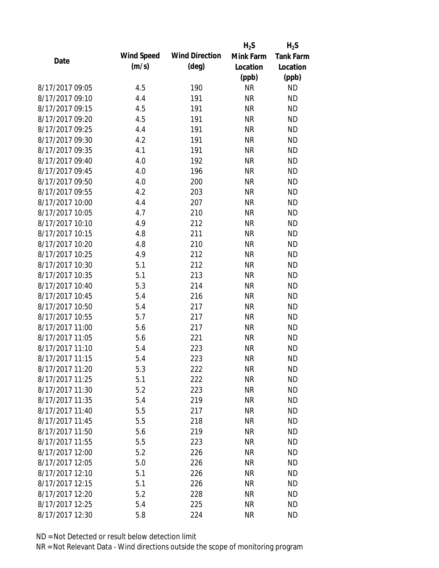|                 |            |                       | $H_2S$    | $H_2S$           |
|-----------------|------------|-----------------------|-----------|------------------|
| Date            | Wind Speed | <b>Wind Direction</b> | Mink Farm | <b>Tank Farm</b> |
|                 | (m/s)      | $(\text{deg})$        | Location  | Location         |
|                 |            |                       | (ppb)     | (ppb)            |
| 8/17/2017 09:05 | 4.5        | 190                   | <b>NR</b> | <b>ND</b>        |
| 8/17/2017 09:10 | 4.4        | 191                   | <b>NR</b> | <b>ND</b>        |
| 8/17/2017 09:15 | 4.5        | 191                   | <b>NR</b> | <b>ND</b>        |
| 8/17/2017 09:20 | 4.5        | 191                   | <b>NR</b> | <b>ND</b>        |
| 8/17/2017 09:25 | 4.4        | 191                   | <b>NR</b> | <b>ND</b>        |
| 8/17/2017 09:30 | 4.2        | 191                   | <b>NR</b> | <b>ND</b>        |
| 8/17/2017 09:35 | 4.1        | 191                   | <b>NR</b> | <b>ND</b>        |
| 8/17/2017 09:40 | 4.0        | 192                   | <b>NR</b> | <b>ND</b>        |
| 8/17/2017 09:45 | 4.0        | 196                   | <b>NR</b> | <b>ND</b>        |
| 8/17/2017 09:50 | 4.0        | 200                   | <b>NR</b> | <b>ND</b>        |
| 8/17/2017 09:55 | 4.2        | 203                   | <b>NR</b> | <b>ND</b>        |
| 8/17/2017 10:00 | 4.4        | 207                   | <b>NR</b> | <b>ND</b>        |
| 8/17/2017 10:05 | 4.7        | 210                   | <b>NR</b> | <b>ND</b>        |
| 8/17/2017 10:10 | 4.9        | 212                   | <b>NR</b> | <b>ND</b>        |
| 8/17/2017 10:15 | 4.8        | 211                   | <b>NR</b> | <b>ND</b>        |
| 8/17/2017 10:20 | 4.8        | 210                   | <b>NR</b> | <b>ND</b>        |
| 8/17/2017 10:25 | 4.9        | 212                   | <b>NR</b> | <b>ND</b>        |
| 8/17/2017 10:30 | 5.1        | 212                   | <b>NR</b> | <b>ND</b>        |
| 8/17/2017 10:35 | 5.1        | 213                   | <b>NR</b> | <b>ND</b>        |
| 8/17/2017 10:40 | 5.3        | 214                   | <b>NR</b> | <b>ND</b>        |
| 8/17/2017 10:45 | 5.4        | 216                   | <b>NR</b> | <b>ND</b>        |
| 8/17/2017 10:50 | 5.4        | 217                   | <b>NR</b> | <b>ND</b>        |
| 8/17/2017 10:55 | 5.7        | 217                   | <b>NR</b> | <b>ND</b>        |
| 8/17/2017 11:00 | 5.6        | 217                   | <b>NR</b> | <b>ND</b>        |
| 8/17/2017 11:05 | 5.6        | 221                   | <b>NR</b> | <b>ND</b>        |
| 8/17/2017 11:10 | 5.4        | 223                   | <b>NR</b> | <b>ND</b>        |
| 8/17/2017 11:15 | 5.4        | 223                   | <b>NR</b> | <b>ND</b>        |
| 8/17/2017 11:20 | 5.3        | 222                   | <b>NR</b> | <b>ND</b>        |
| 8/17/2017 11:25 | 5.1        | 222                   | <b>NR</b> | <b>ND</b>        |
| 8/17/2017 11:30 | 5.2        | 223                   | <b>NR</b> | <b>ND</b>        |
| 8/17/2017 11:35 | 5.4        | 219                   | <b>NR</b> | <b>ND</b>        |
| 8/17/2017 11:40 | 5.5        | 217                   | <b>NR</b> | <b>ND</b>        |
| 8/17/2017 11:45 | 5.5        | 218                   | <b>NR</b> | <b>ND</b>        |
| 8/17/2017 11:50 | 5.6        | 219                   | <b>NR</b> | <b>ND</b>        |
| 8/17/2017 11:55 | 5.5        | 223                   | <b>NR</b> | <b>ND</b>        |
| 8/17/2017 12:00 | 5.2        | 226                   | <b>NR</b> | <b>ND</b>        |
| 8/17/2017 12:05 | 5.0        | 226                   | <b>NR</b> | <b>ND</b>        |
| 8/17/2017 12:10 | 5.1        | 226                   | NR        | <b>ND</b>        |
| 8/17/2017 12:15 | 5.1        | 226                   | <b>NR</b> | <b>ND</b>        |
| 8/17/2017 12:20 | 5.2        | 228                   | ΝR        | <b>ND</b>        |
| 8/17/2017 12:25 | 5.4        | 225                   | <b>NR</b> | <b>ND</b>        |
| 8/17/2017 12:30 | 5.8        | 224                   | <b>NR</b> | <b>ND</b>        |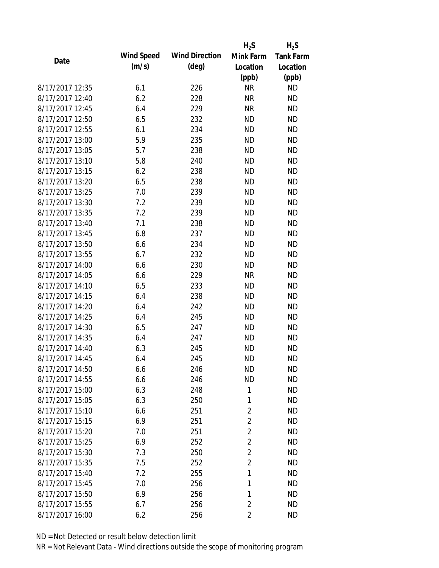|                 |            |                       | $H_2S$         | $H_2S$           |
|-----------------|------------|-----------------------|----------------|------------------|
| Date            | Wind Speed | <b>Wind Direction</b> | Mink Farm      | <b>Tank Farm</b> |
|                 | (m/s)      | $(\text{deg})$        | Location       | Location         |
|                 |            |                       | (ppb)          | (ppb)            |
| 8/17/2017 12:35 | 6.1        | 226                   | <b>NR</b>      | <b>ND</b>        |
| 8/17/2017 12:40 | 6.2        | 228                   | <b>NR</b>      | <b>ND</b>        |
| 8/17/2017 12:45 | 6.4        | 229                   | <b>NR</b>      | <b>ND</b>        |
| 8/17/2017 12:50 | 6.5        | 232                   | <b>ND</b>      | <b>ND</b>        |
| 8/17/2017 12:55 | 6.1        | 234                   | <b>ND</b>      | <b>ND</b>        |
| 8/17/2017 13:00 | 5.9        | 235                   | <b>ND</b>      | <b>ND</b>        |
| 8/17/2017 13:05 | 5.7        | 238                   | <b>ND</b>      | <b>ND</b>        |
| 8/17/2017 13:10 | 5.8        | 240                   | <b>ND</b>      | <b>ND</b>        |
| 8/17/2017 13:15 | 6.2        | 238                   | <b>ND</b>      | <b>ND</b>        |
| 8/17/2017 13:20 | 6.5        | 238                   | <b>ND</b>      | <b>ND</b>        |
| 8/17/2017 13:25 | 7.0        | 239                   | <b>ND</b>      | <b>ND</b>        |
| 8/17/2017 13:30 | 7.2        | 239                   | <b>ND</b>      | <b>ND</b>        |
| 8/17/2017 13:35 | 7.2        | 239                   | <b>ND</b>      | <b>ND</b>        |
| 8/17/2017 13:40 | 7.1        | 238                   | <b>ND</b>      | <b>ND</b>        |
| 8/17/2017 13:45 | 6.8        | 237                   | <b>ND</b>      | <b>ND</b>        |
| 8/17/2017 13:50 | 6.6        | 234                   | <b>ND</b>      | <b>ND</b>        |
| 8/17/2017 13:55 | 6.7        | 232                   | <b>ND</b>      | <b>ND</b>        |
| 8/17/2017 14:00 | 6.6        | 230                   | <b>ND</b>      | <b>ND</b>        |
| 8/17/2017 14:05 | 6.6        | 229                   | <b>NR</b>      | <b>ND</b>        |
| 8/17/2017 14:10 | 6.5        | 233                   | <b>ND</b>      | <b>ND</b>        |
| 8/17/2017 14:15 | 6.4        | 238                   | <b>ND</b>      | <b>ND</b>        |
| 8/17/2017 14:20 | 6.4        | 242                   | <b>ND</b>      | <b>ND</b>        |
| 8/17/2017 14:25 | 6.4        | 245                   | <b>ND</b>      | <b>ND</b>        |
| 8/17/2017 14:30 | 6.5        | 247                   | <b>ND</b>      | <b>ND</b>        |
| 8/17/2017 14:35 | 6.4        | 247                   | <b>ND</b>      | <b>ND</b>        |
| 8/17/2017 14:40 | 6.3        | 245                   | <b>ND</b>      | <b>ND</b>        |
| 8/17/2017 14:45 | 6.4        | 245                   | <b>ND</b>      | <b>ND</b>        |
| 8/17/2017 14:50 | 6.6        | 246                   | <b>ND</b>      | <b>ND</b>        |
| 8/17/2017 14:55 | 6.6        | 246                   | <b>ND</b>      | <b>ND</b>        |
| 8/17/2017 15:00 | 6.3        | 248                   | 1              | <b>ND</b>        |
| 8/17/2017 15:05 | 6.3        | 250                   | 1              | <b>ND</b>        |
| 8/17/2017 15:10 | 6.6        | 251                   | $\overline{2}$ | <b>ND</b>        |
| 8/17/2017 15:15 | 6.9        | 251                   | $\overline{2}$ | <b>ND</b>        |
| 8/17/2017 15:20 | 7.0        | 251                   | $\overline{2}$ | <b>ND</b>        |
| 8/17/2017 15:25 | 6.9        | 252                   | $\overline{2}$ | <b>ND</b>        |
| 8/17/2017 15:30 | 7.3        | 250                   | $\overline{2}$ | <b>ND</b>        |
| 8/17/2017 15:35 | 7.5        | 252                   | $\overline{2}$ | <b>ND</b>        |
| 8/17/2017 15:40 | 7.2        | 255                   | 1              | <b>ND</b>        |
| 8/17/2017 15:45 | 7.0        | 256                   | 1              | <b>ND</b>        |
| 8/17/2017 15:50 | 6.9        | 256                   | 1              | <b>ND</b>        |
| 8/17/2017 15:55 | 6.7        | 256                   | $\overline{2}$ | <b>ND</b>        |
| 8/17/2017 16:00 | 6.2        | 256                   | $\overline{2}$ | <b>ND</b>        |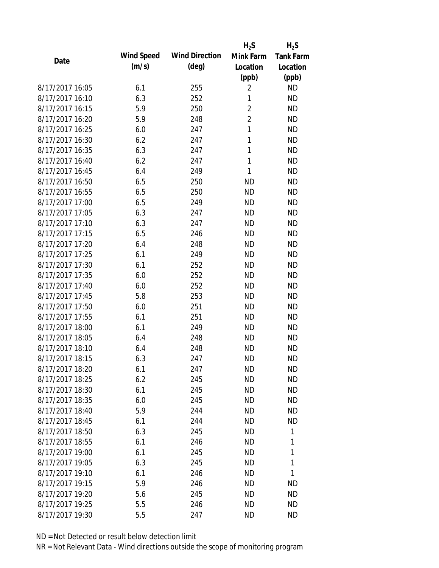|                 |                   |                       | $H_2S$         | $H_2S$           |
|-----------------|-------------------|-----------------------|----------------|------------------|
| Date            | <b>Wind Speed</b> | <b>Wind Direction</b> | Mink Farm      | <b>Tank Farm</b> |
|                 | (m/s)             | $(\text{deg})$        | Location       | Location         |
|                 |                   |                       | (ppb)          | (ppb)            |
| 8/17/2017 16:05 | 6.1               | 255                   | $\overline{2}$ | <b>ND</b>        |
| 8/17/2017 16:10 | 6.3               | 252                   | 1              | <b>ND</b>        |
| 8/17/2017 16:15 | 5.9               | 250                   | $\overline{c}$ | <b>ND</b>        |
| 8/17/2017 16:20 | 5.9               | 248                   | $\overline{2}$ | <b>ND</b>        |
| 8/17/2017 16:25 | 6.0               | 247                   | 1              | <b>ND</b>        |
| 8/17/2017 16:30 | 6.2               | 247                   | 1              | <b>ND</b>        |
| 8/17/2017 16:35 | 6.3               | 247                   | 1              | <b>ND</b>        |
| 8/17/2017 16:40 | 6.2               | 247                   | 1              | <b>ND</b>        |
| 8/17/2017 16:45 | 6.4               | 249                   | 1              | <b>ND</b>        |
| 8/17/2017 16:50 | 6.5               | 250                   | <b>ND</b>      | <b>ND</b>        |
| 8/17/2017 16:55 | 6.5               | 250                   | <b>ND</b>      | <b>ND</b>        |
| 8/17/2017 17:00 | 6.5               | 249                   | <b>ND</b>      | <b>ND</b>        |
| 8/17/2017 17:05 | 6.3               | 247                   | <b>ND</b>      | <b>ND</b>        |
| 8/17/2017 17:10 | 6.3               | 247                   | <b>ND</b>      | <b>ND</b>        |
| 8/17/2017 17:15 | 6.5               | 246                   | <b>ND</b>      | <b>ND</b>        |
| 8/17/2017 17:20 | 6.4               | 248                   | <b>ND</b>      | <b>ND</b>        |
| 8/17/2017 17:25 | 6.1               | 249                   | <b>ND</b>      | <b>ND</b>        |
| 8/17/2017 17:30 | 6.1               | 252                   | <b>ND</b>      | <b>ND</b>        |
| 8/17/2017 17:35 | 6.0               | 252                   | <b>ND</b>      | <b>ND</b>        |
| 8/17/2017 17:40 | 6.0               | 252                   | <b>ND</b>      | <b>ND</b>        |
| 8/17/2017 17:45 | 5.8               | 253                   | <b>ND</b>      | <b>ND</b>        |
| 8/17/2017 17:50 | 6.0               | 251                   | <b>ND</b>      | <b>ND</b>        |
| 8/17/2017 17:55 | 6.1               | 251                   | <b>ND</b>      | <b>ND</b>        |
| 8/17/2017 18:00 | 6.1               | 249                   | <b>ND</b>      | <b>ND</b>        |
| 8/17/2017 18:05 | 6.4               | 248                   | <b>ND</b>      | <b>ND</b>        |
| 8/17/2017 18:10 | 6.4               | 248                   | <b>ND</b>      | <b>ND</b>        |
| 8/17/2017 18:15 | 6.3               | 247                   | <b>ND</b>      | <b>ND</b>        |
| 8/17/2017 18:20 | 6.1               | 247                   | ND             | <b>ND</b>        |
| 8/17/2017 18:25 | 6.2               | 245                   | <b>ND</b>      | <b>ND</b>        |
| 8/17/2017 18:30 | 6.1               | 245                   | <b>ND</b>      | <b>ND</b>        |
| 8/17/2017 18:35 | 6.0               | 245                   | <b>ND</b>      | <b>ND</b>        |
| 8/17/2017 18:40 | 5.9               | 244                   | <b>ND</b>      | <b>ND</b>        |
| 8/17/2017 18:45 | 6.1               | 244                   | ND             | <b>ND</b>        |
| 8/17/2017 18:50 | 6.3               | 245                   | <b>ND</b>      | 1                |
| 8/17/2017 18:55 | 6.1               | 246                   | ND             | 1                |
| 8/17/2017 19:00 | 6.1               | 245                   | ND             | 1                |
| 8/17/2017 19:05 | 6.3               | 245                   | <b>ND</b>      | 1                |
| 8/17/2017 19:10 | 6.1               | 246                   | ND             | 1                |
| 8/17/2017 19:15 | 5.9               | 246                   | <b>ND</b>      | <b>ND</b>        |
| 8/17/2017 19:20 | 5.6               | 245                   | ND             | <b>ND</b>        |
| 8/17/2017 19:25 | 5.5               | 246                   | ΝD             | <b>ND</b>        |
| 8/17/2017 19:30 | 5.5               | 247                   | ΝD             | <b>ND</b>        |
|                 |                   |                       |                |                  |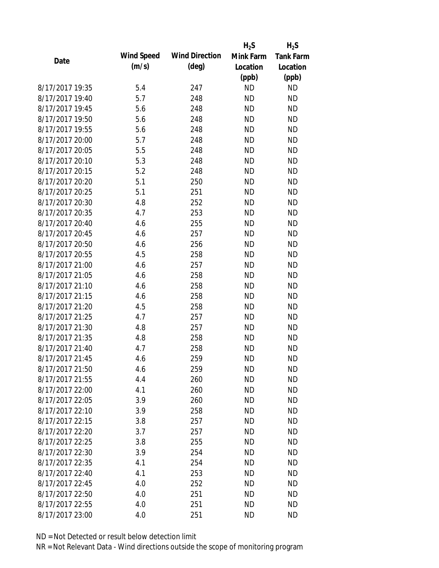|                 |            |                       | $H_2S$    | $H_2S$           |
|-----------------|------------|-----------------------|-----------|------------------|
| Date            | Wind Speed | <b>Wind Direction</b> | Mink Farm | <b>Tank Farm</b> |
|                 | (m/s)      | $(\text{deg})$        | Location  | Location         |
|                 |            |                       | (ppb)     | (ppb)            |
| 8/17/2017 19:35 | 5.4        | 247                   | <b>ND</b> | <b>ND</b>        |
| 8/17/2017 19:40 | 5.7        | 248                   | <b>ND</b> | <b>ND</b>        |
| 8/17/2017 19:45 | 5.6        | 248                   | <b>ND</b> | <b>ND</b>        |
| 8/17/2017 19:50 | 5.6        | 248                   | <b>ND</b> | <b>ND</b>        |
| 8/17/2017 19:55 | 5.6        | 248                   | <b>ND</b> | <b>ND</b>        |
| 8/17/2017 20:00 | 5.7        | 248                   | <b>ND</b> | <b>ND</b>        |
| 8/17/2017 20:05 | 5.5        | 248                   | <b>ND</b> | <b>ND</b>        |
| 8/17/2017 20:10 | 5.3        | 248                   | <b>ND</b> | <b>ND</b>        |
| 8/17/2017 20:15 | 5.2        | 248                   | <b>ND</b> | <b>ND</b>        |
| 8/17/2017 20:20 | 5.1        | 250                   | <b>ND</b> | <b>ND</b>        |
| 8/17/2017 20:25 | 5.1        | 251                   | <b>ND</b> | <b>ND</b>        |
| 8/17/2017 20:30 | 4.8        | 252                   | <b>ND</b> | <b>ND</b>        |
| 8/17/2017 20:35 | 4.7        | 253                   | <b>ND</b> | <b>ND</b>        |
| 8/17/2017 20:40 | 4.6        | 255                   | <b>ND</b> | <b>ND</b>        |
| 8/17/2017 20:45 | 4.6        | 257                   | <b>ND</b> | <b>ND</b>        |
| 8/17/2017 20:50 | 4.6        | 256                   | <b>ND</b> | <b>ND</b>        |
| 8/17/2017 20:55 | 4.5        | 258                   | <b>ND</b> | <b>ND</b>        |
| 8/17/2017 21:00 | 4.6        | 257                   | <b>ND</b> | <b>ND</b>        |
| 8/17/2017 21:05 | 4.6        | 258                   | <b>ND</b> | <b>ND</b>        |
| 8/17/2017 21:10 | 4.6        | 258                   | <b>ND</b> | <b>ND</b>        |
| 8/17/2017 21:15 | 4.6        | 258                   | <b>ND</b> | <b>ND</b>        |
| 8/17/2017 21:20 | 4.5        | 258                   | <b>ND</b> | <b>ND</b>        |
| 8/17/2017 21:25 | 4.7        | 257                   | <b>ND</b> | <b>ND</b>        |
| 8/17/2017 21:30 | 4.8        | 257                   | <b>ND</b> | <b>ND</b>        |
| 8/17/2017 21:35 | 4.8        | 258                   | <b>ND</b> | <b>ND</b>        |
| 8/17/2017 21:40 | 4.7        | 258                   | <b>ND</b> | <b>ND</b>        |
| 8/17/2017 21:45 | 4.6        | 259                   | <b>ND</b> | <b>ND</b>        |
| 8/17/2017 21:50 | 4.6        | 259                   | <b>ND</b> | <b>ND</b>        |
| 8/17/2017 21:55 | 4.4        | 260                   | <b>ND</b> | <b>ND</b>        |
| 8/17/2017 22:00 | 4.1        | 260                   | <b>ND</b> | <b>ND</b>        |
| 8/17/2017 22:05 | 3.9        | 260                   | <b>ND</b> | <b>ND</b>        |
| 8/17/2017 22:10 | 3.9        | 258                   | <b>ND</b> | <b>ND</b>        |
| 8/17/2017 22:15 | 3.8        | 257                   | ND        | <b>ND</b>        |
| 8/17/2017 22:20 | 3.7        | 257                   | <b>ND</b> | <b>ND</b>        |
| 8/17/2017 22:25 | 3.8        | 255                   | <b>ND</b> | <b>ND</b>        |
| 8/17/2017 22:30 | 3.9        | 254                   | <b>ND</b> | <b>ND</b>        |
| 8/17/2017 22:35 | 4.1        | 254                   | <b>ND</b> | <b>ND</b>        |
| 8/17/2017 22:40 | 4.1        | 253                   | <b>ND</b> | <b>ND</b>        |
| 8/17/2017 22:45 | 4.0        | 252                   | <b>ND</b> | <b>ND</b>        |
| 8/17/2017 22:50 | 4.0        | 251                   | ND        | ND               |
| 8/17/2017 22:55 | 4.0        | 251                   | <b>ND</b> | <b>ND</b>        |
| 8/17/2017 23:00 | 4.0        | 251                   | <b>ND</b> | <b>ND</b>        |
|                 |            |                       |           |                  |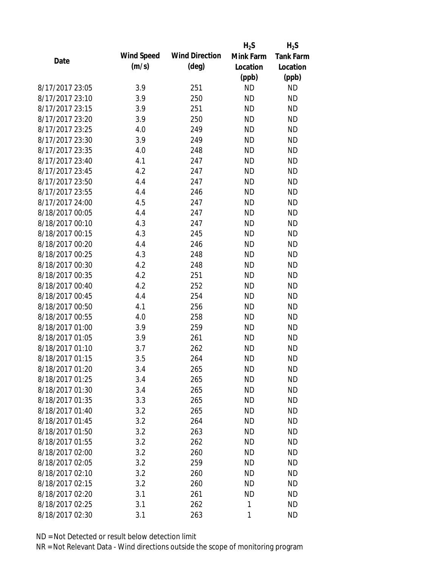|                 |            |                       | $H_2S$    | $H_2S$           |
|-----------------|------------|-----------------------|-----------|------------------|
| Date            | Wind Speed | <b>Wind Direction</b> | Mink Farm | <b>Tank Farm</b> |
|                 | (m/s)      | $(\text{deg})$        | Location  | Location         |
|                 |            |                       | (ppb)     | (ppb)            |
| 8/17/2017 23:05 | 3.9        | 251                   | <b>ND</b> | <b>ND</b>        |
| 8/17/2017 23:10 | 3.9        | 250                   | <b>ND</b> | <b>ND</b>        |
| 8/17/2017 23:15 | 3.9        | 251                   | <b>ND</b> | <b>ND</b>        |
| 8/17/2017 23:20 | 3.9        | 250                   | <b>ND</b> | <b>ND</b>        |
| 8/17/2017 23:25 | 4.0        | 249                   | <b>ND</b> | <b>ND</b>        |
| 8/17/2017 23:30 | 3.9        | 249                   | <b>ND</b> | <b>ND</b>        |
| 8/17/2017 23:35 | 4.0        | 248                   | <b>ND</b> | <b>ND</b>        |
| 8/17/2017 23:40 | 4.1        | 247                   | <b>ND</b> | <b>ND</b>        |
| 8/17/2017 23:45 | 4.2        | 247                   | <b>ND</b> | <b>ND</b>        |
| 8/17/2017 23:50 | 4.4        | 247                   | <b>ND</b> | <b>ND</b>        |
| 8/17/2017 23:55 | 4.4        | 246                   | <b>ND</b> | <b>ND</b>        |
| 8/17/2017 24:00 | 4.5        | 247                   | <b>ND</b> | <b>ND</b>        |
| 8/18/2017 00:05 | 4.4        | 247                   | <b>ND</b> | <b>ND</b>        |
| 8/18/2017 00:10 | 4.3        | 247                   | <b>ND</b> | <b>ND</b>        |
| 8/18/2017 00:15 | 4.3        | 245                   | <b>ND</b> | <b>ND</b>        |
| 8/18/2017 00:20 | 4.4        | 246                   | <b>ND</b> | <b>ND</b>        |
| 8/18/2017 00:25 | 4.3        | 248                   | <b>ND</b> | <b>ND</b>        |
| 8/18/2017 00:30 | 4.2        | 248                   | <b>ND</b> | <b>ND</b>        |
| 8/18/2017 00:35 | 4.2        | 251                   | <b>ND</b> | <b>ND</b>        |
| 8/18/2017 00:40 | 4.2        | 252                   | <b>ND</b> | <b>ND</b>        |
| 8/18/2017 00:45 | 4.4        | 254                   | <b>ND</b> | <b>ND</b>        |
| 8/18/2017 00:50 | 4.1        | 256                   | <b>ND</b> | <b>ND</b>        |
| 8/18/2017 00:55 | 4.0        | 258                   | <b>ND</b> | <b>ND</b>        |
| 8/18/2017 01:00 | 3.9        | 259                   | <b>ND</b> | <b>ND</b>        |
| 8/18/2017 01:05 | 3.9        | 261                   | <b>ND</b> | <b>ND</b>        |
| 8/18/2017 01:10 | 3.7        | 262                   | <b>ND</b> | <b>ND</b>        |
| 8/18/2017 01:15 | 3.5        | 264                   | <b>ND</b> | <b>ND</b>        |
| 8/18/2017 01:20 | 3.4        | 265                   | <b>ND</b> | <b>ND</b>        |
| 8/18/2017 01:25 | 3.4        | 265                   | <b>ND</b> | <b>ND</b>        |
| 8/18/2017 01:30 | 3.4        | 265                   | <b>ND</b> | <b>ND</b>        |
| 8/18/2017 01:35 | 3.3        | 265                   | <b>ND</b> | <b>ND</b>        |
| 8/18/2017 01:40 | 3.2        | 265                   | <b>ND</b> | <b>ND</b>        |
| 8/18/2017 01:45 | 3.2        | 264                   | <b>ND</b> | <b>ND</b>        |
| 8/18/2017 01:50 | 3.2        | 263                   | <b>ND</b> | <b>ND</b>        |
| 8/18/2017 01:55 | 3.2        | 262                   | <b>ND</b> | <b>ND</b>        |
| 8/18/2017 02:00 | 3.2        | 260                   | <b>ND</b> | <b>ND</b>        |
| 8/18/2017 02:05 | 3.2        | 259                   | <b>ND</b> | <b>ND</b>        |
| 8/18/2017 02:10 | 3.2        | 260                   | <b>ND</b> | <b>ND</b>        |
| 8/18/2017 02:15 | 3.2        | 260                   | <b>ND</b> | <b>ND</b>        |
| 8/18/2017 02:20 | 3.1        | 261                   | <b>ND</b> | <b>ND</b>        |
| 8/18/2017 02:25 | 3.1        | 262                   | 1         | <b>ND</b>        |
| 8/18/2017 02:30 | 3.1        | 263                   | 1         | <b>ND</b>        |
|                 |            |                       |           |                  |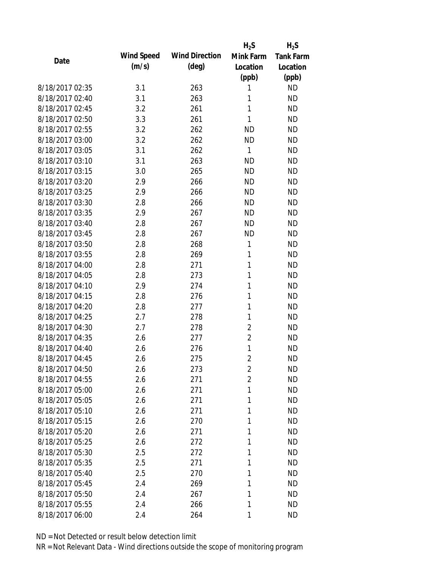|                 |            |                       | $H_2S$         | $H_2S$           |
|-----------------|------------|-----------------------|----------------|------------------|
| Date            | Wind Speed | <b>Wind Direction</b> | Mink Farm      | <b>Tank Farm</b> |
|                 | (m/s)      | $(\text{deg})$        | Location       | Location         |
|                 |            |                       | (ppb)          | (ppb)            |
| 8/18/2017 02:35 | 3.1        | 263                   | 1              | <b>ND</b>        |
| 8/18/2017 02:40 | 3.1        | 263                   | 1              | <b>ND</b>        |
| 8/18/2017 02:45 | 3.2        | 261                   | 1              | <b>ND</b>        |
| 8/18/2017 02:50 | 3.3        | 261                   | 1              | <b>ND</b>        |
| 8/18/2017 02:55 | 3.2        | 262                   | <b>ND</b>      | <b>ND</b>        |
| 8/18/2017 03:00 | 3.2        | 262                   | <b>ND</b>      | <b>ND</b>        |
| 8/18/2017 03:05 | 3.1        | 262                   | 1              | <b>ND</b>        |
| 8/18/2017 03:10 | 3.1        | 263                   | <b>ND</b>      | <b>ND</b>        |
| 8/18/2017 03:15 | 3.0        | 265                   | <b>ND</b>      | <b>ND</b>        |
| 8/18/2017 03:20 | 2.9        | 266                   | <b>ND</b>      | <b>ND</b>        |
| 8/18/2017 03:25 | 2.9        | 266                   | <b>ND</b>      | <b>ND</b>        |
| 8/18/2017 03:30 | 2.8        | 266                   | <b>ND</b>      | <b>ND</b>        |
| 8/18/2017 03:35 | 2.9        | 267                   | <b>ND</b>      | <b>ND</b>        |
| 8/18/2017 03:40 | 2.8        | 267                   | <b>ND</b>      | <b>ND</b>        |
| 8/18/2017 03:45 | 2.8        | 267                   | <b>ND</b>      | <b>ND</b>        |
| 8/18/2017 03:50 | 2.8        | 268                   | 1              | <b>ND</b>        |
| 8/18/2017 03:55 | 2.8        | 269                   | 1              | <b>ND</b>        |
| 8/18/2017 04:00 | 2.8        | 271                   | 1              | <b>ND</b>        |
| 8/18/2017 04:05 | 2.8        | 273                   | 1              | <b>ND</b>        |
| 8/18/2017 04:10 | 2.9        | 274                   | 1              | <b>ND</b>        |
| 8/18/2017 04:15 | 2.8        | 276                   | 1              | <b>ND</b>        |
| 8/18/2017 04:20 | 2.8        | 277                   | 1              | <b>ND</b>        |
| 8/18/2017 04:25 | 2.7        | 278                   | 1              | <b>ND</b>        |
| 8/18/2017 04:30 | 2.7        | 278                   | $\overline{c}$ | <b>ND</b>        |
| 8/18/2017 04:35 | 2.6        | 277                   | $\overline{2}$ | <b>ND</b>        |
| 8/18/2017 04:40 | 2.6        | 276                   | $\mathbf{1}$   | <b>ND</b>        |
| 8/18/2017 04:45 | 2.6        | 275                   | $\overline{2}$ | <b>ND</b>        |
| 8/18/2017 04:50 | 2.6        | 273                   | $\overline{2}$ | <b>ND</b>        |
| 8/18/2017 04:55 | 2.6        | 271                   | $\overline{2}$ | <b>ND</b>        |
| 8/18/2017 05:00 | 2.6        | 271                   | 1              | <b>ND</b>        |
| 8/18/2017 05:05 | 2.6        | 271                   | 1              | <b>ND</b>        |
| 8/18/2017 05:10 | 2.6        | 271                   | 1              | <b>ND</b>        |
| 8/18/2017 05:15 | 2.6        | 270                   | 1              | <b>ND</b>        |
| 8/18/2017 05:20 | 2.6        | 271                   | 1              | <b>ND</b>        |
| 8/18/2017 05:25 | 2.6        | 272                   | 1              | <b>ND</b>        |
| 8/18/2017 05:30 | 2.5        | 272                   | 1              | <b>ND</b>        |
| 8/18/2017 05:35 | 2.5        | 271                   | 1              | <b>ND</b>        |
| 8/18/2017 05:40 | 2.5        | 270                   | 1              | <b>ND</b>        |
| 8/18/2017 05:45 | 2.4        | 269                   | 1              | <b>ND</b>        |
| 8/18/2017 05:50 | 2.4        | 267                   | 1              | <b>ND</b>        |
| 8/18/2017 05:55 | 2.4        | 266                   | 1              | <b>ND</b>        |
| 8/18/2017 06:00 | 2.4        | 264                   | 1              | <b>ND</b>        |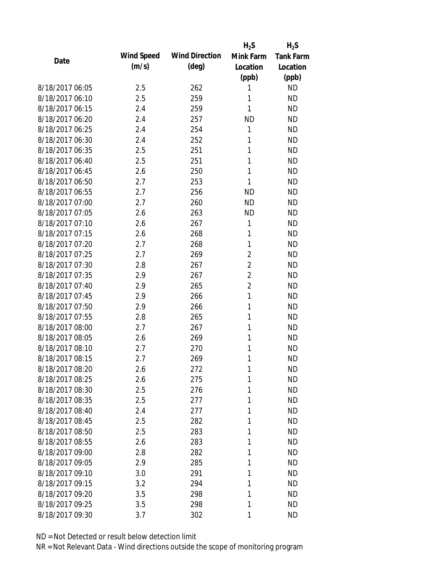|                 |            |                       | $H_2S$         | $H_2S$           |
|-----------------|------------|-----------------------|----------------|------------------|
| Date            | Wind Speed | <b>Wind Direction</b> | Mink Farm      | <b>Tank Farm</b> |
|                 | (m/s)      | $(\text{deg})$        | Location       | Location         |
|                 |            |                       | (ppb)          | (ppb)            |
| 8/18/2017 06:05 | 2.5        | 262                   | 1              | <b>ND</b>        |
| 8/18/2017 06:10 | 2.5        | 259                   | 1              | <b>ND</b>        |
| 8/18/2017 06:15 | 2.4        | 259                   | 1              | <b>ND</b>        |
| 8/18/2017 06:20 | 2.4        | 257                   | <b>ND</b>      | <b>ND</b>        |
| 8/18/2017 06:25 | 2.4        | 254                   | 1              | <b>ND</b>        |
| 8/18/2017 06:30 | 2.4        | 252                   | 1              | <b>ND</b>        |
| 8/18/2017 06:35 | 2.5        | 251                   | 1              | <b>ND</b>        |
| 8/18/2017 06:40 | 2.5        | 251                   | 1              | <b>ND</b>        |
| 8/18/2017 06:45 | 2.6        | 250                   | 1              | <b>ND</b>        |
| 8/18/2017 06:50 | 2.7        | 253                   | 1              | <b>ND</b>        |
| 8/18/2017 06:55 | 2.7        | 256                   | <b>ND</b>      | <b>ND</b>        |
| 8/18/2017 07:00 | 2.7        | 260                   | <b>ND</b>      | <b>ND</b>        |
| 8/18/2017 07:05 | 2.6        | 263                   | <b>ND</b>      | <b>ND</b>        |
| 8/18/2017 07:10 | 2.6        | 267                   | 1              | <b>ND</b>        |
| 8/18/2017 07:15 | 2.6        | 268                   | 1              | <b>ND</b>        |
| 8/18/2017 07:20 | 2.7        | 268                   | 1              | <b>ND</b>        |
| 8/18/2017 07:25 | 2.7        | 269                   | $\overline{c}$ | <b>ND</b>        |
| 8/18/2017 07:30 | 2.8        | 267                   | $\overline{2}$ | <b>ND</b>        |
| 8/18/2017 07:35 | 2.9        | 267                   | $\overline{2}$ | <b>ND</b>        |
| 8/18/2017 07:40 | 2.9        | 265                   | $\overline{2}$ | <b>ND</b>        |
| 8/18/2017 07:45 | 2.9        | 266                   | $\mathbf{1}$   | <b>ND</b>        |
| 8/18/2017 07:50 | 2.9        | 266                   | 1              | <b>ND</b>        |
| 8/18/2017 07:55 | 2.8        | 265                   | 1              | <b>ND</b>        |
| 8/18/2017 08:00 | 2.7        | 267                   | 1              | <b>ND</b>        |
| 8/18/2017 08:05 | 2.6        | 269                   | 1              | <b>ND</b>        |
| 8/18/2017 08:10 | 2.7        | 270                   | 1              | <b>ND</b>        |
| 8/18/2017 08:15 | 2.7        | 269                   | 1              | <b>ND</b>        |
| 8/18/2017 08:20 | 2.6        | 272                   | 1              | <b>ND</b>        |
| 8/18/2017 08:25 | 2.6        | 275                   | 1              | <b>ND</b>        |
| 8/18/2017 08:30 | 2.5        | 276                   | 1              | <b>ND</b>        |
| 8/18/2017 08:35 | 2.5        | 277                   | 1              | <b>ND</b>        |
| 8/18/2017 08:40 | 2.4        | 277                   | 1              | <b>ND</b>        |
| 8/18/2017 08:45 | 2.5        | 282                   | 1              | <b>ND</b>        |
| 8/18/2017 08:50 | 2.5        | 283                   | 1              | <b>ND</b>        |
| 8/18/2017 08:55 | 2.6        | 283                   | 1              | <b>ND</b>        |
| 8/18/2017 09:00 | 2.8        | 282                   | 1              | <b>ND</b>        |
| 8/18/2017 09:05 | 2.9        | 285                   | 1              | <b>ND</b>        |
| 8/18/2017 09:10 | 3.0        | 291                   | 1              | <b>ND</b>        |
| 8/18/2017 09:15 | 3.2        | 294                   | 1              | <b>ND</b>        |
| 8/18/2017 09:20 | 3.5        | 298                   | 1              | <b>ND</b>        |
| 8/18/2017 09:25 | 3.5        | 298                   | 1              | <b>ND</b>        |
| 8/18/2017 09:30 | 3.7        | 302                   | 1              | <b>ND</b>        |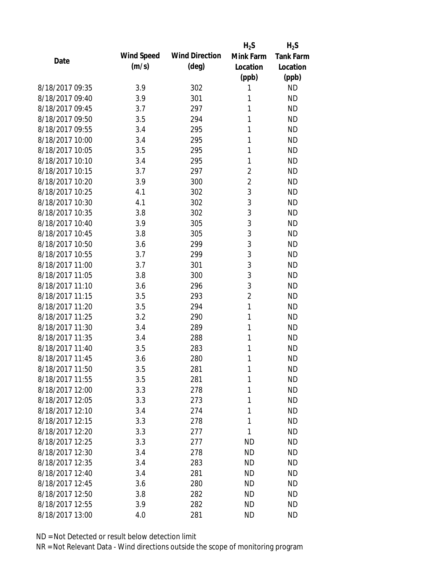|                 |            |                       | $H_2S$         | $H_2S$           |
|-----------------|------------|-----------------------|----------------|------------------|
| Date            | Wind Speed | <b>Wind Direction</b> | Mink Farm      | <b>Tank Farm</b> |
|                 | (m/s)      | $(\text{deg})$        | Location       | Location         |
|                 |            |                       | (ppb)          | (ppb)            |
| 8/18/2017 09:35 | 3.9        | 302                   | 1              | <b>ND</b>        |
| 8/18/2017 09:40 | 3.9        | 301                   | 1              | <b>ND</b>        |
| 8/18/2017 09:45 | 3.7        | 297                   | 1              | <b>ND</b>        |
| 8/18/2017 09:50 | 3.5        | 294                   | 1              | <b>ND</b>        |
| 8/18/2017 09:55 | 3.4        | 295                   | 1              | <b>ND</b>        |
| 8/18/2017 10:00 | 3.4        | 295                   | 1              | <b>ND</b>        |
| 8/18/2017 10:05 | 3.5        | 295                   | 1              | <b>ND</b>        |
| 8/18/2017 10:10 | 3.4        | 295                   | 1              | <b>ND</b>        |
| 8/18/2017 10:15 | 3.7        | 297                   | $\overline{c}$ | <b>ND</b>        |
| 8/18/2017 10:20 | 3.9        | 300                   | $\overline{2}$ | <b>ND</b>        |
| 8/18/2017 10:25 | 4.1        | 302                   | 3              | <b>ND</b>        |
| 8/18/2017 10:30 | 4.1        | 302                   | 3              | <b>ND</b>        |
| 8/18/2017 10:35 | 3.8        | 302                   | 3              | <b>ND</b>        |
| 8/18/2017 10:40 | 3.9        | 305                   | 3              | <b>ND</b>        |
| 8/18/2017 10:45 | 3.8        | 305                   | 3              | <b>ND</b>        |
| 8/18/2017 10:50 | 3.6        | 299                   | 3              | <b>ND</b>        |
| 8/18/2017 10:55 | 3.7        | 299                   | 3              | <b>ND</b>        |
| 8/18/2017 11:00 | 3.7        | 301                   | 3              | <b>ND</b>        |
| 8/18/2017 11:05 | 3.8        | 300                   | 3              | <b>ND</b>        |
| 8/18/2017 11:10 | 3.6        | 296                   | 3              | <b>ND</b>        |
| 8/18/2017 11:15 | 3.5        | 293                   | $\overline{2}$ | <b>ND</b>        |
| 8/18/2017 11:20 | 3.5        | 294                   | 1              | <b>ND</b>        |
| 8/18/2017 11:25 | 3.2        | 290                   | 1              | <b>ND</b>        |
| 8/18/2017 11:30 | 3.4        | 289                   | 1              | <b>ND</b>        |
| 8/18/2017 11:35 | 3.4        | 288                   | 1              | <b>ND</b>        |
| 8/18/2017 11:40 | 3.5        | 283                   | 1              | <b>ND</b>        |
| 8/18/2017 11:45 | 3.6        | 280                   | 1              | <b>ND</b>        |
| 8/18/2017 11:50 | 3.5        | 281                   | 1              | <b>ND</b>        |
| 8/18/2017 11:55 | 3.5        | 281                   | 1              | <b>ND</b>        |
| 8/18/2017 12:00 | 3.3        | 278                   | 1              | <b>ND</b>        |
| 8/18/2017 12:05 | 3.3        | 273                   | 1              | <b>ND</b>        |
| 8/18/2017 12:10 | 3.4        | 274                   | 1              | <b>ND</b>        |
| 8/18/2017 12:15 | 3.3        | 278                   | 1              | <b>ND</b>        |
| 8/18/2017 12:20 | 3.3        | 277                   | 1              | <b>ND</b>        |
| 8/18/2017 12:25 | 3.3        | 277                   | ND             | <b>ND</b>        |
| 8/18/2017 12:30 | 3.4        | 278                   | <b>ND</b>      | <b>ND</b>        |
| 8/18/2017 12:35 | 3.4        | 283                   | <b>ND</b>      | <b>ND</b>        |
| 8/18/2017 12:40 | 3.4        | 281                   | ND             | <b>ND</b>        |
| 8/18/2017 12:45 | 3.6        | 280                   | <b>ND</b>      | <b>ND</b>        |
| 8/18/2017 12:50 | 3.8        | 282                   | <b>ND</b>      | <b>ND</b>        |
| 8/18/2017 12:55 | 3.9        | 282                   | <b>ND</b>      | <b>ND</b>        |
| 8/18/2017 13:00 | 4.0        | 281                   | <b>ND</b>      | <b>ND</b>        |
|                 |            |                       |                |                  |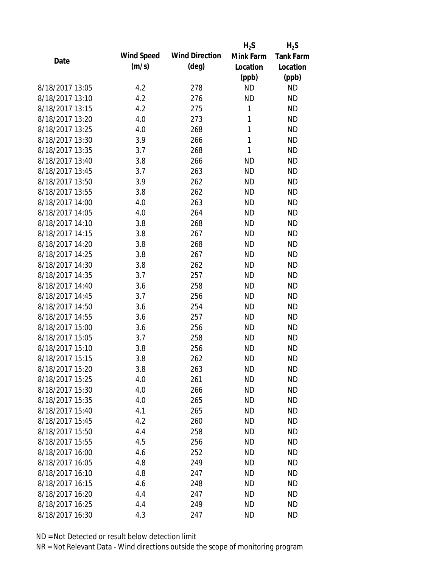|                 |            |                       | $H_2S$    | $H_2S$           |
|-----------------|------------|-----------------------|-----------|------------------|
| Date            | Wind Speed | <b>Wind Direction</b> | Mink Farm | <b>Tank Farm</b> |
|                 | (m/s)      | $(\text{deg})$        | Location  | Location         |
|                 |            |                       | (ppb)     | (ppb)            |
| 8/18/2017 13:05 | 4.2        | 278                   | <b>ND</b> | <b>ND</b>        |
| 8/18/2017 13:10 | 4.2        | 276                   | <b>ND</b> | <b>ND</b>        |
| 8/18/2017 13:15 | 4.2        | 275                   | 1         | <b>ND</b>        |
| 8/18/2017 13:20 | 4.0        | 273                   | 1         | <b>ND</b>        |
| 8/18/2017 13:25 | 4.0        | 268                   | 1         | <b>ND</b>        |
| 8/18/2017 13:30 | 3.9        | 266                   | 1         | <b>ND</b>        |
| 8/18/2017 13:35 | 3.7        | 268                   | 1         | <b>ND</b>        |
| 8/18/2017 13:40 | 3.8        | 266                   | <b>ND</b> | <b>ND</b>        |
| 8/18/2017 13:45 | 3.7        | 263                   | <b>ND</b> | <b>ND</b>        |
| 8/18/2017 13:50 | 3.9        | 262                   | <b>ND</b> | <b>ND</b>        |
| 8/18/2017 13:55 | 3.8        | 262                   | <b>ND</b> | <b>ND</b>        |
| 8/18/2017 14:00 | 4.0        | 263                   | <b>ND</b> | <b>ND</b>        |
| 8/18/2017 14:05 | 4.0        | 264                   | <b>ND</b> | <b>ND</b>        |
| 8/18/2017 14:10 | 3.8        | 268                   | <b>ND</b> | <b>ND</b>        |
| 8/18/2017 14:15 | 3.8        | 267                   | <b>ND</b> | <b>ND</b>        |
| 8/18/2017 14:20 | 3.8        | 268                   | <b>ND</b> | <b>ND</b>        |
| 8/18/2017 14:25 | 3.8        | 267                   | <b>ND</b> | <b>ND</b>        |
| 8/18/2017 14:30 | 3.8        | 262                   | <b>ND</b> | <b>ND</b>        |
| 8/18/2017 14:35 | 3.7        | 257                   | <b>ND</b> | <b>ND</b>        |
| 8/18/2017 14:40 | 3.6        | 258                   | <b>ND</b> | <b>ND</b>        |
| 8/18/2017 14:45 | 3.7        | 256                   | <b>ND</b> | <b>ND</b>        |
| 8/18/2017 14:50 | 3.6        | 254                   | <b>ND</b> | <b>ND</b>        |
| 8/18/2017 14:55 | 3.6        | 257                   | <b>ND</b> | <b>ND</b>        |
| 8/18/2017 15:00 | 3.6        | 256                   | <b>ND</b> | <b>ND</b>        |
| 8/18/2017 15:05 | 3.7        | 258                   | <b>ND</b> | <b>ND</b>        |
| 8/18/2017 15:10 | 3.8        | 256                   | <b>ND</b> | <b>ND</b>        |
| 8/18/2017 15:15 | 3.8        | 262                   | <b>ND</b> | <b>ND</b>        |
| 8/18/2017 15:20 | 3.8        | 263                   | <b>ND</b> | <b>ND</b>        |
| 8/18/2017 15:25 | 4.0        | 261                   | <b>ND</b> | <b>ND</b>        |
| 8/18/2017 15:30 | 4.0        | 266                   | <b>ND</b> | <b>ND</b>        |
| 8/18/2017 15:35 | 4.0        | 265                   | <b>ND</b> | <b>ND</b>        |
| 8/18/2017 15:40 | 4.1        | 265                   | <b>ND</b> | <b>ND</b>        |
| 8/18/2017 15:45 | 4.2        | 260                   | ND        | <b>ND</b>        |
| 8/18/2017 15:50 | 4.4        | 258                   | <b>ND</b> | <b>ND</b>        |
| 8/18/2017 15:55 | 4.5        | 256                   | <b>ND</b> | <b>ND</b>        |
| 8/18/2017 16:00 | 4.6        | 252                   | <b>ND</b> | <b>ND</b>        |
| 8/18/2017 16:05 | 4.8        | 249                   | <b>ND</b> | <b>ND</b>        |
| 8/18/2017 16:10 | 4.8        | 247                   | <b>ND</b> | <b>ND</b>        |
| 8/18/2017 16:15 | 4.6        | 248                   | <b>ND</b> | <b>ND</b>        |
| 8/18/2017 16:20 | 4.4        | 247                   | ND        | ND               |
| 8/18/2017 16:25 | 4.4        | 249                   | <b>ND</b> | <b>ND</b>        |
| 8/18/2017 16:30 | 4.3        | 247                   | <b>ND</b> | <b>ND</b>        |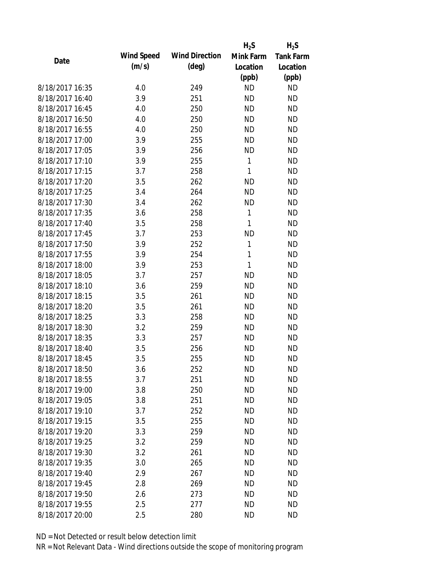|                 |            |                       | $H_2S$       | $H_2S$           |
|-----------------|------------|-----------------------|--------------|------------------|
| Date            | Wind Speed | <b>Wind Direction</b> | Mink Farm    | <b>Tank Farm</b> |
|                 | (m/s)      | $(\text{deg})$        | Location     | Location         |
|                 |            |                       | (ppb)        | (ppb)            |
| 8/18/2017 16:35 | 4.0        | 249                   | <b>ND</b>    | <b>ND</b>        |
| 8/18/2017 16:40 | 3.9        | 251                   | <b>ND</b>    | <b>ND</b>        |
| 8/18/2017 16:45 | 4.0        | 250                   | <b>ND</b>    | <b>ND</b>        |
| 8/18/2017 16:50 | 4.0        | 250                   | <b>ND</b>    | <b>ND</b>        |
| 8/18/2017 16:55 | 4.0        | 250                   | <b>ND</b>    | <b>ND</b>        |
| 8/18/2017 17:00 | 3.9        | 255                   | <b>ND</b>    | <b>ND</b>        |
| 8/18/2017 17:05 | 3.9        | 256                   | <b>ND</b>    | <b>ND</b>        |
| 8/18/2017 17:10 | 3.9        | 255                   | 1            | <b>ND</b>        |
| 8/18/2017 17:15 | 3.7        | 258                   | 1            | <b>ND</b>        |
| 8/18/2017 17:20 | 3.5        | 262                   | <b>ND</b>    | <b>ND</b>        |
| 8/18/2017 17:25 | 3.4        | 264                   | <b>ND</b>    | <b>ND</b>        |
| 8/18/2017 17:30 | 3.4        | 262                   | <b>ND</b>    | <b>ND</b>        |
| 8/18/2017 17:35 | 3.6        | 258                   | $\mathbf{1}$ | <b>ND</b>        |
| 8/18/2017 17:40 | 3.5        | 258                   | 1            | <b>ND</b>        |
| 8/18/2017 17:45 | 3.7        | 253                   | <b>ND</b>    | <b>ND</b>        |
| 8/18/2017 17:50 | 3.9        | 252                   | 1            | <b>ND</b>        |
| 8/18/2017 17:55 | 3.9        | 254                   | 1            | <b>ND</b>        |
| 8/18/2017 18:00 | 3.9        | 253                   | $\mathbf{1}$ | <b>ND</b>        |
| 8/18/2017 18:05 | 3.7        | 257                   | <b>ND</b>    | <b>ND</b>        |
| 8/18/2017 18:10 | 3.6        | 259                   | <b>ND</b>    | <b>ND</b>        |
| 8/18/2017 18:15 | 3.5        | 261                   | <b>ND</b>    | <b>ND</b>        |
| 8/18/2017 18:20 | 3.5        | 261                   | <b>ND</b>    | <b>ND</b>        |
| 8/18/2017 18:25 | 3.3        | 258                   | <b>ND</b>    | <b>ND</b>        |
| 8/18/2017 18:30 | 3.2        | 259                   | <b>ND</b>    | <b>ND</b>        |
| 8/18/2017 18:35 | 3.3        | 257                   | <b>ND</b>    | <b>ND</b>        |
| 8/18/2017 18:40 | 3.5        | 256                   | <b>ND</b>    | <b>ND</b>        |
| 8/18/2017 18:45 | 3.5        | 255                   | <b>ND</b>    | <b>ND</b>        |
| 8/18/2017 18:50 | 3.6        | 252                   | <b>ND</b>    | <b>ND</b>        |
| 8/18/2017 18:55 | 3.7        | 251                   | <b>ND</b>    | <b>ND</b>        |
| 8/18/2017 19:00 | 3.8        | 250                   | <b>ND</b>    | <b>ND</b>        |
| 8/18/2017 19:05 | 3.8        | 251                   | <b>ND</b>    | <b>ND</b>        |
| 8/18/2017 19:10 | 3.7        | 252                   | <b>ND</b>    | <b>ND</b>        |
| 8/18/2017 19:15 | 3.5        | 255                   | <b>ND</b>    | <b>ND</b>        |
| 8/18/2017 19:20 | 3.3        | 259                   | <b>ND</b>    | <b>ND</b>        |
| 8/18/2017 19:25 | 3.2        | 259                   | <b>ND</b>    | <b>ND</b>        |
| 8/18/2017 19:30 | 3.2        | 261                   | <b>ND</b>    | <b>ND</b>        |
| 8/18/2017 19:35 | 3.0        | 265                   | <b>ND</b>    | <b>ND</b>        |
| 8/18/2017 19:40 | 2.9        | 267                   | <b>ND</b>    | <b>ND</b>        |
| 8/18/2017 19:45 | 2.8        | 269                   | <b>ND</b>    | <b>ND</b>        |
| 8/18/2017 19:50 | 2.6        | 273                   | ND           | <b>ND</b>        |
| 8/18/2017 19:55 | 2.5        | 277                   | <b>ND</b>    | <b>ND</b>        |
| 8/18/2017 20:00 | 2.5        | 280                   | <b>ND</b>    | <b>ND</b>        |
|                 |            |                       |              |                  |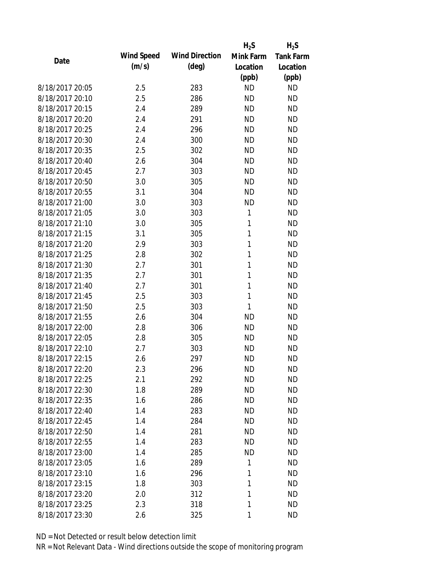|                 |            |                       | $H_2S$    | $H_2S$           |
|-----------------|------------|-----------------------|-----------|------------------|
| Date            | Wind Speed | <b>Wind Direction</b> | Mink Farm | <b>Tank Farm</b> |
|                 | (m/s)      | $(\text{deg})$        | Location  | Location         |
|                 |            |                       | (ppb)     | (ppb)            |
| 8/18/2017 20:05 | 2.5        | 283                   | <b>ND</b> | <b>ND</b>        |
| 8/18/2017 20:10 | 2.5        | 286                   | <b>ND</b> | <b>ND</b>        |
| 8/18/2017 20:15 | 2.4        | 289                   | <b>ND</b> | <b>ND</b>        |
| 8/18/2017 20:20 | 2.4        | 291                   | <b>ND</b> | <b>ND</b>        |
| 8/18/2017 20:25 | 2.4        | 296                   | <b>ND</b> | <b>ND</b>        |
| 8/18/2017 20:30 | 2.4        | 300                   | <b>ND</b> | <b>ND</b>        |
| 8/18/2017 20:35 | 2.5        | 302                   | <b>ND</b> | <b>ND</b>        |
| 8/18/2017 20:40 | 2.6        | 304                   | <b>ND</b> | <b>ND</b>        |
| 8/18/2017 20:45 | 2.7        | 303                   | <b>ND</b> | <b>ND</b>        |
| 8/18/2017 20:50 | 3.0        | 305                   | <b>ND</b> | <b>ND</b>        |
| 8/18/2017 20:55 | 3.1        | 304                   | <b>ND</b> | <b>ND</b>        |
| 8/18/2017 21:00 | 3.0        | 303                   | <b>ND</b> | <b>ND</b>        |
| 8/18/2017 21:05 | 3.0        | 303                   | 1         | <b>ND</b>        |
| 8/18/2017 21:10 | 3.0        | 305                   | 1         | <b>ND</b>        |
| 8/18/2017 21:15 | 3.1        | 305                   | 1         | <b>ND</b>        |
| 8/18/2017 21:20 | 2.9        | 303                   | 1         | <b>ND</b>        |
| 8/18/2017 21:25 | 2.8        | 302                   | 1         | <b>ND</b>        |
| 8/18/2017 21:30 | 2.7        | 301                   | 1         | <b>ND</b>        |
| 8/18/2017 21:35 | 2.7        | 301                   | 1         | <b>ND</b>        |
| 8/18/2017 21:40 | 2.7        | 301                   | 1         | <b>ND</b>        |
| 8/18/2017 21:45 | 2.5        | 303                   | 1         | <b>ND</b>        |
| 8/18/2017 21:50 | 2.5        | 303                   | 1         | <b>ND</b>        |
| 8/18/2017 21:55 | 2.6        | 304                   | <b>ND</b> | <b>ND</b>        |
| 8/18/2017 22:00 | 2.8        | 306                   | <b>ND</b> | <b>ND</b>        |
| 8/18/2017 22:05 | 2.8        | 305                   | <b>ND</b> | <b>ND</b>        |
| 8/18/2017 22:10 | 2.7        | 303                   | <b>ND</b> | <b>ND</b>        |
| 8/18/2017 22:15 | 2.6        | 297                   | <b>ND</b> | <b>ND</b>        |
| 8/18/2017 22:20 | 2.3        | 296                   | <b>ND</b> | <b>ND</b>        |
| 8/18/2017 22:25 | 2.1        | 292                   | <b>ND</b> | <b>ND</b>        |
| 8/18/2017 22:30 | 1.8        | 289                   | <b>ND</b> | <b>ND</b>        |
| 8/18/2017 22:35 | 1.6        | 286                   | <b>ND</b> | <b>ND</b>        |
| 8/18/2017 22:40 | 1.4        | 283                   | <b>ND</b> | <b>ND</b>        |
| 8/18/2017 22:45 | 1.4        | 284                   | ND        | <b>ND</b>        |
| 8/18/2017 22:50 | 1.4        | 281                   | <b>ND</b> | <b>ND</b>        |
| 8/18/2017 22:55 | 1.4        | 283                   | <b>ND</b> | <b>ND</b>        |
| 8/18/2017 23:00 | 1.4        | 285                   | <b>ND</b> | <b>ND</b>        |
| 8/18/2017 23:05 | 1.6        | 289                   | 1         | <b>ND</b>        |
| 8/18/2017 23:10 | 1.6        | 296                   | 1         | <b>ND</b>        |
| 8/18/2017 23:15 | 1.8        | 303                   | 1         | <b>ND</b>        |
| 8/18/2017 23:20 | 2.0        | 312                   | 1         | <b>ND</b>        |
| 8/18/2017 23:25 | 2.3        | 318                   | 1         | <b>ND</b>        |
| 8/18/2017 23:30 | 2.6        | 325                   | 1         | <b>ND</b>        |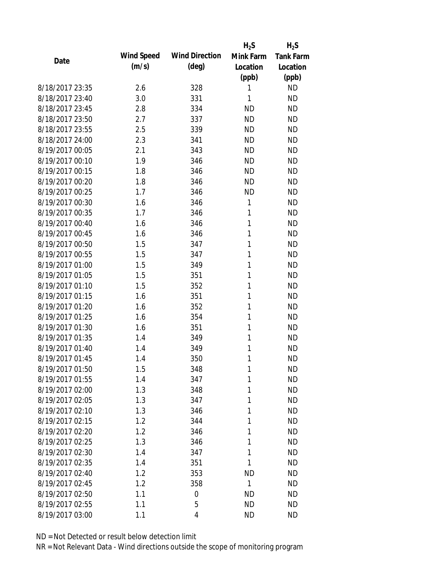|                 |            |                       | $H_2S$    | $H_2S$           |
|-----------------|------------|-----------------------|-----------|------------------|
| Date            | Wind Speed | <b>Wind Direction</b> | Mink Farm | <b>Tank Farm</b> |
|                 | (m/s)      | $(\text{deg})$        | Location  | Location         |
|                 |            |                       | (ppb)     | (ppb)            |
| 8/18/2017 23:35 | 2.6        | 328                   | 1         | <b>ND</b>        |
| 8/18/2017 23:40 | 3.0        | 331                   | 1         | <b>ND</b>        |
| 8/18/2017 23:45 | 2.8        | 334                   | <b>ND</b> | <b>ND</b>        |
| 8/18/2017 23:50 | 2.7        | 337                   | <b>ND</b> | <b>ND</b>        |
| 8/18/2017 23:55 | 2.5        | 339                   | <b>ND</b> | <b>ND</b>        |
| 8/18/2017 24:00 | 2.3        | 341                   | <b>ND</b> | <b>ND</b>        |
| 8/19/2017 00:05 | 2.1        | 343                   | <b>ND</b> | <b>ND</b>        |
| 8/19/2017 00:10 | 1.9        | 346                   | <b>ND</b> | <b>ND</b>        |
| 8/19/2017 00:15 | 1.8        | 346                   | <b>ND</b> | <b>ND</b>        |
| 8/19/2017 00:20 | 1.8        | 346                   | <b>ND</b> | <b>ND</b>        |
| 8/19/2017 00:25 | 1.7        | 346                   | <b>ND</b> | <b>ND</b>        |
| 8/19/2017 00:30 | 1.6        | 346                   | 1         | <b>ND</b>        |
| 8/19/2017 00:35 | 1.7        | 346                   | 1         | <b>ND</b>        |
| 8/19/2017 00:40 | 1.6        | 346                   | 1         | <b>ND</b>        |
| 8/19/2017 00:45 | 1.6        | 346                   | 1         | <b>ND</b>        |
| 8/19/2017 00:50 | 1.5        | 347                   | 1         | <b>ND</b>        |
| 8/19/2017 00:55 | 1.5        | 347                   | 1         | <b>ND</b>        |
| 8/19/2017 01:00 | 1.5        | 349                   | 1         | <b>ND</b>        |
| 8/19/2017 01:05 | 1.5        | 351                   | 1         | <b>ND</b>        |
| 8/19/2017 01:10 | 1.5        | 352                   | 1         | <b>ND</b>        |
| 8/19/2017 01:15 | 1.6        | 351                   | 1         | <b>ND</b>        |
| 8/19/2017 01:20 | 1.6        | 352                   | 1         | <b>ND</b>        |
| 8/19/2017 01:25 | 1.6        | 354                   | 1         | <b>ND</b>        |
| 8/19/2017 01:30 | 1.6        | 351                   | 1         | <b>ND</b>        |
| 8/19/2017 01:35 | 1.4        | 349                   | 1         | <b>ND</b>        |
| 8/19/2017 01:40 | 1.4        | 349                   | 1         | <b>ND</b>        |
| 8/19/2017 01:45 | 1.4        | 350                   | 1         | <b>ND</b>        |
| 8/19/2017 01:50 | 1.5        | 348                   | 1         | <b>ND</b>        |
| 8/19/2017 01:55 | 1.4        | 347                   | 1         | <b>ND</b>        |
| 8/19/2017 02:00 | 1.3        | 348                   | 1         | <b>ND</b>        |
| 8/19/2017 02:05 | 1.3        | 347                   | 1         | <b>ND</b>        |
| 8/19/2017 02:10 | 1.3        | 346                   | 1         | <b>ND</b>        |
| 8/19/2017 02:15 | 1.2        | 344                   | 1         | <b>ND</b>        |
| 8/19/2017 02:20 | 1.2        | 346                   | 1         | <b>ND</b>        |
| 8/19/2017 02:25 | 1.3        | 346                   | 1         | <b>ND</b>        |
| 8/19/2017 02:30 | 1.4        | 347                   | 1         | <b>ND</b>        |
| 8/19/2017 02:35 | 1.4        | 351                   | 1         | <b>ND</b>        |
| 8/19/2017 02:40 | 1.2        | 353                   | ND        | <b>ND</b>        |
| 8/19/2017 02:45 | 1.2        | 358                   | 1         | <b>ND</b>        |
| 8/19/2017 02:50 | 1.1        | 0                     | <b>ND</b> | <b>ND</b>        |
| 8/19/2017 02:55 | 1.1        | 5                     | <b>ND</b> | <b>ND</b>        |
| 8/19/2017 03:00 | 1.1        | 4                     | <b>ND</b> | <b>ND</b>        |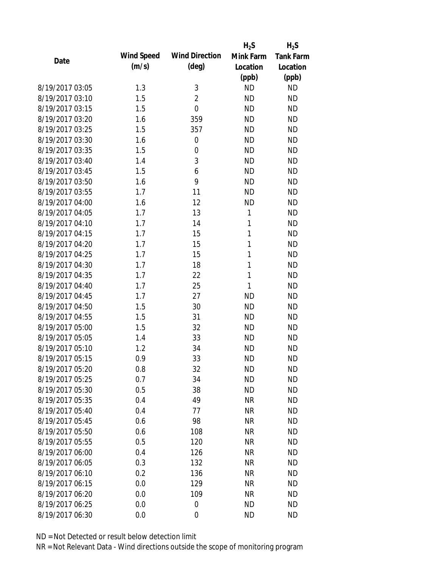|                 |            |                       | $H_2S$       | $H_2S$           |
|-----------------|------------|-----------------------|--------------|------------------|
| Date            | Wind Speed | <b>Wind Direction</b> | Mink Farm    | <b>Tank Farm</b> |
|                 | (m/s)      | $(\text{deg})$        | Location     | Location         |
|                 |            |                       | (ppb)        | (ppb)            |
| 8/19/2017 03:05 | 1.3        | 3                     | <b>ND</b>    | <b>ND</b>        |
| 8/19/2017 03:10 | 1.5        | $\overline{2}$        | <b>ND</b>    | <b>ND</b>        |
| 8/19/2017 03:15 | 1.5        | $\mathbf 0$           | <b>ND</b>    | <b>ND</b>        |
| 8/19/2017 03:20 | 1.6        | 359                   | <b>ND</b>    | <b>ND</b>        |
| 8/19/2017 03:25 | 1.5        | 357                   | <b>ND</b>    | <b>ND</b>        |
| 8/19/2017 03:30 | 1.6        | $\mathbf 0$           | <b>ND</b>    | <b>ND</b>        |
| 8/19/2017 03:35 | 1.5        | 0                     | <b>ND</b>    | <b>ND</b>        |
| 8/19/2017 03:40 | 1.4        | 3                     | <b>ND</b>    | <b>ND</b>        |
| 8/19/2017 03:45 | 1.5        | 6                     | <b>ND</b>    | <b>ND</b>        |
| 8/19/2017 03:50 | 1.6        | 9                     | <b>ND</b>    | <b>ND</b>        |
| 8/19/2017 03:55 | 1.7        | 11                    | <b>ND</b>    | <b>ND</b>        |
| 8/19/2017 04:00 | 1.6        | 12                    | <b>ND</b>    | <b>ND</b>        |
| 8/19/2017 04:05 | 1.7        | 13                    | 1            | <b>ND</b>        |
| 8/19/2017 04:10 | 1.7        | 14                    | 1            | <b>ND</b>        |
| 8/19/2017 04:15 | 1.7        | 15                    | 1            | <b>ND</b>        |
| 8/19/2017 04:20 | 1.7        | 15                    | 1            | <b>ND</b>        |
| 8/19/2017 04:25 | 1.7        | 15                    | 1            | <b>ND</b>        |
| 8/19/2017 04:30 | 1.7        | 18                    | $\mathbf{1}$ | <b>ND</b>        |
| 8/19/2017 04:35 | 1.7        | 22                    | $\mathbf{1}$ | <b>ND</b>        |
| 8/19/2017 04:40 | 1.7        | 25                    | 1            | <b>ND</b>        |
| 8/19/2017 04:45 | 1.7        | 27                    | <b>ND</b>    | <b>ND</b>        |
| 8/19/2017 04:50 | 1.5        | 30                    | <b>ND</b>    | <b>ND</b>        |
| 8/19/2017 04:55 | 1.5        | 31                    | <b>ND</b>    | <b>ND</b>        |
| 8/19/2017 05:00 | 1.5        | 32                    | <b>ND</b>    | <b>ND</b>        |
| 8/19/2017 05:05 | 1.4        | 33                    | <b>ND</b>    | <b>ND</b>        |
| 8/19/2017 05:10 | 1.2        | 34                    | <b>ND</b>    | <b>ND</b>        |
| 8/19/2017 05:15 | 0.9        | 33                    | <b>ND</b>    | <b>ND</b>        |
| 8/19/2017 05:20 | 0.8        | 32                    | ΝD           | <b>ND</b>        |
| 8/19/2017 05:25 | 0.7        | 34                    | <b>ND</b>    | <b>ND</b>        |
| 8/19/2017 05:30 | 0.5        | 38                    | <b>ND</b>    | <b>ND</b>        |
| 8/19/2017 05:35 | 0.4        | 49                    | <b>NR</b>    | <b>ND</b>        |
| 8/19/2017 05:40 | 0.4        | 77                    | <b>NR</b>    | <b>ND</b>        |
| 8/19/2017 05:45 | 0.6        | 98                    | <b>NR</b>    | <b>ND</b>        |
| 8/19/2017 05:50 | 0.6        | 108                   | <b>NR</b>    | <b>ND</b>        |
| 8/19/2017 05:55 | 0.5        | 120                   | <b>NR</b>    | <b>ND</b>        |
| 8/19/2017 06:00 | 0.4        | 126                   | <b>NR</b>    | <b>ND</b>        |
| 8/19/2017 06:05 | 0.3        | 132                   | <b>NR</b>    | <b>ND</b>        |
| 8/19/2017 06:10 | 0.2        | 136                   | <b>NR</b>    | <b>ND</b>        |
| 8/19/2017 06:15 | 0.0        | 129                   | <b>NR</b>    | <b>ND</b>        |
| 8/19/2017 06:20 | 0.0        | 109                   | NR           | <b>ND</b>        |
| 8/19/2017 06:25 | 0.0        | $\overline{0}$        | ΝD           | <b>ND</b>        |
| 8/19/2017 06:30 | 0.0        | $\mathbf 0$           | <b>ND</b>    | <b>ND</b>        |
|                 |            |                       |              |                  |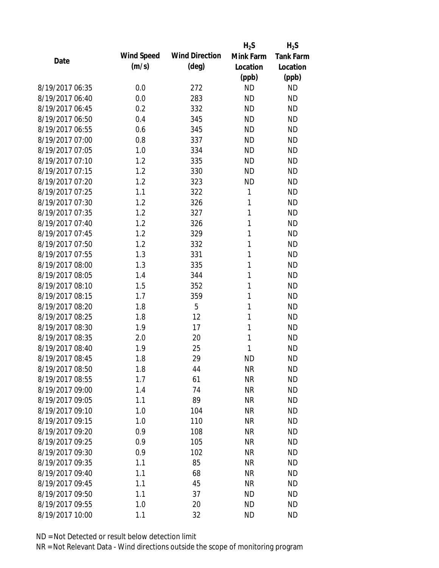|                 |            |                       | $H_2S$       | $H_2S$           |
|-----------------|------------|-----------------------|--------------|------------------|
| Date            | Wind Speed | <b>Wind Direction</b> | Mink Farm    | <b>Tank Farm</b> |
|                 | (m/s)      | $(\text{deg})$        | Location     | Location         |
|                 |            |                       | (ppb)        | (ppb)            |
| 8/19/2017 06:35 | 0.0        | 272                   | <b>ND</b>    | <b>ND</b>        |
| 8/19/2017 06:40 | 0.0        | 283                   | <b>ND</b>    | <b>ND</b>        |
| 8/19/2017 06:45 | 0.2        | 332                   | <b>ND</b>    | <b>ND</b>        |
| 8/19/2017 06:50 | 0.4        | 345                   | <b>ND</b>    | <b>ND</b>        |
| 8/19/2017 06:55 | 0.6        | 345                   | <b>ND</b>    | <b>ND</b>        |
| 8/19/2017 07:00 | 0.8        | 337                   | <b>ND</b>    | <b>ND</b>        |
| 8/19/2017 07:05 | 1.0        | 334                   | <b>ND</b>    | <b>ND</b>        |
| 8/19/2017 07:10 | 1.2        | 335                   | <b>ND</b>    | <b>ND</b>        |
| 8/19/2017 07:15 | 1.2        | 330                   | <b>ND</b>    | <b>ND</b>        |
| 8/19/2017 07:20 | 1.2        | 323                   | <b>ND</b>    | <b>ND</b>        |
| 8/19/2017 07:25 | 1.1        | 322                   | 1            | <b>ND</b>        |
| 8/19/2017 07:30 | 1.2        | 326                   | 1            | <b>ND</b>        |
| 8/19/2017 07:35 | 1.2        | 327                   | $\mathbf{1}$ | <b>ND</b>        |
| 8/19/2017 07:40 | 1.2        | 326                   | 1            | <b>ND</b>        |
| 8/19/2017 07:45 | 1.2        | 329                   | 1            | <b>ND</b>        |
| 8/19/2017 07:50 | 1.2        | 332                   | 1            | <b>ND</b>        |
| 8/19/2017 07:55 | 1.3        | 331                   | 1            | <b>ND</b>        |
| 8/19/2017 08:00 | 1.3        | 335                   | 1            | <b>ND</b>        |
| 8/19/2017 08:05 | 1.4        | 344                   | 1            | <b>ND</b>        |
| 8/19/2017 08:10 | 1.5        | 352                   | 1            | <b>ND</b>        |
| 8/19/2017 08:15 | 1.7        | 359                   | 1            | <b>ND</b>        |
| 8/19/2017 08:20 | 1.8        | 5                     | 1            | <b>ND</b>        |
| 8/19/2017 08:25 | 1.8        | 12                    | 1            | <b>ND</b>        |
| 8/19/2017 08:30 | 1.9        | 17                    | 1            | <b>ND</b>        |
| 8/19/2017 08:35 | 2.0        | 20                    | 1            | <b>ND</b>        |
| 8/19/2017 08:40 | 1.9        | 25                    | 1            | <b>ND</b>        |
| 8/19/2017 08:45 | 1.8        | 29                    | <b>ND</b>    | <b>ND</b>        |
| 8/19/2017 08:50 | 1.8        | 44                    | <b>NR</b>    | <b>ND</b>        |
| 8/19/2017 08:55 | 1.7        | 61                    | <b>NR</b>    | <b>ND</b>        |
| 8/19/2017 09:00 | 1.4        | 74                    | <b>NR</b>    | <b>ND</b>        |
| 8/19/2017 09:05 | 1.1        | 89                    | <b>NR</b>    | <b>ND</b>        |
| 8/19/2017 09:10 | 1.0        | 104                   | <b>NR</b>    | <b>ND</b>        |
| 8/19/2017 09:15 | 1.0        | 110                   | <b>NR</b>    | <b>ND</b>        |
| 8/19/2017 09:20 | 0.9        | 108                   | <b>NR</b>    | <b>ND</b>        |
| 8/19/2017 09:25 | 0.9        | 105                   | <b>NR</b>    | <b>ND</b>        |
| 8/19/2017 09:30 | 0.9        | 102                   | <b>NR</b>    | <b>ND</b>        |
| 8/19/2017 09:35 | 1.1        | 85                    | <b>NR</b>    | <b>ND</b>        |
| 8/19/2017 09:40 | 1.1        | 68                    | <b>NR</b>    | <b>ND</b>        |
| 8/19/2017 09:45 | 1.1        | 45                    | <b>NR</b>    | <b>ND</b>        |
| 8/19/2017 09:50 | 1.1        | 37                    | <b>ND</b>    | <b>ND</b>        |
| 8/19/2017 09:55 | 1.0        | 20                    | <b>ND</b>    | <b>ND</b>        |
| 8/19/2017 10:00 | 1.1        | 32                    | <b>ND</b>    | <b>ND</b>        |
|                 |            |                       |              |                  |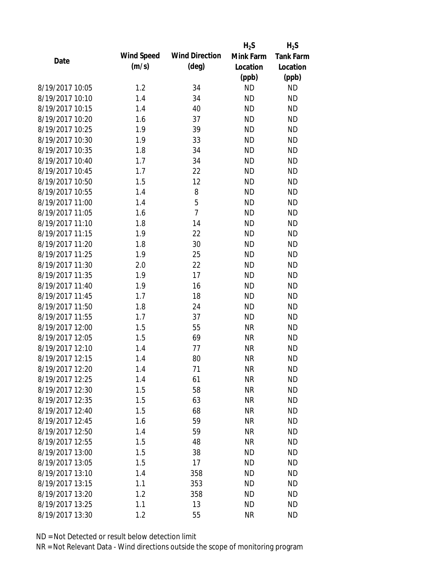|                 |            |                       | $H_2S$    | $H_2S$           |
|-----------------|------------|-----------------------|-----------|------------------|
| Date            | Wind Speed | <b>Wind Direction</b> | Mink Farm | <b>Tank Farm</b> |
|                 | (m/s)      | $(\text{deg})$        | Location  | Location         |
|                 |            |                       | (ppb)     | (ppb)            |
| 8/19/2017 10:05 | 1.2        | 34                    | <b>ND</b> | <b>ND</b>        |
| 8/19/2017 10:10 | 1.4        | 34                    | <b>ND</b> | <b>ND</b>        |
| 8/19/2017 10:15 | 1.4        | 40                    | <b>ND</b> | <b>ND</b>        |
| 8/19/2017 10:20 | 1.6        | 37                    | <b>ND</b> | <b>ND</b>        |
| 8/19/2017 10:25 | 1.9        | 39                    | <b>ND</b> | <b>ND</b>        |
| 8/19/2017 10:30 | 1.9        | 33                    | <b>ND</b> | <b>ND</b>        |
| 8/19/2017 10:35 | 1.8        | 34                    | <b>ND</b> | <b>ND</b>        |
| 8/19/2017 10:40 | 1.7        | 34                    | <b>ND</b> | <b>ND</b>        |
| 8/19/2017 10:45 | 1.7        | 22                    | <b>ND</b> | <b>ND</b>        |
| 8/19/2017 10:50 | 1.5        | 12                    | <b>ND</b> | <b>ND</b>        |
| 8/19/2017 10:55 | 1.4        | 8                     | <b>ND</b> | <b>ND</b>        |
| 8/19/2017 11:00 | 1.4        | 5                     | <b>ND</b> | <b>ND</b>        |
| 8/19/2017 11:05 | 1.6        | $\overline{7}$        | <b>ND</b> | <b>ND</b>        |
| 8/19/2017 11:10 | 1.8        | 14                    | <b>ND</b> | <b>ND</b>        |
| 8/19/2017 11:15 | 1.9        | 22                    | <b>ND</b> | <b>ND</b>        |
| 8/19/2017 11:20 | 1.8        | 30                    | <b>ND</b> | <b>ND</b>        |
| 8/19/2017 11:25 | 1.9        | 25                    | <b>ND</b> | <b>ND</b>        |
| 8/19/2017 11:30 | 2.0        | 22                    | <b>ND</b> | <b>ND</b>        |
| 8/19/2017 11:35 | 1.9        | 17                    | <b>ND</b> | <b>ND</b>        |
| 8/19/2017 11:40 | 1.9        | 16                    | <b>ND</b> | <b>ND</b>        |
| 8/19/2017 11:45 | 1.7        | 18                    | <b>ND</b> | <b>ND</b>        |
| 8/19/2017 11:50 | 1.8        | 24                    | <b>ND</b> | <b>ND</b>        |
| 8/19/2017 11:55 | 1.7        | 37                    | <b>ND</b> | <b>ND</b>        |
| 8/19/2017 12:00 | 1.5        | 55                    | <b>NR</b> | <b>ND</b>        |
| 8/19/2017 12:05 | 1.5        | 69                    | <b>NR</b> | <b>ND</b>        |
| 8/19/2017 12:10 | 1.4        | 77                    | <b>NR</b> | <b>ND</b>        |
| 8/19/2017 12:15 | 1.4        | 80                    | <b>NR</b> | <b>ND</b>        |
| 8/19/2017 12:20 | 1.4        | 71                    | <b>NR</b> | <b>ND</b>        |
| 8/19/2017 12:25 | 1.4        | 61                    | <b>NR</b> | <b>ND</b>        |
| 8/19/2017 12:30 | 1.5        | 58                    | <b>NR</b> | <b>ND</b>        |
| 8/19/2017 12:35 | 1.5        | 63                    | <b>NR</b> | <b>ND</b>        |
| 8/19/2017 12:40 | 1.5        | 68                    | <b>NR</b> | <b>ND</b>        |
| 8/19/2017 12:45 | 1.6        | 59                    | <b>NR</b> | <b>ND</b>        |
| 8/19/2017 12:50 | 1.4        | 59                    | <b>NR</b> | <b>ND</b>        |
| 8/19/2017 12:55 | 1.5        | 48                    | <b>NR</b> | <b>ND</b>        |
| 8/19/2017 13:00 | 1.5        | 38                    | <b>ND</b> | <b>ND</b>        |
| 8/19/2017 13:05 | 1.5        | 17                    | <b>ND</b> | <b>ND</b>        |
| 8/19/2017 13:10 | 1.4        | 358                   | <b>ND</b> | <b>ND</b>        |
| 8/19/2017 13:15 | 1.1        | 353                   | <b>ND</b> | <b>ND</b>        |
| 8/19/2017 13:20 | 1.2        | 358                   | ND        | <b>ND</b>        |
| 8/19/2017 13:25 | 1.1        | 13                    | <b>ND</b> | <b>ND</b>        |
| 8/19/2017 13:30 | 1.2        | 55                    | <b>NR</b> | <b>ND</b>        |
|                 |            |                       |           |                  |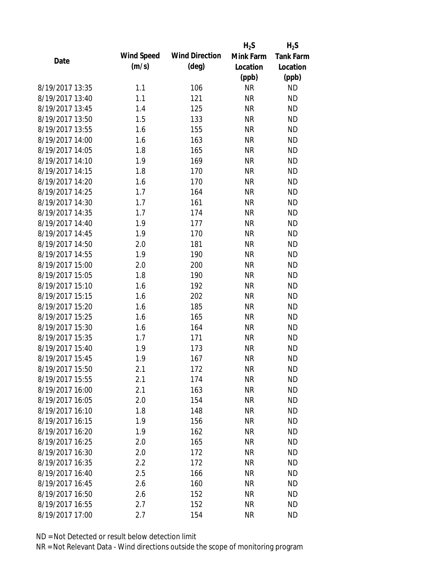|                 |            |                       | $H_2S$    | $H_2S$           |
|-----------------|------------|-----------------------|-----------|------------------|
| Date            | Wind Speed | <b>Wind Direction</b> | Mink Farm | <b>Tank Farm</b> |
|                 | (m/s)      | $(\text{deg})$        | Location  | Location         |
|                 |            |                       | (ppb)     | (ppb)            |
| 8/19/2017 13:35 | 1.1        | 106                   | <b>NR</b> | <b>ND</b>        |
| 8/19/2017 13:40 | 1.1        | 121                   | <b>NR</b> | <b>ND</b>        |
| 8/19/2017 13:45 | 1.4        | 125                   | <b>NR</b> | <b>ND</b>        |
| 8/19/2017 13:50 | 1.5        | 133                   | <b>NR</b> | <b>ND</b>        |
| 8/19/2017 13:55 | 1.6        | 155                   | <b>NR</b> | <b>ND</b>        |
| 8/19/2017 14:00 | 1.6        | 163                   | <b>NR</b> | <b>ND</b>        |
| 8/19/2017 14:05 | 1.8        | 165                   | <b>NR</b> | <b>ND</b>        |
| 8/19/2017 14:10 | 1.9        | 169                   | <b>NR</b> | <b>ND</b>        |
| 8/19/2017 14:15 | 1.8        | 170                   | <b>NR</b> | <b>ND</b>        |
| 8/19/2017 14:20 | 1.6        | 170                   | <b>NR</b> | <b>ND</b>        |
| 8/19/2017 14:25 | 1.7        | 164                   | <b>NR</b> | <b>ND</b>        |
| 8/19/2017 14:30 | 1.7        | 161                   | <b>NR</b> | <b>ND</b>        |
| 8/19/2017 14:35 | 1.7        | 174                   | <b>NR</b> | <b>ND</b>        |
| 8/19/2017 14:40 | 1.9        | 177                   | <b>NR</b> | <b>ND</b>        |
| 8/19/2017 14:45 | 1.9        | 170                   | <b>NR</b> | <b>ND</b>        |
| 8/19/2017 14:50 | 2.0        | 181                   | <b>NR</b> | <b>ND</b>        |
| 8/19/2017 14:55 | 1.9        | 190                   | <b>NR</b> | <b>ND</b>        |
| 8/19/2017 15:00 | 2.0        | 200                   | <b>NR</b> | <b>ND</b>        |
| 8/19/2017 15:05 | 1.8        | 190                   | <b>NR</b> | <b>ND</b>        |
| 8/19/2017 15:10 | 1.6        | 192                   | <b>NR</b> | <b>ND</b>        |
| 8/19/2017 15:15 | 1.6        | 202                   | <b>NR</b> | <b>ND</b>        |
| 8/19/2017 15:20 | 1.6        | 185                   | <b>NR</b> | <b>ND</b>        |
| 8/19/2017 15:25 | 1.6        | 165                   | <b>NR</b> | <b>ND</b>        |
| 8/19/2017 15:30 | 1.6        | 164                   | <b>NR</b> | <b>ND</b>        |
| 8/19/2017 15:35 | 1.7        | 171                   | <b>NR</b> | <b>ND</b>        |
| 8/19/2017 15:40 | 1.9        | 173                   | <b>NR</b> | <b>ND</b>        |
| 8/19/2017 15:45 | 1.9        | 167                   | <b>NR</b> | <b>ND</b>        |
| 8/19/2017 15:50 | 2.1        | 172                   | <b>NR</b> | <b>ND</b>        |
| 8/19/2017 15:55 | 2.1        | 174                   | <b>NR</b> | <b>ND</b>        |
| 8/19/2017 16:00 | 2.1        | 163                   | <b>NR</b> | <b>ND</b>        |
| 8/19/2017 16:05 | 2.0        | 154                   | <b>NR</b> | <b>ND</b>        |
| 8/19/2017 16:10 | 1.8        | 148                   | <b>NR</b> | <b>ND</b>        |
| 8/19/2017 16:15 | 1.9        | 156                   | <b>NR</b> | <b>ND</b>        |
| 8/19/2017 16:20 | 1.9        | 162                   | <b>NR</b> | <b>ND</b>        |
| 8/19/2017 16:25 | 2.0        | 165                   | <b>NR</b> | <b>ND</b>        |
| 8/19/2017 16:30 | 2.0        | 172                   | <b>NR</b> | <b>ND</b>        |
| 8/19/2017 16:35 | 2.2        | 172                   | <b>NR</b> | <b>ND</b>        |
| 8/19/2017 16:40 | 2.5        | 166                   | <b>NR</b> | <b>ND</b>        |
| 8/19/2017 16:45 | 2.6        | 160                   | <b>NR</b> | <b>ND</b>        |
| 8/19/2017 16:50 | 2.6        | 152                   | ΝR        | <b>ND</b>        |
| 8/19/2017 16:55 | 2.7        | 152                   | <b>NR</b> | <b>ND</b>        |
| 8/19/2017 17:00 | 2.7        | 154                   | <b>NR</b> | <b>ND</b>        |
|                 |            |                       |           |                  |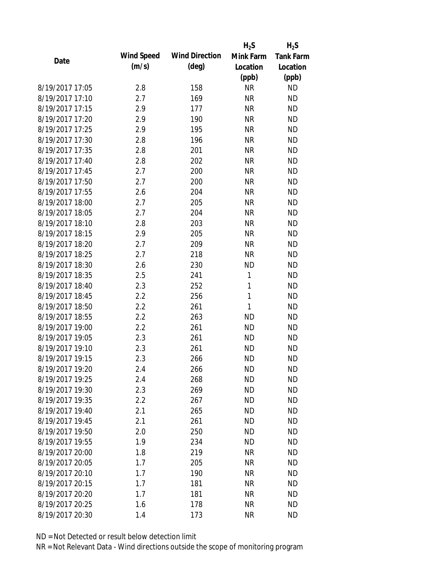|                 |            |                       | $H_2S$    | $H_2S$           |
|-----------------|------------|-----------------------|-----------|------------------|
| Date            | Wind Speed | <b>Wind Direction</b> | Mink Farm | <b>Tank Farm</b> |
|                 | (m/s)      | $(\text{deg})$        | Location  | Location         |
|                 |            |                       | (ppb)     | (ppb)            |
| 8/19/2017 17:05 | 2.8        | 158                   | <b>NR</b> | <b>ND</b>        |
| 8/19/2017 17:10 | 2.7        | 169                   | <b>NR</b> | <b>ND</b>        |
| 8/19/2017 17:15 | 2.9        | 177                   | <b>NR</b> | <b>ND</b>        |
| 8/19/2017 17:20 | 2.9        | 190                   | <b>NR</b> | <b>ND</b>        |
| 8/19/2017 17:25 | 2.9        | 195                   | <b>NR</b> | <b>ND</b>        |
| 8/19/2017 17:30 | 2.8        | 196                   | <b>NR</b> | <b>ND</b>        |
| 8/19/2017 17:35 | 2.8        | 201                   | <b>NR</b> | <b>ND</b>        |
| 8/19/2017 17:40 | 2.8        | 202                   | <b>NR</b> | <b>ND</b>        |
| 8/19/2017 17:45 | 2.7        | 200                   | <b>NR</b> | <b>ND</b>        |
| 8/19/2017 17:50 | 2.7        | 200                   | <b>NR</b> | <b>ND</b>        |
| 8/19/2017 17:55 | 2.6        | 204                   | <b>NR</b> | <b>ND</b>        |
| 8/19/2017 18:00 | 2.7        | 205                   | <b>NR</b> | <b>ND</b>        |
| 8/19/2017 18:05 | 2.7        | 204                   | <b>NR</b> | <b>ND</b>        |
| 8/19/2017 18:10 | 2.8        | 203                   | <b>NR</b> | <b>ND</b>        |
| 8/19/2017 18:15 | 2.9        | 205                   | <b>NR</b> | <b>ND</b>        |
| 8/19/2017 18:20 | 2.7        | 209                   | <b>NR</b> | <b>ND</b>        |
| 8/19/2017 18:25 | 2.7        | 218                   | <b>NR</b> | <b>ND</b>        |
| 8/19/2017 18:30 | 2.6        | 230                   | <b>ND</b> | <b>ND</b>        |
| 8/19/2017 18:35 | 2.5        | 241                   | 1         | <b>ND</b>        |
| 8/19/2017 18:40 | 2.3        | 252                   | 1         | <b>ND</b>        |
| 8/19/2017 18:45 | 2.2        | 256                   | 1         | <b>ND</b>        |
| 8/19/2017 18:50 | 2.2        | 261                   | 1         | <b>ND</b>        |
| 8/19/2017 18:55 | 2.2        | 263                   | <b>ND</b> | <b>ND</b>        |
| 8/19/2017 19:00 | 2.2        | 261                   | <b>ND</b> | <b>ND</b>        |
| 8/19/2017 19:05 | 2.3        | 261                   | <b>ND</b> | <b>ND</b>        |
| 8/19/2017 19:10 | 2.3        | 261                   | <b>ND</b> | <b>ND</b>        |
| 8/19/2017 19:15 | 2.3        | 266                   | <b>ND</b> | <b>ND</b>        |
| 8/19/2017 19:20 | 2.4        | 266                   | <b>ND</b> | <b>ND</b>        |
| 8/19/2017 19:25 | 2.4        | 268                   | <b>ND</b> | <b>ND</b>        |
| 8/19/2017 19:30 | 2.3        | 269                   | <b>ND</b> | <b>ND</b>        |
| 8/19/2017 19:35 | 2.2        | 267                   | <b>ND</b> | <b>ND</b>        |
| 8/19/2017 19:40 | 2.1        | 265                   | <b>ND</b> | <b>ND</b>        |
| 8/19/2017 19:45 | 2.1        | 261                   | <b>ND</b> | <b>ND</b>        |
| 8/19/2017 19:50 | 2.0        | 250                   | <b>ND</b> | <b>ND</b>        |
| 8/19/2017 19:55 | 1.9        | 234                   | <b>ND</b> | <b>ND</b>        |
| 8/19/2017 20:00 | 1.8        | 219                   | <b>NR</b> | <b>ND</b>        |
| 8/19/2017 20:05 | 1.7        | 205                   | <b>NR</b> | <b>ND</b>        |
| 8/19/2017 20:10 | 1.7        | 190                   | <b>NR</b> | <b>ND</b>        |
| 8/19/2017 20:15 | 1.7        | 181                   | <b>NR</b> | <b>ND</b>        |
| 8/19/2017 20:20 | 1.7        | 181                   | NR        | <b>ND</b>        |
| 8/19/2017 20:25 | 1.6        | 178                   | <b>NR</b> | <b>ND</b>        |
| 8/19/2017 20:30 | 1.4        | 173                   | <b>NR</b> | <b>ND</b>        |